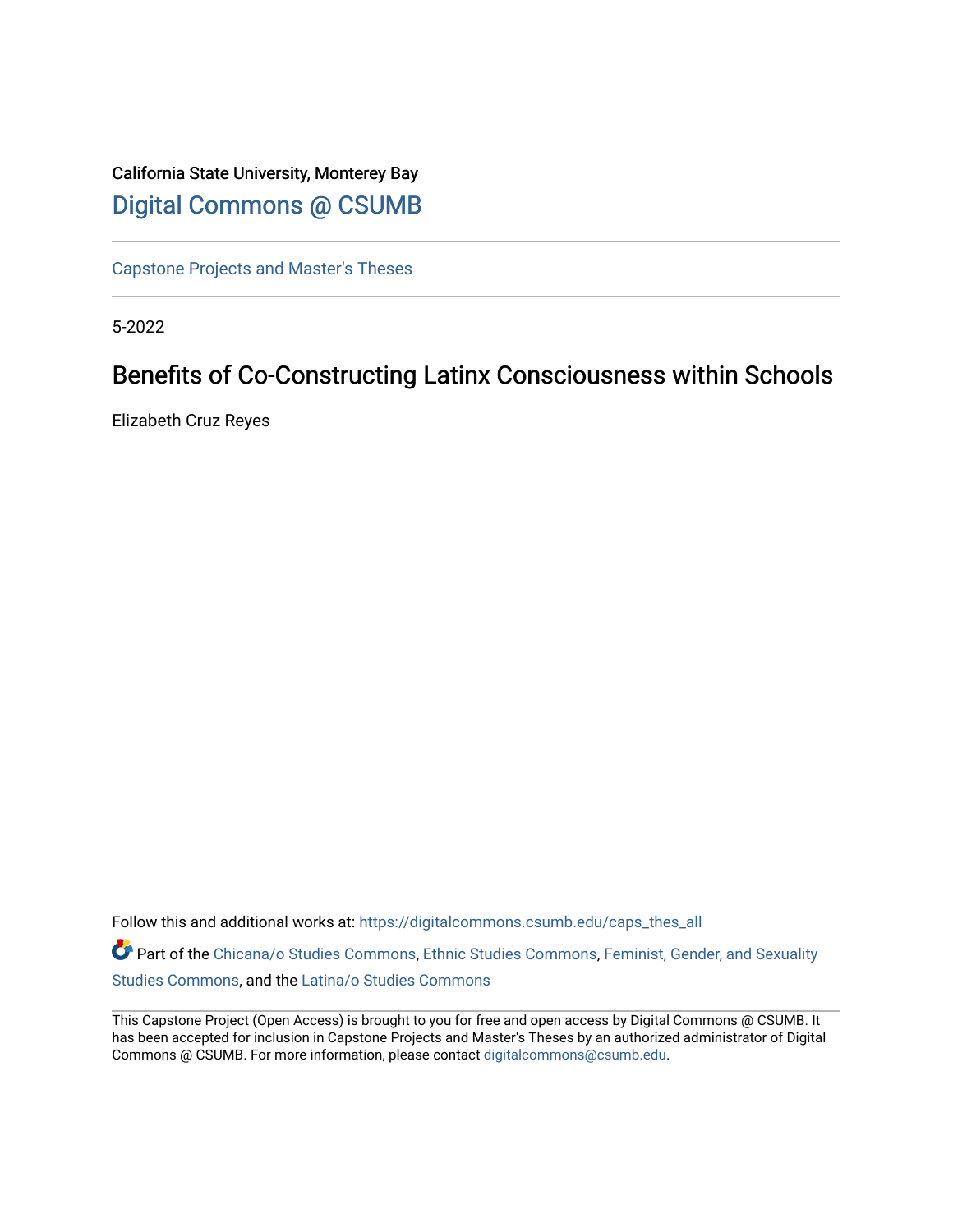# California State University, Monterey Bay [Digital Commons @ CSUMB](https://digitalcommons.csumb.edu/)

[Capstone Projects and Master's Theses](https://digitalcommons.csumb.edu/caps_thes_all)

5-2022

# Benefits of Co-Constructing Latinx Consciousness within Schools

Elizabeth Cruz Reyes

Follow this and additional works at: [https://digitalcommons.csumb.edu/caps\\_thes\\_all](https://digitalcommons.csumb.edu/caps_thes_all?utm_source=digitalcommons.csumb.edu%2Fcaps_thes_all%2F1313&utm_medium=PDF&utm_campaign=PDFCoverPages)

Part of the [Chicana/o Studies Commons](https://network.bepress.com/hgg/discipline/569?utm_source=digitalcommons.csumb.edu%2Fcaps_thes_all%2F1313&utm_medium=PDF&utm_campaign=PDFCoverPages), [Ethnic Studies Commons,](https://network.bepress.com/hgg/discipline/570?utm_source=digitalcommons.csumb.edu%2Fcaps_thes_all%2F1313&utm_medium=PDF&utm_campaign=PDFCoverPages) [Feminist, Gender, and Sexuality](https://network.bepress.com/hgg/discipline/559?utm_source=digitalcommons.csumb.edu%2Fcaps_thes_all%2F1313&utm_medium=PDF&utm_campaign=PDFCoverPages)  [Studies Commons,](https://network.bepress.com/hgg/discipline/559?utm_source=digitalcommons.csumb.edu%2Fcaps_thes_all%2F1313&utm_medium=PDF&utm_campaign=PDFCoverPages) and the [Latina/o Studies Commons](https://network.bepress.com/hgg/discipline/1315?utm_source=digitalcommons.csumb.edu%2Fcaps_thes_all%2F1313&utm_medium=PDF&utm_campaign=PDFCoverPages)

This Capstone Project (Open Access) is brought to you for free and open access by Digital Commons @ CSUMB. It has been accepted for inclusion in Capstone Projects and Master's Theses by an authorized administrator of Digital Commons @ CSUMB. For more information, please contact [digitalcommons@csumb.edu](mailto:digitalcommons@csumb.edu).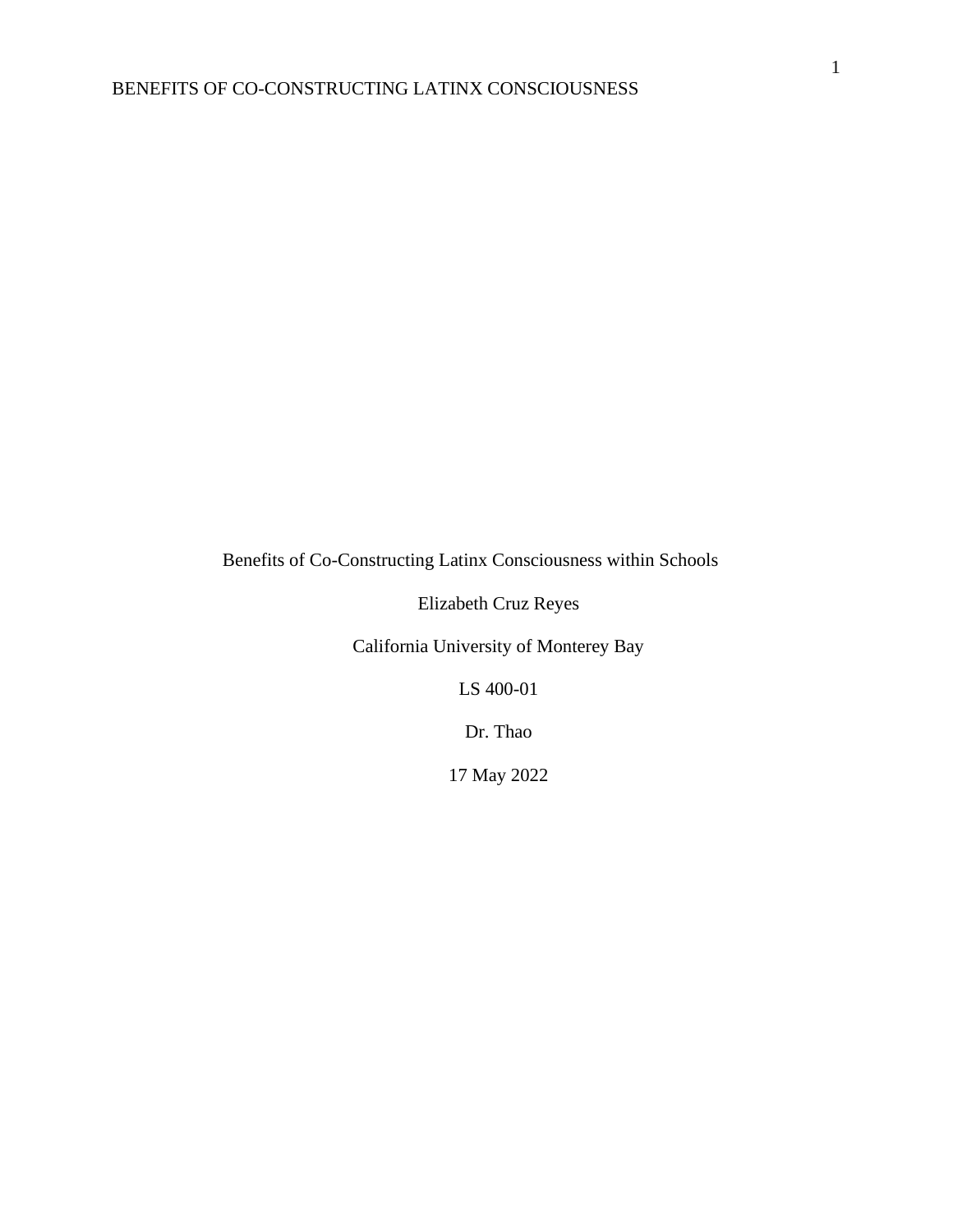Benefits of Co-Constructing Latinx Consciousness within Schools

Elizabeth Cruz Reyes

California University of Monterey Bay

LS 400-01

Dr. Thao

17 May 2022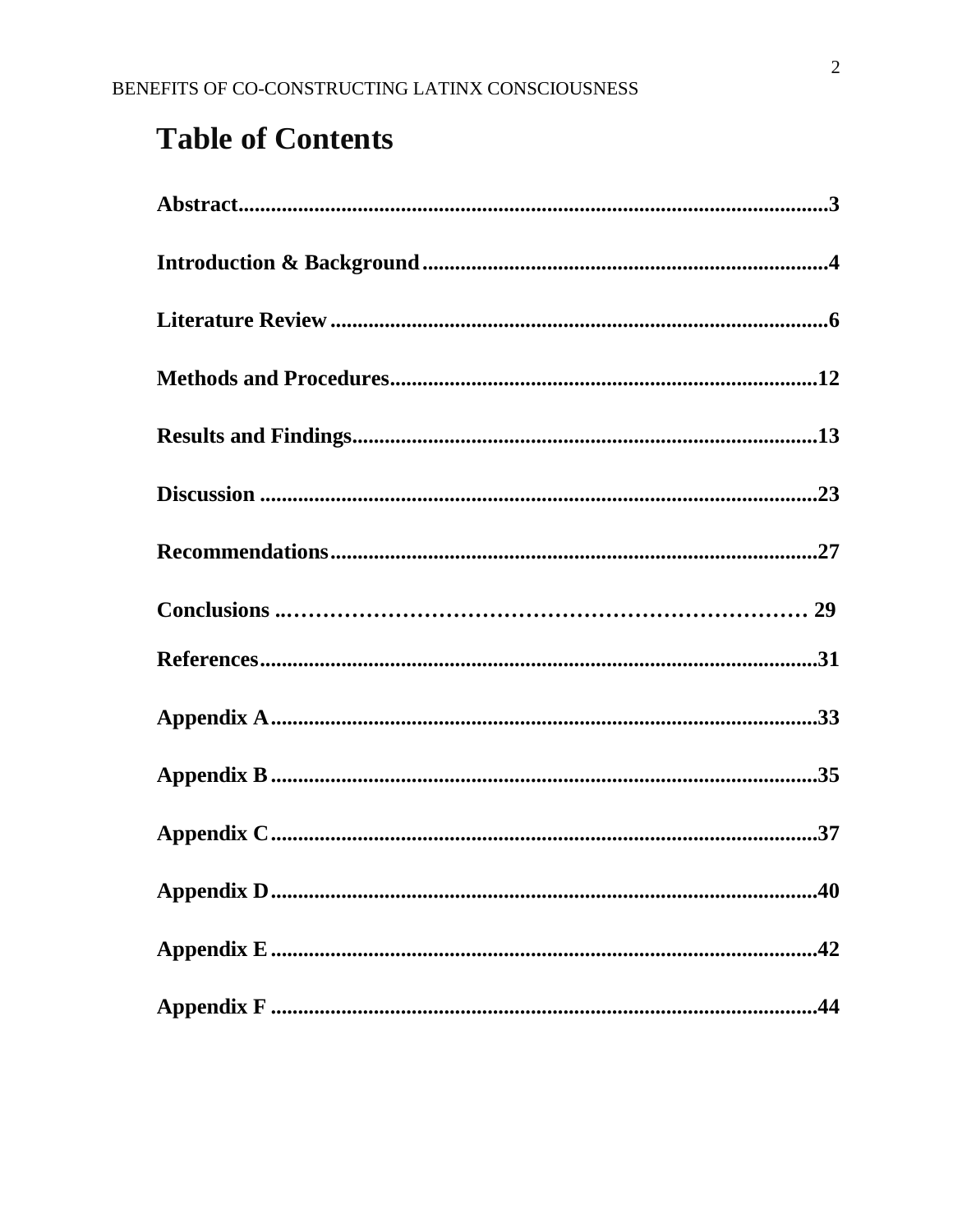# **Table of Contents**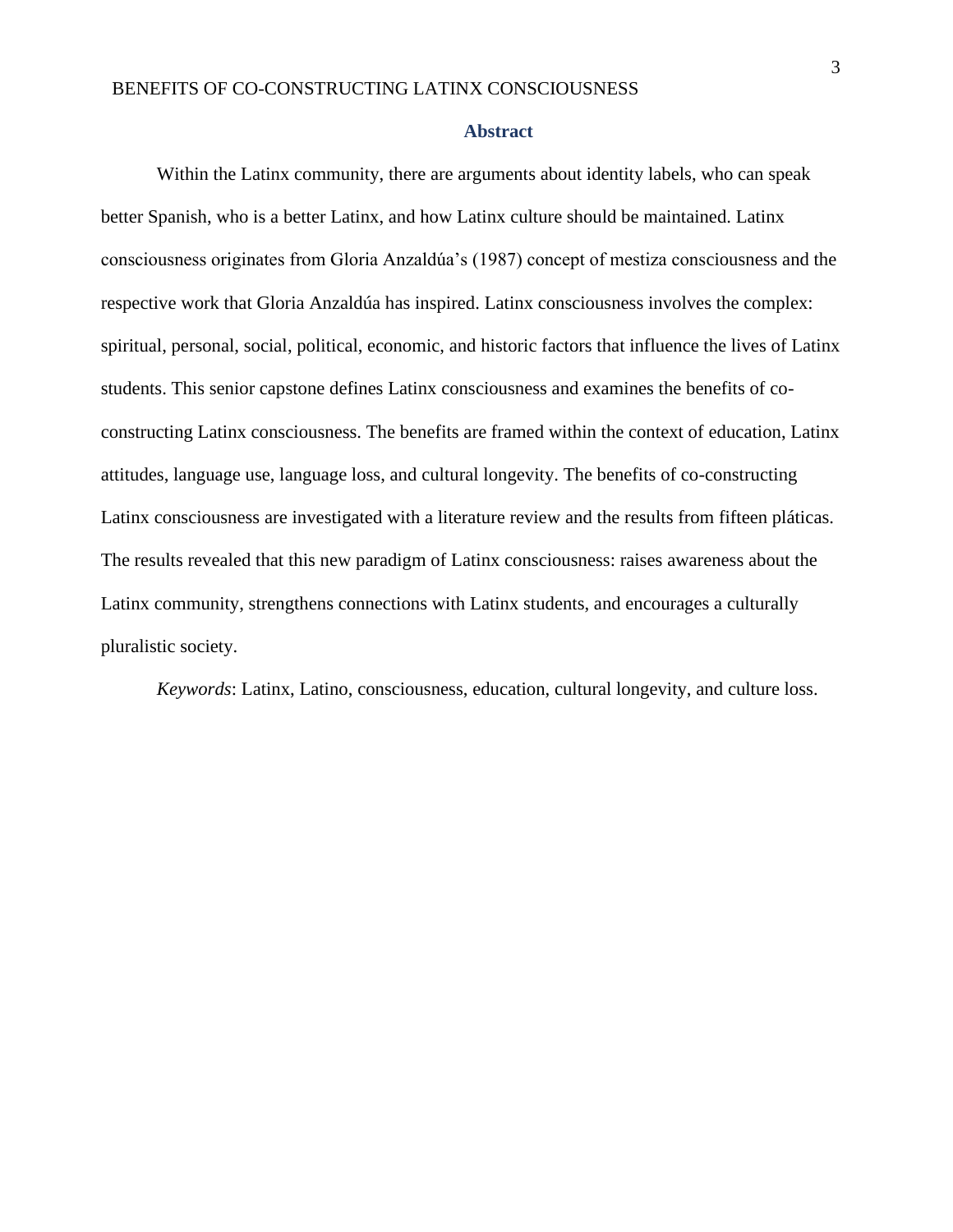#### **Abstract**

<span id="page-3-0"></span>Within the Latinx community, there are arguments about identity labels, who can speak better Spanish, who is a better Latinx, and how Latinx culture should be maintained. Latinx consciousness originates from Gloria Anzaldúa's (1987) concept of mestiza consciousness and the respective work that Gloria Anzaldúa has inspired. Latinx consciousness involves the complex: spiritual, personal, social, political, economic, and historic factors that influence the lives of Latinx students. This senior capstone defines Latinx consciousness and examines the benefits of coconstructing Latinx consciousness. The benefits are framed within the context of education, Latinx attitudes, language use, language loss, and cultural longevity. The benefits of co-constructing Latinx consciousness are investigated with a literature review and the results from fifteen pláticas. The results revealed that this new paradigm of Latinx consciousness: raises awareness about the Latinx community, strengthens connections with Latinx students, and encourages a culturally pluralistic society.

*Keywords*: Latinx, Latino, consciousness, education, cultural longevity, and culture loss.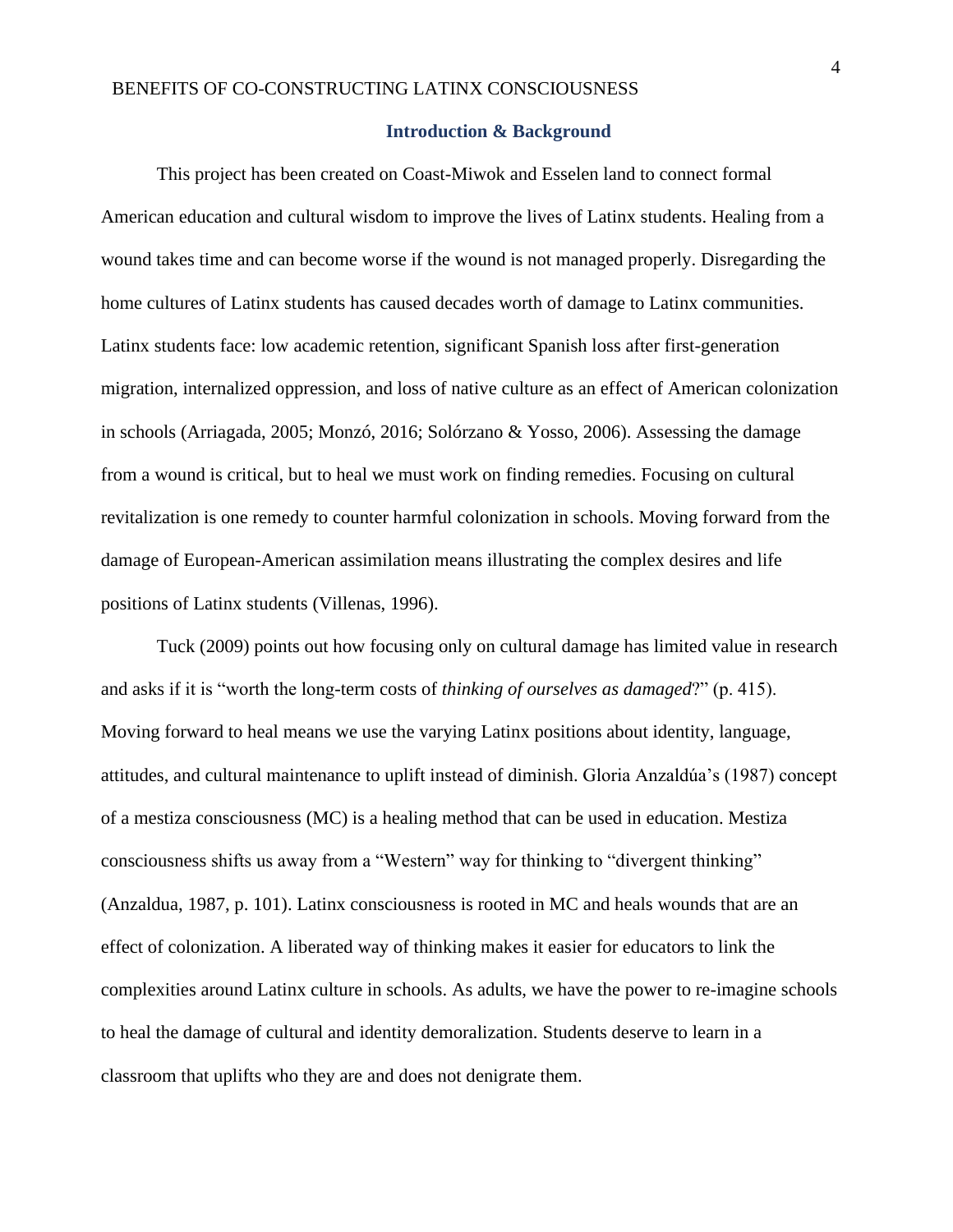## **Introduction & Background**

<span id="page-4-0"></span>This project has been created on Coast-Miwok and Esselen land to connect formal American education and cultural wisdom to improve the lives of Latinx students. Healing from a wound takes time and can become worse if the wound is not managed properly. Disregarding the home cultures of Latinx students has caused decades worth of damage to Latinx communities. Latinx students face: low academic retention, significant Spanish loss after first-generation migration, internalized oppression, and loss of native culture as an effect of American colonization in schools (Arriagada, 2005; Monzó, 2016; Solórzano & Yosso, 2006). Assessing the damage from a wound is critical, but to heal we must work on finding remedies. Focusing on cultural revitalization is one remedy to counter harmful colonization in schools. Moving forward from the damage of European-American assimilation means illustrating the complex desires and life positions of Latinx students (Villenas, 1996).

Tuck (2009) points out how focusing only on cultural damage has limited value in research and asks if it is "worth the long-term costs of *thinking of ourselves as damaged*?" (p. 415). Moving forward to heal means we use the varying Latinx positions about identity, language, attitudes, and cultural maintenance to uplift instead of diminish. Gloria Anzaldúa's (1987) concept of a mestiza consciousness (MC) is a healing method that can be used in education. Mestiza consciousness shifts us away from a "Western" way for thinking to "divergent thinking" (Anzaldua, 1987, p. 101). Latinx consciousness is rooted in MC and heals wounds that are an effect of colonization. A liberated way of thinking makes it easier for educators to link the complexities around Latinx culture in schools. As adults, we have the power to re-imagine schools to heal the damage of cultural and identity demoralization. Students deserve to learn in a classroom that uplifts who they are and does not denigrate them.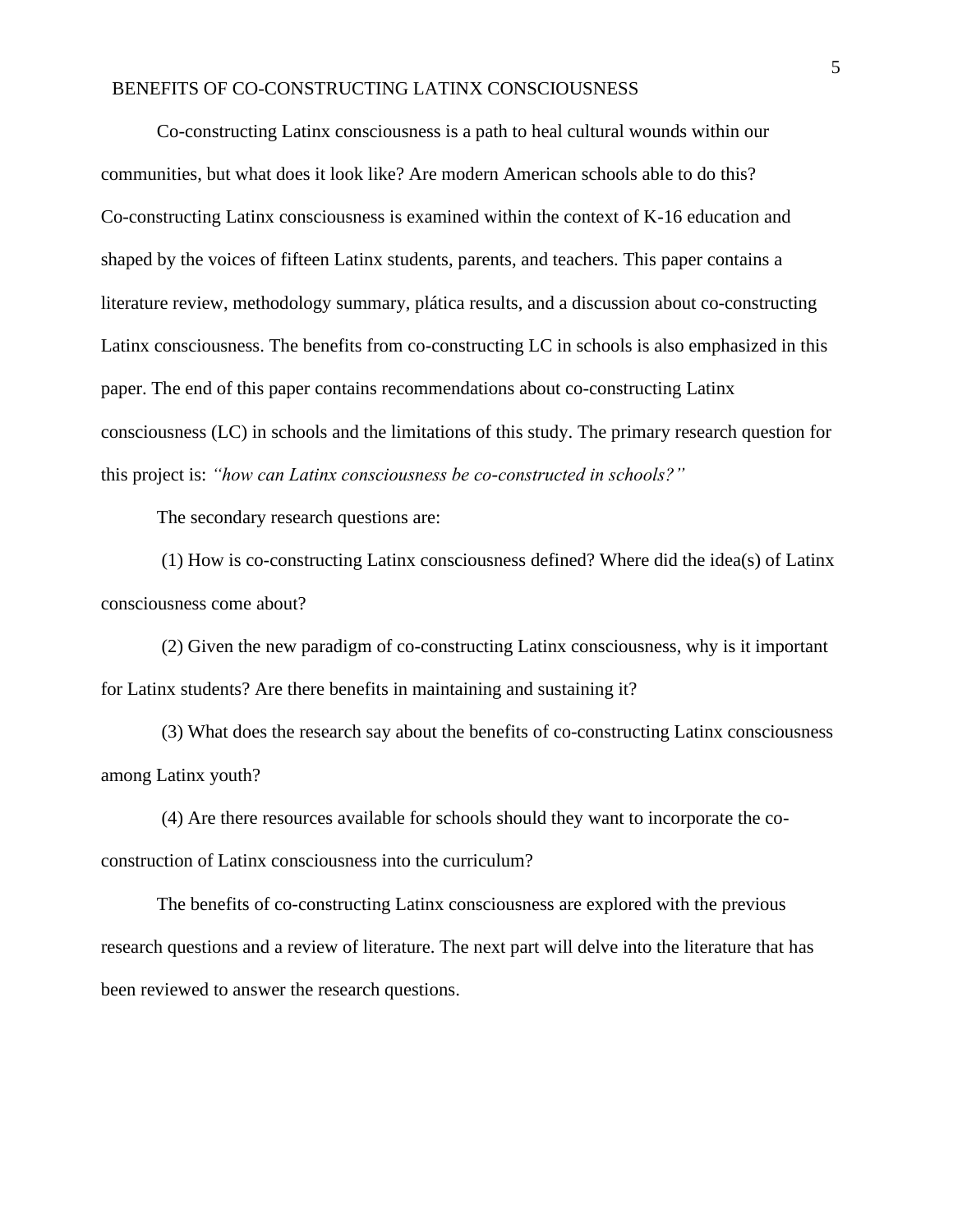Co-constructing Latinx consciousness is a path to heal cultural wounds within our communities, but what does it look like? Are modern American schools able to do this? Co-constructing Latinx consciousness is examined within the context of K-16 education and shaped by the voices of fifteen Latinx students, parents, and teachers. This paper contains a literature review, methodology summary, plática results, and a discussion about co-constructing Latinx consciousness. The benefits from co-constructing LC in schools is also emphasized in this paper. The end of this paper contains recommendations about co-constructing Latinx consciousness (LC) in schools and the limitations of this study. The primary research question for this project is: *"how can Latinx consciousness be co-constructed in schools?"*

The secondary research questions are:

(1) How is co-constructing Latinx consciousness defined? Where did the idea(s) of Latinx consciousness come about?

(2) Given the new paradigm of co-constructing Latinx consciousness, why is it important for Latinx students? Are there benefits in maintaining and sustaining it?

(3) What does the research say about the benefits of co-constructing Latinx consciousness among Latinx youth?

(4) Are there resources available for schools should they want to incorporate the coconstruction of Latinx consciousness into the curriculum?

The benefits of co-constructing Latinx consciousness are explored with the previous research questions and a review of literature. The next part will delve into the literature that has been reviewed to answer the research questions.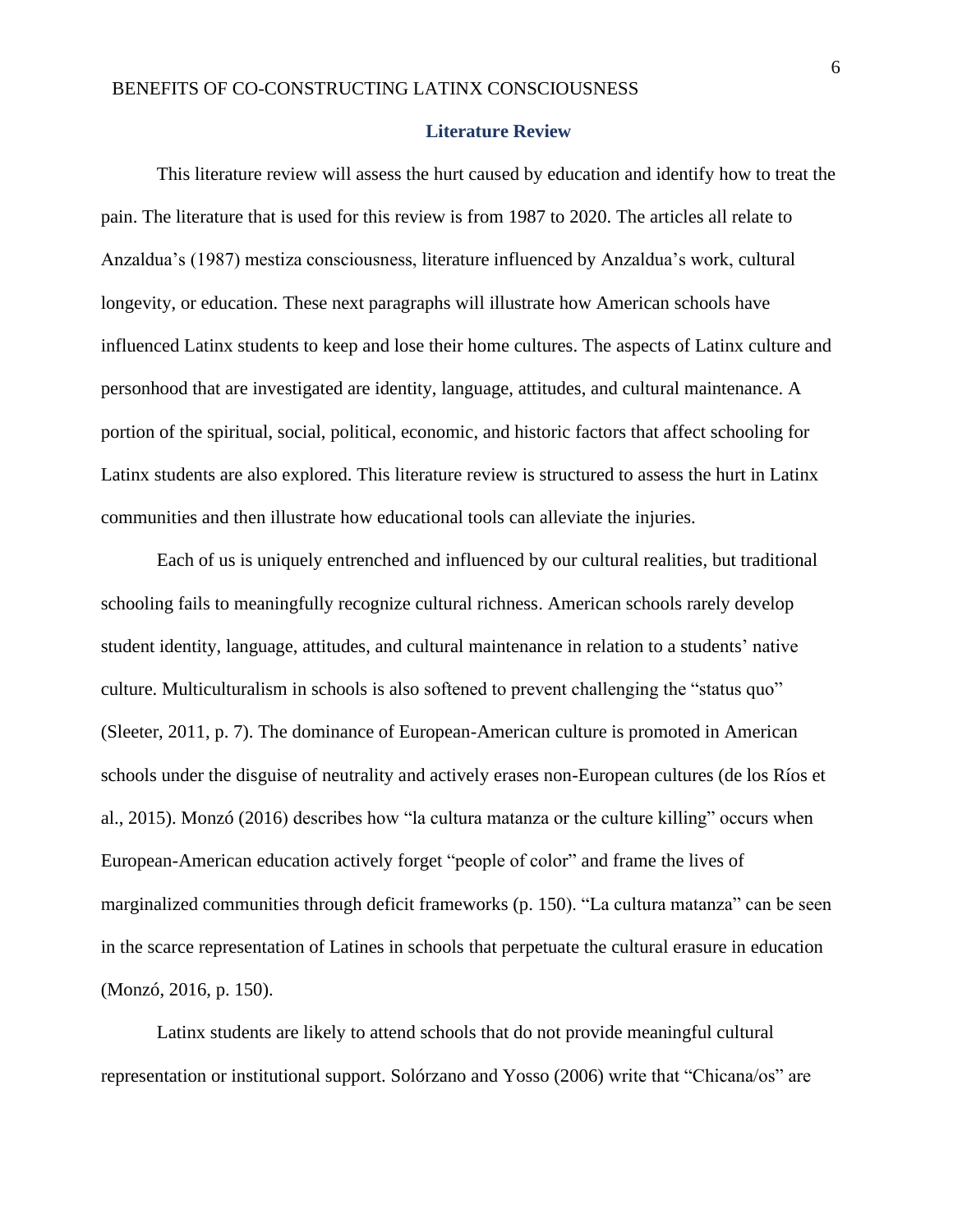#### **Literature Review**

<span id="page-6-0"></span>This literature review will assess the hurt caused by education and identify how to treat the pain. The literature that is used for this review is from 1987 to 2020. The articles all relate to Anzaldua's (1987) mestiza consciousness, literature influenced by Anzaldua's work, cultural longevity, or education. These next paragraphs will illustrate how American schools have influenced Latinx students to keep and lose their home cultures. The aspects of Latinx culture and personhood that are investigated are identity, language, attitudes, and cultural maintenance. A portion of the spiritual, social, political, economic, and historic factors that affect schooling for Latinx students are also explored. This literature review is structured to assess the hurt in Latinx communities and then illustrate how educational tools can alleviate the injuries.

Each of us is uniquely entrenched and influenced by our cultural realities, but traditional schooling fails to meaningfully recognize cultural richness. American schools rarely develop student identity, language, attitudes, and cultural maintenance in relation to a students' native culture. Multiculturalism in schools is also softened to prevent challenging the "status quo" (Sleeter, 2011, p. 7). The dominance of European-American culture is promoted in American schools under the disguise of neutrality and actively erases non-European cultures (de los Ríos et al., 2015). Monzó (2016) describes how "la cultura matanza or the culture killing" occurs when European-American education actively forget "people of color" and frame the lives of marginalized communities through deficit frameworks (p. 150). "La cultura matanza" can be seen in the scarce representation of Latines in schools that perpetuate the cultural erasure in education (Monzó, 2016, p. 150).

Latinx students are likely to attend schools that do not provide meaningful cultural representation or institutional support. Solórzano and Yosso (2006) write that "Chicana/os" are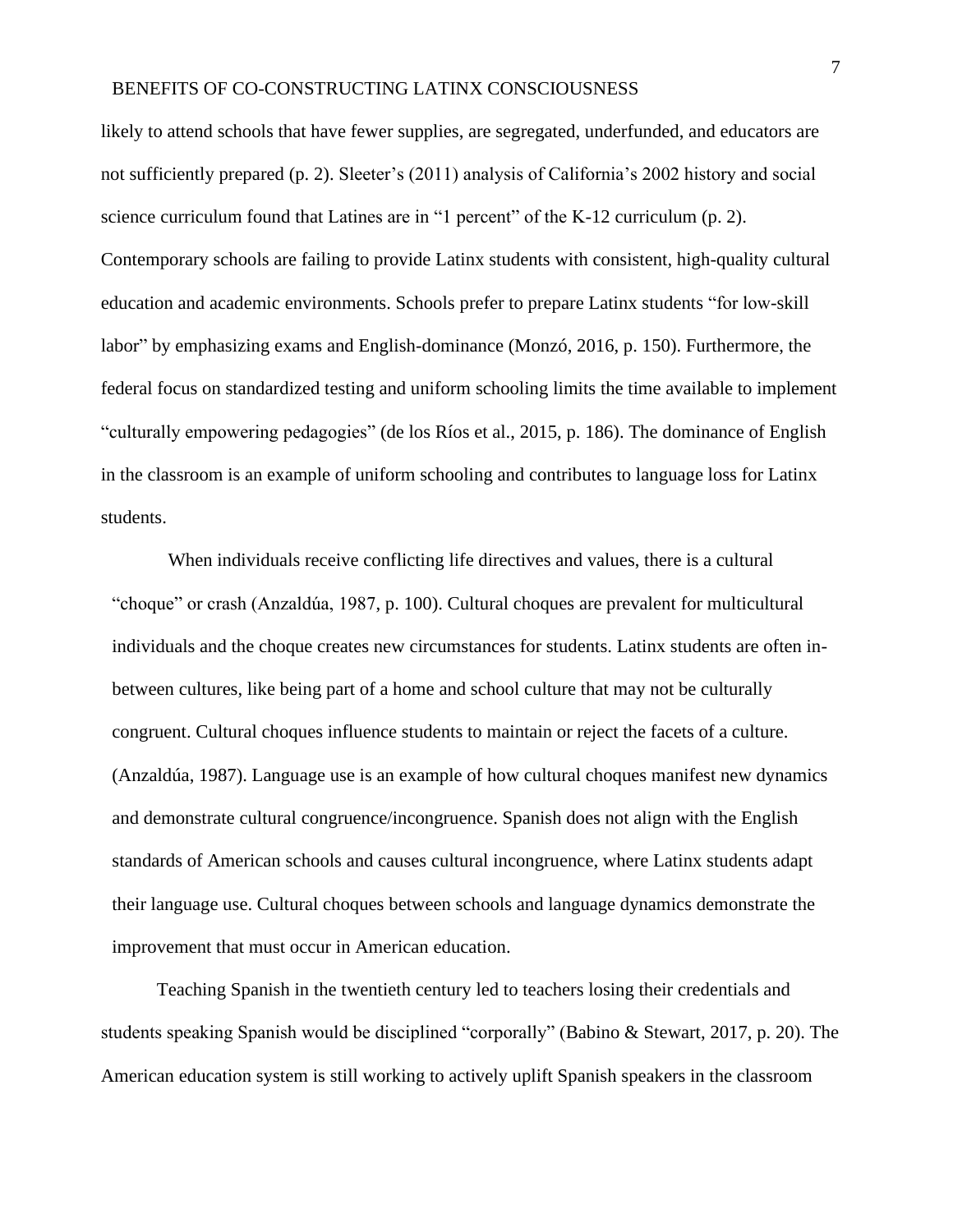likely to attend schools that have fewer supplies, are segregated, underfunded, and educators are not sufficiently prepared (p. 2). Sleeter's (2011) analysis of California's 2002 history and social science curriculum found that Latines are in "1 percent" of the K-12 curriculum (p. 2). Contemporary schools are failing to provide Latinx students with consistent, high-quality cultural education and academic environments. Schools prefer to prepare Latinx students "for low-skill labor" by emphasizing exams and English-dominance (Monzó, 2016, p. 150). Furthermore, the federal focus on standardized testing and uniform schooling limits the time available to implement "culturally empowering pedagogies" (de los Ríos et al., 2015, p. 186). The dominance of English in the classroom is an example of uniform schooling and contributes to language loss for Latinx students.

When individuals receive conflicting life directives and values, there is a cultural "choque" or crash (Anzaldúa, 1987, p. 100). Cultural choques are prevalent for multicultural individuals and the choque creates new circumstances for students. Latinx students are often inbetween cultures, like being part of a home and school culture that may not be culturally congruent. Cultural choques influence students to maintain or reject the facets of a culture. (Anzaldúa, 1987). Language use is an example of how cultural choques manifest new dynamics and demonstrate cultural congruence/incongruence. Spanish does not align with the English standards of American schools and causes cultural incongruence, where Latinx students adapt their language use. Cultural choques between schools and language dynamics demonstrate the improvement that must occur in American education.

Teaching Spanish in the twentieth century led to teachers losing their credentials and students speaking Spanish would be disciplined "corporally" (Babino & Stewart, 2017, p. 20). The American education system is still working to actively uplift Spanish speakers in the classroom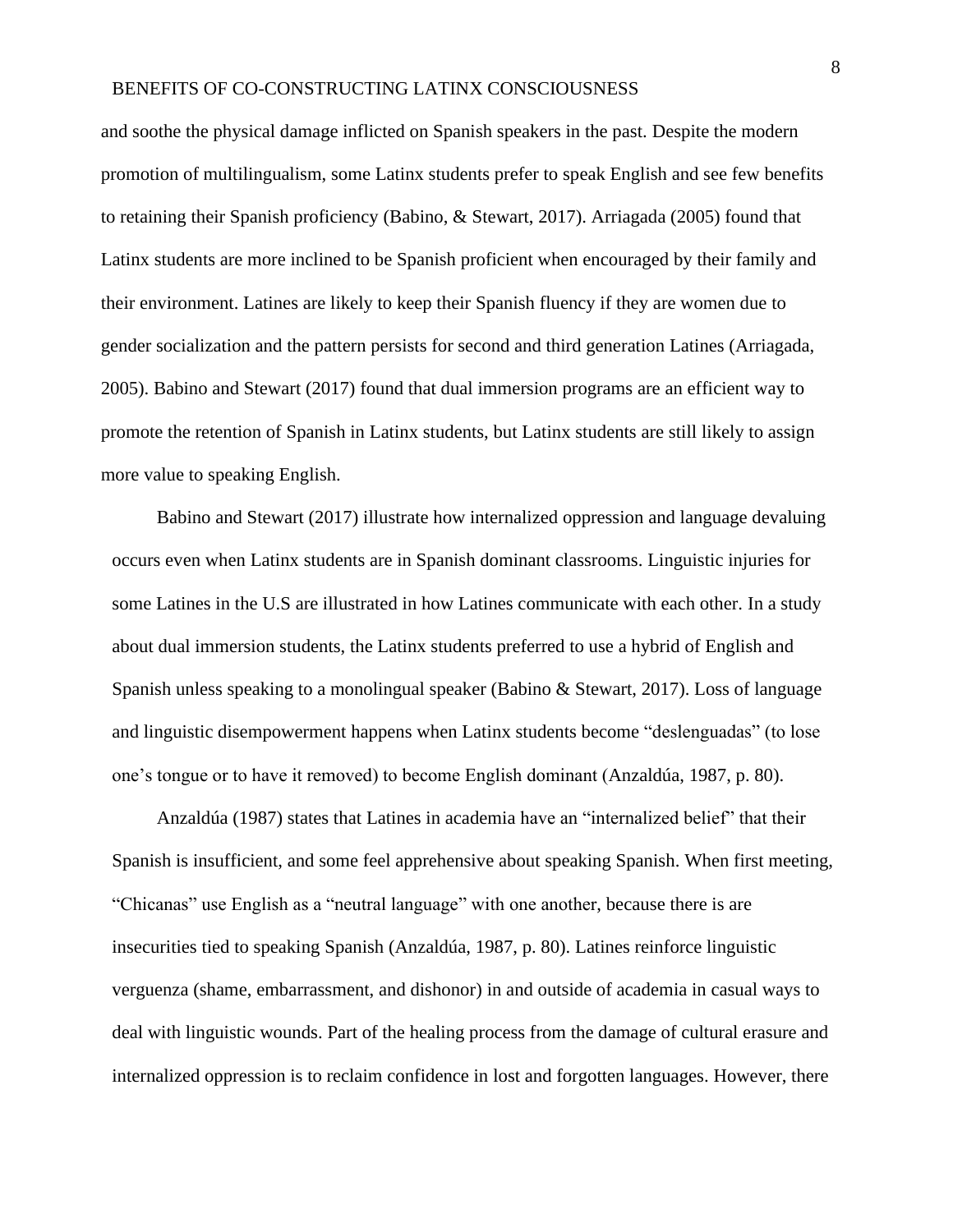and soothe the physical damage inflicted on Spanish speakers in the past. Despite the modern promotion of multilingualism, some Latinx students prefer to speak English and see few benefits to retaining their Spanish proficiency (Babino, & Stewart, 2017). Arriagada (2005) found that Latinx students are more inclined to be Spanish proficient when encouraged by their family and their environment. Latines are likely to keep their Spanish fluency if they are women due to gender socialization and the pattern persists for second and third generation Latines (Arriagada, 2005). Babino and Stewart (2017) found that dual immersion programs are an efficient way to promote the retention of Spanish in Latinx students, but Latinx students are still likely to assign more value to speaking English.

Babino and Stewart (2017) illustrate how internalized oppression and language devaluing occurs even when Latinx students are in Spanish dominant classrooms. Linguistic injuries for some Latines in the U.S are illustrated in how Latines communicate with each other. In a study about dual immersion students, the Latinx students preferred to use a hybrid of English and Spanish unless speaking to a monolingual speaker (Babino & Stewart, 2017). Loss of language and linguistic disempowerment happens when Latinx students become "deslenguadas" (to lose one's tongue or to have it removed) to become English dominant (Anzaldúa, 1987, p. 80).

Anzaldúa (1987) states that Latines in academia have an "internalized belief" that their Spanish is insufficient, and some feel apprehensive about speaking Spanish. When first meeting, "Chicanas" use English as a "neutral language" with one another, because there is are insecurities tied to speaking Spanish (Anzaldúa, 1987, p. 80). Latines reinforce linguistic verguenza (shame, embarrassment, and dishonor) in and outside of academia in casual ways to deal with linguistic wounds. Part of the healing process from the damage of cultural erasure and internalized oppression is to reclaim confidence in lost and forgotten languages. However, there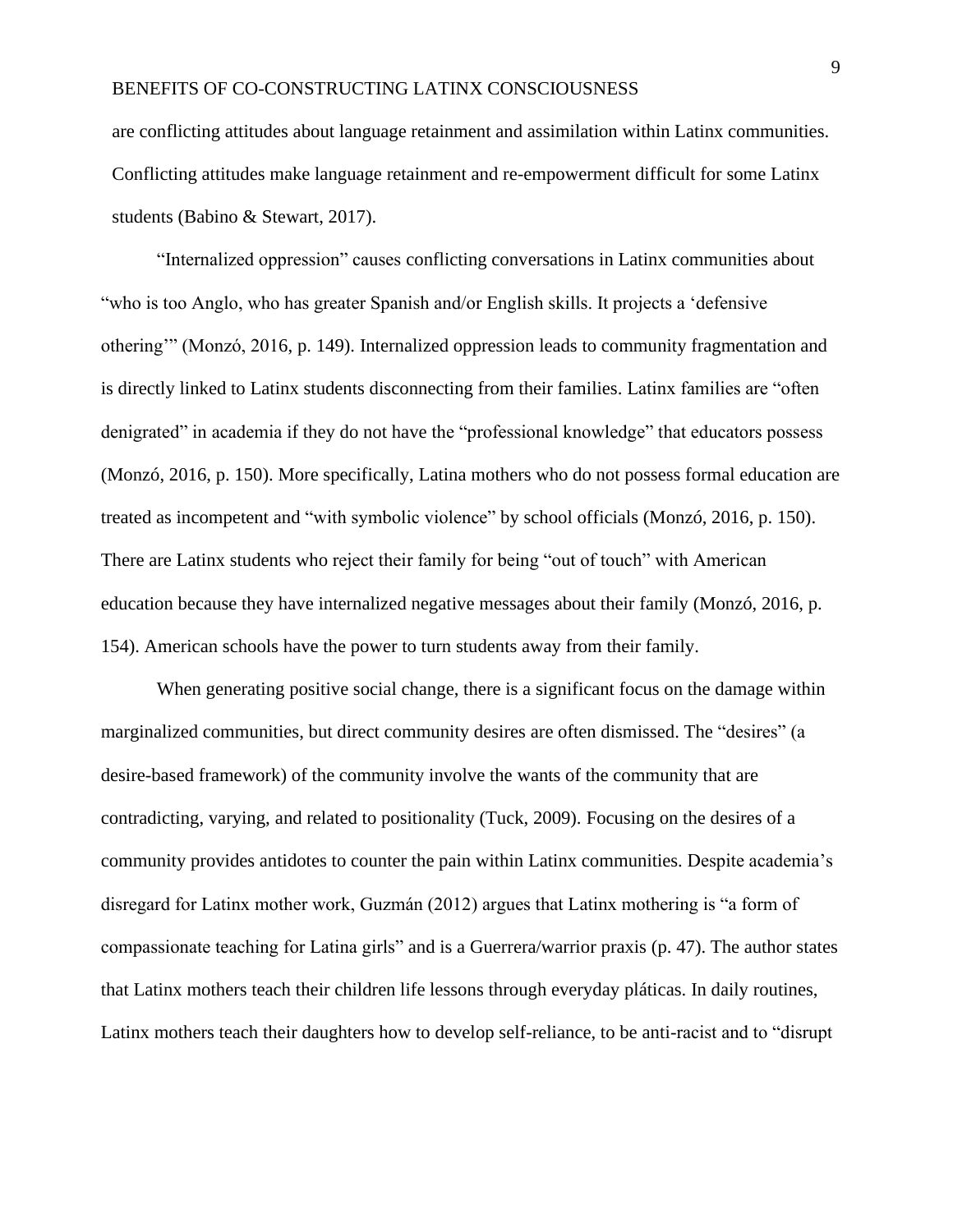are conflicting attitudes about language retainment and assimilation within Latinx communities. Conflicting attitudes make language retainment and re-empowerment difficult for some Latinx students (Babino & Stewart, 2017).

"Internalized oppression" causes conflicting conversations in Latinx communities about "who is too Anglo, who has greater Spanish and/or English skills. It projects a 'defensive othering'" (Monzó, 2016, p. 149). Internalized oppression leads to community fragmentation and is directly linked to Latinx students disconnecting from their families. Latinx families are "often denigrated" in academia if they do not have the "professional knowledge" that educators possess (Monzó, 2016, p. 150). More specifically, Latina mothers who do not possess formal education are treated as incompetent and "with symbolic violence" by school officials (Monzó, 2016, p. 150). There are Latinx students who reject their family for being "out of touch" with American education because they have internalized negative messages about their family (Monzó, 2016, p. 154). American schools have the power to turn students away from their family.

When generating positive social change, there is a significant focus on the damage within marginalized communities, but direct community desires are often dismissed. The "desires" (a desire-based framework) of the community involve the wants of the community that are contradicting, varying, and related to positionality (Tuck, 2009). Focusing on the desires of a community provides antidotes to counter the pain within Latinx communities. Despite academia's disregard for Latinx mother work, Guzmán (2012) argues that Latinx mothering is "a form of compassionate teaching for Latina girls" and is a Guerrera/warrior praxis (p. 47). The author states that Latinx mothers teach their children life lessons through everyday pláticas. In daily routines, Latinx mothers teach their daughters how to develop self-reliance, to be anti-racist and to "disrupt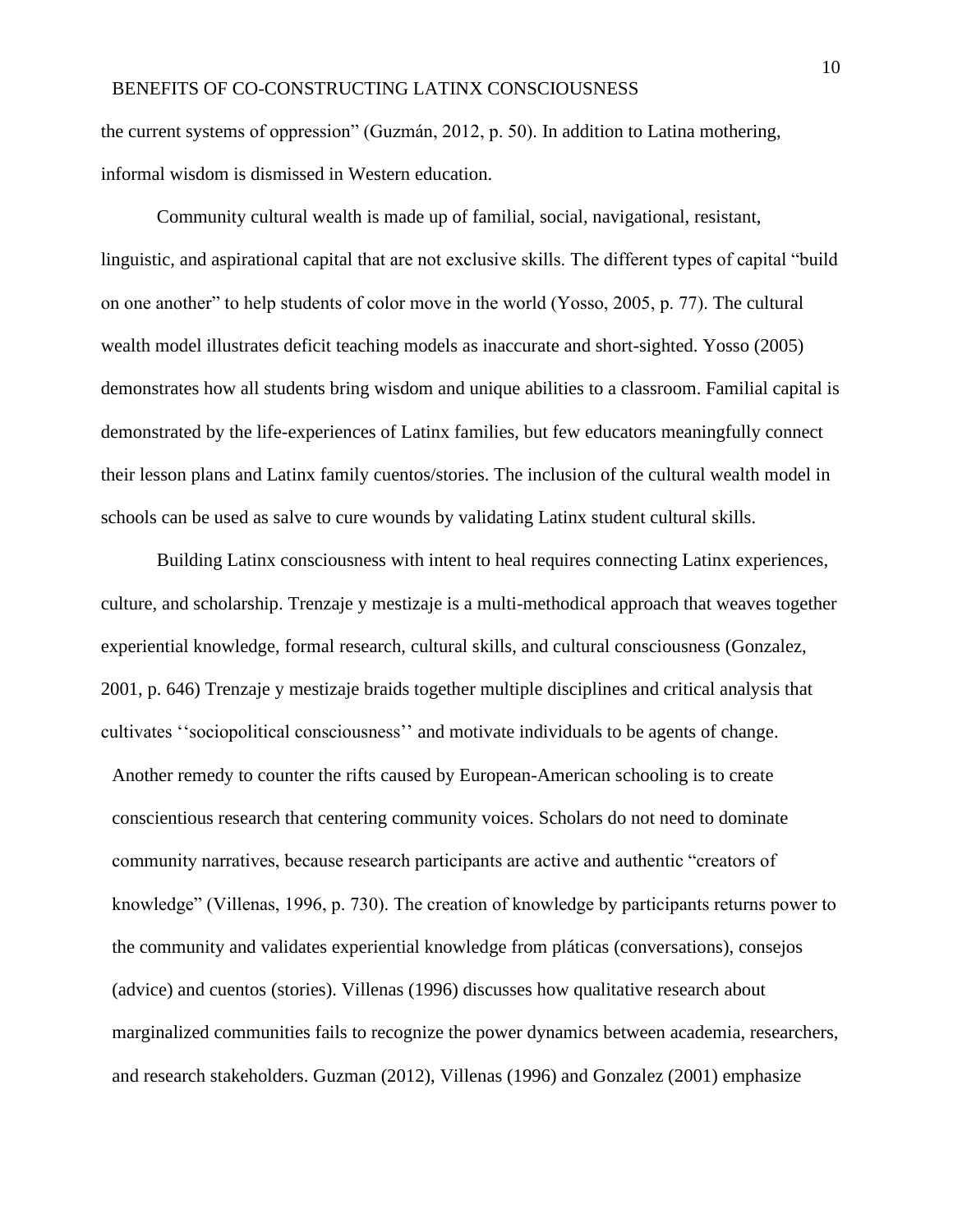the current systems of oppression" (Guzmán, 2012, p. 50). In addition to Latina mothering, informal wisdom is dismissed in Western education.

Community cultural wealth is made up of familial, social, navigational, resistant, linguistic, and aspirational capital that are not exclusive skills. The different types of capital "build on one another" to help students of color move in the world (Yosso, 2005, p. 77). The cultural wealth model illustrates deficit teaching models as inaccurate and short-sighted. Yosso (2005) demonstrates how all students bring wisdom and unique abilities to a classroom. Familial capital is demonstrated by the life-experiences of Latinx families, but few educators meaningfully connect their lesson plans and Latinx family cuentos/stories. The inclusion of the cultural wealth model in schools can be used as salve to cure wounds by validating Latinx student cultural skills.

Building Latinx consciousness with intent to heal requires connecting Latinx experiences, culture, and scholarship. Trenzaje y mestizaje is a multi-methodical approach that weaves together experiential knowledge, formal research, cultural skills, and cultural consciousness (Gonzalez, 2001, p. 646) Trenzaje y mestizaje braids together multiple disciplines and critical analysis that cultivates ''sociopolitical consciousness'' and motivate individuals to be agents of change. Another remedy to counter the rifts caused by European-American schooling is to create conscientious research that centering community voices. Scholars do not need to dominate community narratives, because research participants are active and authentic "creators of knowledge" (Villenas, 1996, p. 730). The creation of knowledge by participants returns power to the community and validates experiential knowledge from pláticas (conversations), consejos (advice) and cuentos (stories). Villenas (1996) discusses how qualitative research about marginalized communities fails to recognize the power dynamics between academia, researchers, and research stakeholders. Guzman (2012), Villenas (1996) and Gonzalez (2001) emphasize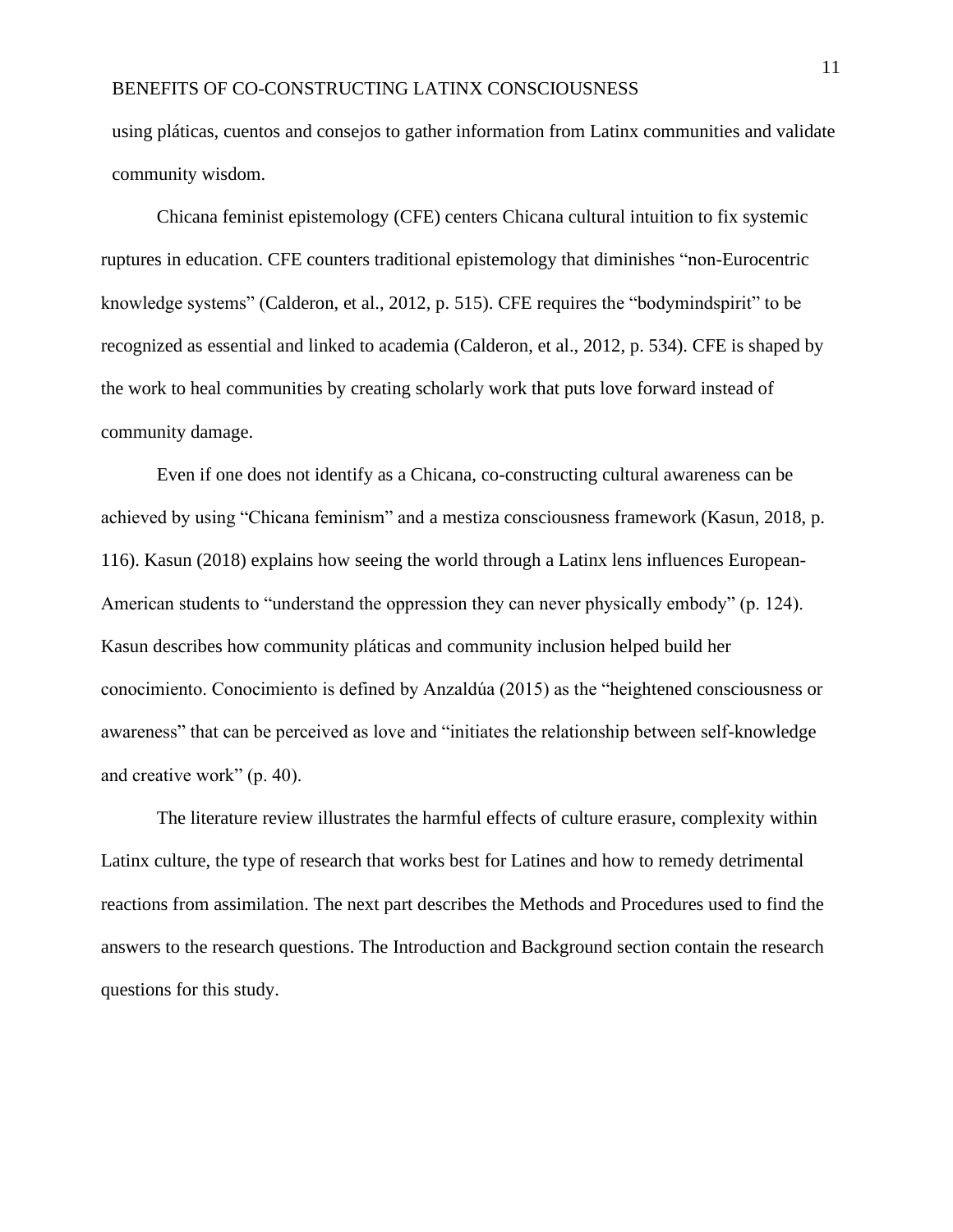using pláticas, cuentos and consejos to gather information from Latinx communities and validate community wisdom.

Chicana feminist epistemology (CFE) centers Chicana cultural intuition to fix systemic ruptures in education. CFE counters traditional epistemology that diminishes "non-Eurocentric knowledge systems" (Calderon, et al., 2012, p. 515). CFE requires the "bodymindspirit" to be recognized as essential and linked to academia (Calderon, et al., 2012, p. 534). CFE is shaped by the work to heal communities by creating scholarly work that puts love forward instead of community damage.

Even if one does not identify as a Chicana, co-constructing cultural awareness can be achieved by using "Chicana feminism" and a mestiza consciousness framework (Kasun, 2018, p. 116). Kasun (2018) explains how seeing the world through a Latinx lens influences European-American students to "understand the oppression they can never physically embody" (p. 124). Kasun describes how community pláticas and community inclusion helped build her conocimiento. Conocimiento is defined by Anzaldúa (2015) as the "heightened consciousness or awareness" that can be perceived as love and "initiates the relationship between self-knowledge and creative work" (p. 40).

The literature review illustrates the harmful effects of culture erasure, complexity within Latinx culture, the type of research that works best for Latines and how to remedy detrimental reactions from assimilation. The next part describes the Methods and Procedures used to find the answers to the research questions. The Introduction and Background section contain the research questions for this study.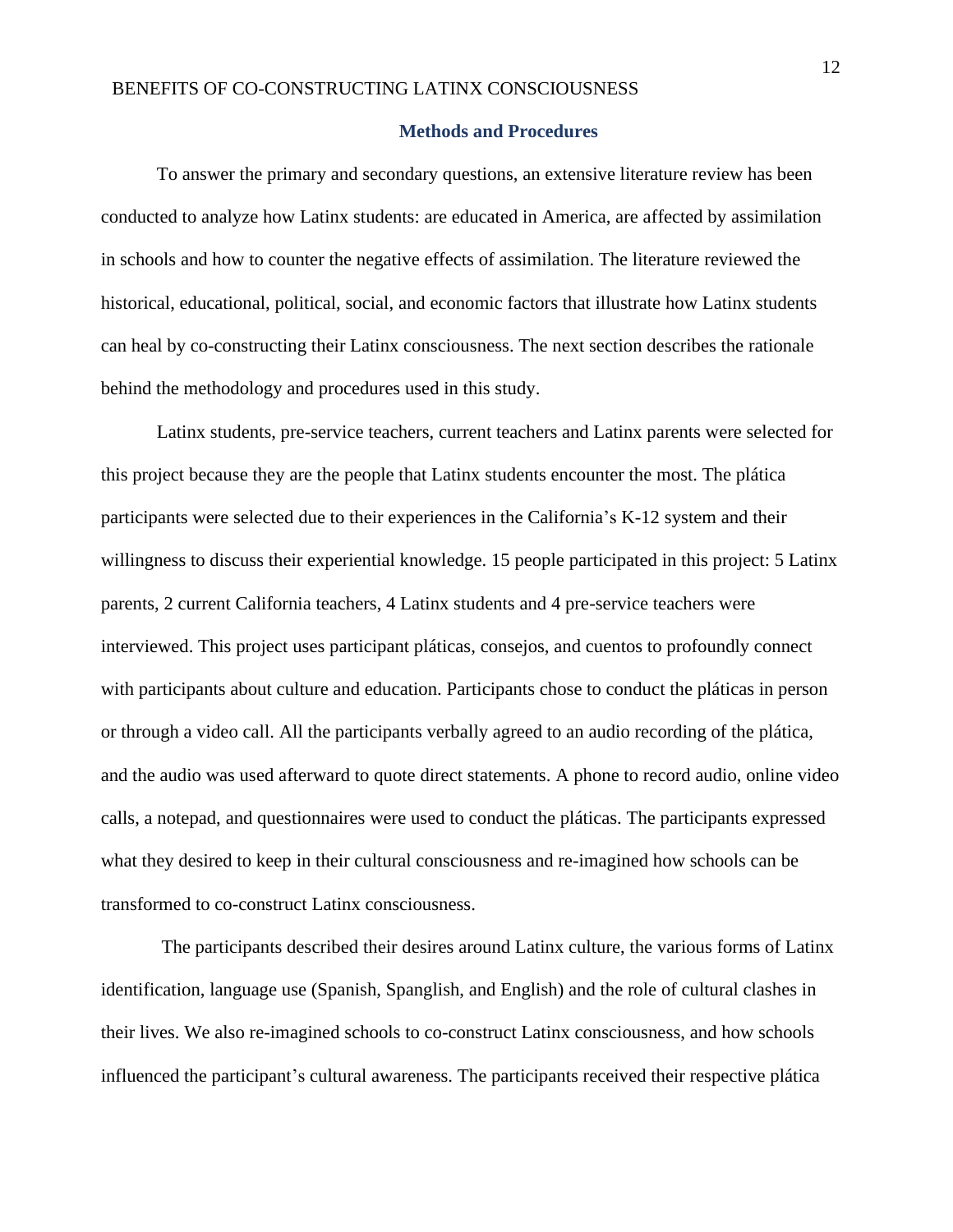#### **Methods and Procedures**

<span id="page-12-0"></span>To answer the primary and secondary questions, an extensive literature review has been conducted to analyze how Latinx students: are educated in America, are affected by assimilation in schools and how to counter the negative effects of assimilation. The literature reviewed the historical, educational, political, social, and economic factors that illustrate how Latinx students can heal by co-constructing their Latinx consciousness. The next section describes the rationale behind the methodology and procedures used in this study.

Latinx students, pre-service teachers, current teachers and Latinx parents were selected for this project because they are the people that Latinx students encounter the most. The plática participants were selected due to their experiences in the California's K-12 system and their willingness to discuss their experiential knowledge. 15 people participated in this project: 5 Latinx parents, 2 current California teachers, 4 Latinx students and 4 pre-service teachers were interviewed. This project uses participant pláticas, consejos, and cuentos to profoundly connect with participants about culture and education. Participants chose to conduct the pláticas in person or through a video call. All the participants verbally agreed to an audio recording of the plática, and the audio was used afterward to quote direct statements. A phone to record audio, online video calls, a notepad, and questionnaires were used to conduct the pláticas. The participants expressed what they desired to keep in their cultural consciousness and re-imagined how schools can be transformed to co-construct Latinx consciousness.

The participants described their desires around Latinx culture, the various forms of Latinx identification, language use (Spanish, Spanglish, and English) and the role of cultural clashes in their lives. We also re-imagined schools to co-construct Latinx consciousness, and how schools influenced the participant's cultural awareness. The participants received their respective plática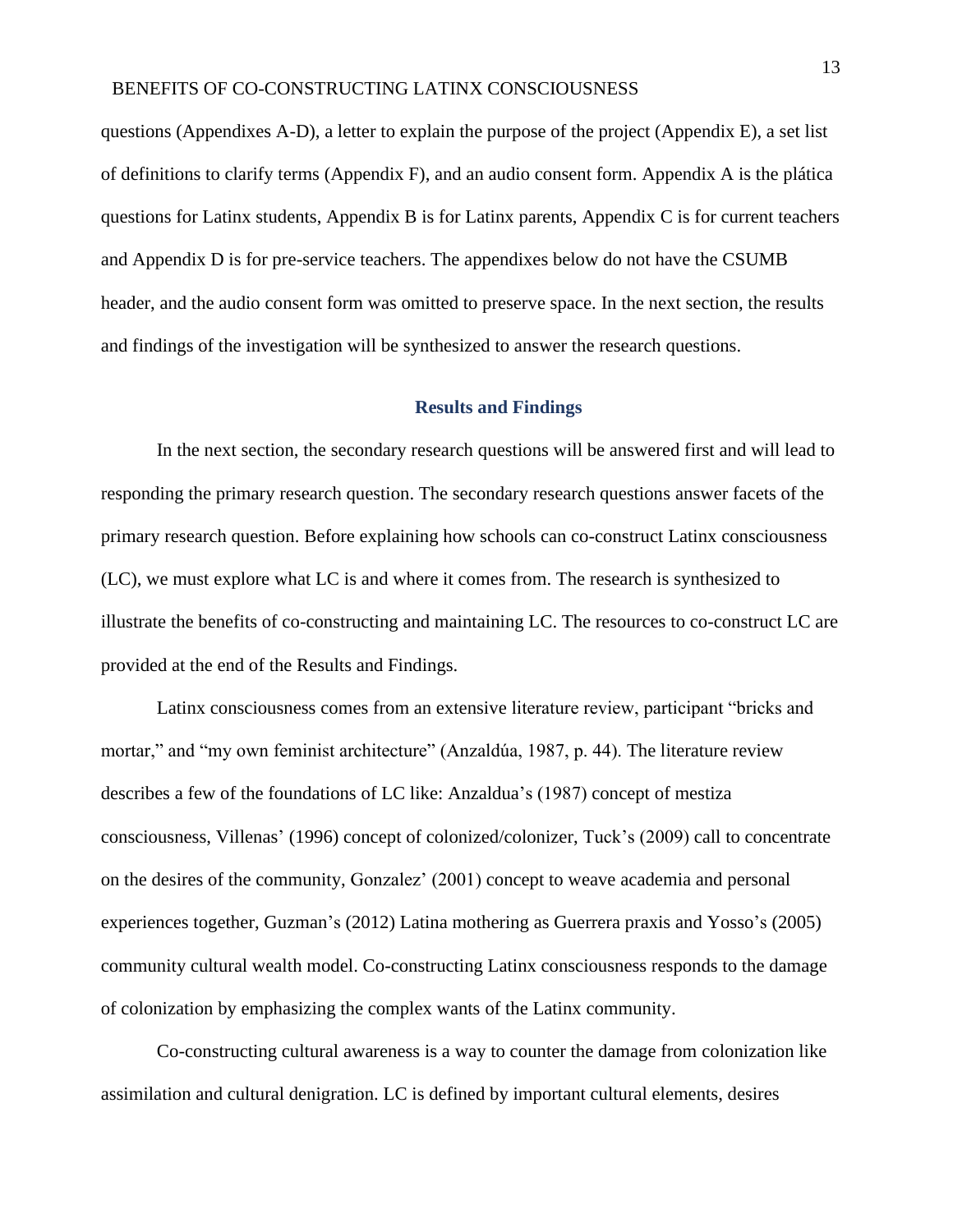questions (Appendixes A-D), a letter to explain the purpose of the project (Appendix E), a set list of definitions to clarify terms (Appendix F), and an audio consent form. Appendix A is the plática questions for Latinx students, Appendix B is for Latinx parents, Appendix C is for current teachers and Appendix D is for pre-service teachers. The appendixes below do not have the CSUMB header, and the audio consent form was omitted to preserve space. In the next section, the results and findings of the investigation will be synthesized to answer the research questions.

#### **Results and Findings**

<span id="page-13-0"></span>In the next section, the secondary research questions will be answered first and will lead to responding the primary research question. The secondary research questions answer facets of the primary research question. Before explaining how schools can co-construct Latinx consciousness (LC), we must explore what LC is and where it comes from. The research is synthesized to illustrate the benefits of co-constructing and maintaining LC. The resources to co-construct LC are provided at the end of the Results and Findings.

Latinx consciousness comes from an extensive literature review, participant "bricks and mortar," and "my own feminist architecture" (Anzaldúa, 1987, p. 44). The literature review describes a few of the foundations of LC like: Anzaldua's (1987) concept of mestiza consciousness, Villenas' (1996) concept of colonized/colonizer, Tuck's (2009) call to concentrate on the desires of the community, Gonzalez' (2001) concept to weave academia and personal experiences together, Guzman's (2012) Latina mothering as Guerrera praxis and Yosso's (2005) community cultural wealth model. Co-constructing Latinx consciousness responds to the damage of colonization by emphasizing the complex wants of the Latinx community.

Co-constructing cultural awareness is a way to counter the damage from colonization like assimilation and cultural denigration. LC is defined by important cultural elements, desires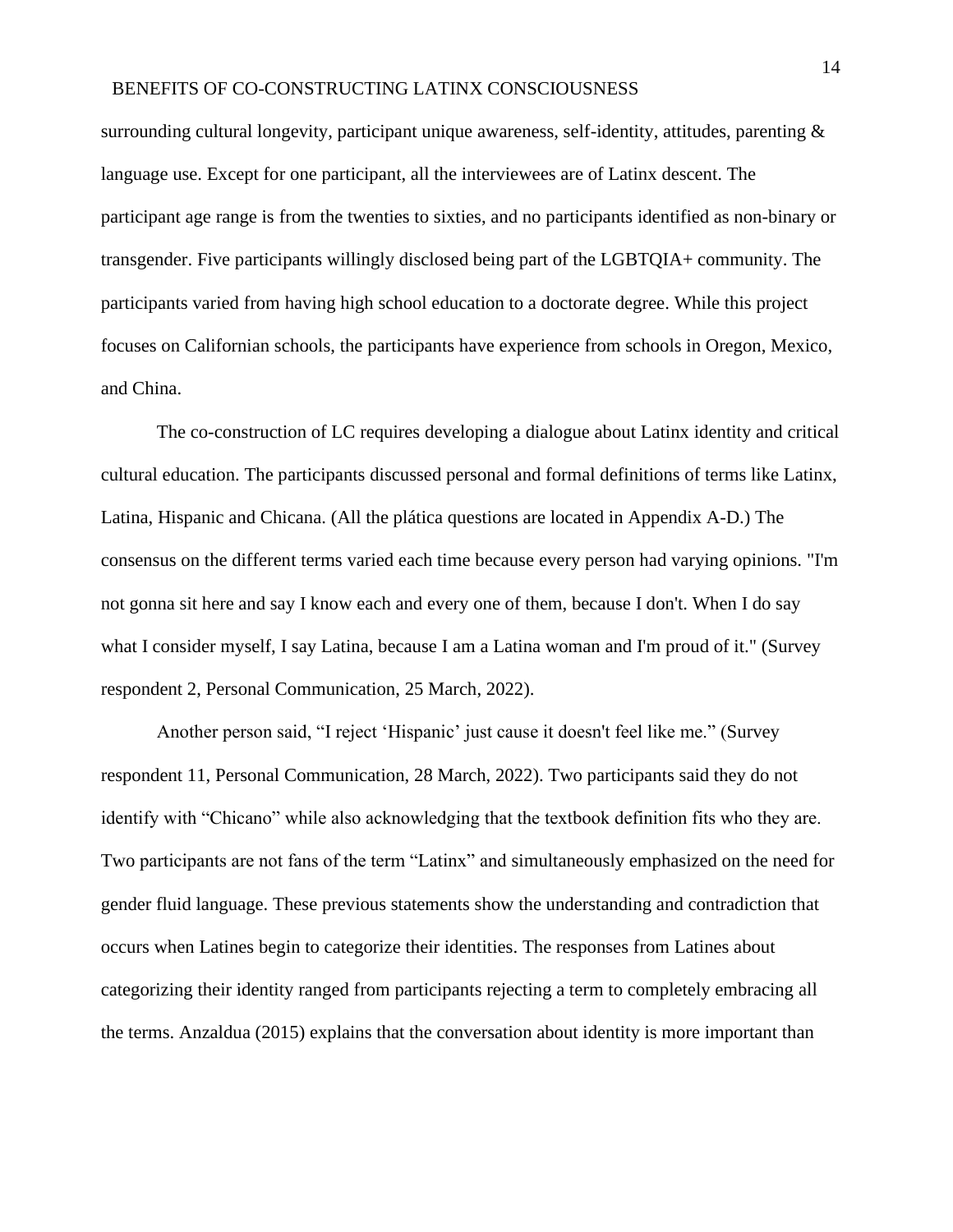surrounding cultural longevity, participant unique awareness, self-identity, attitudes, parenting  $\&$ language use. Except for one participant, all the interviewees are of Latinx descent. The participant age range is from the twenties to sixties, and no participants identified as non-binary or transgender. Five participants willingly disclosed being part of the LGBTQIA+ community. The participants varied from having high school education to a doctorate degree. While this project focuses on Californian schools, the participants have experience from schools in Oregon, Mexico, and China.

The co-construction of LC requires developing a dialogue about Latinx identity and critical cultural education. The participants discussed personal and formal definitions of terms like Latinx, Latina, Hispanic and Chicana. (All the plática questions are located in Appendix A-D.) The consensus on the different terms varied each time because every person had varying opinions. "I'm not gonna sit here and say I know each and every one of them, because I don't. When I do say what I consider myself, I say Latina, because I am a Latina woman and I'm proud of it." (Survey respondent 2, Personal Communication, 25 March, 2022).

Another person said, "I reject 'Hispanic' just cause it doesn't feel like me." (Survey respondent 11, Personal Communication, 28 March, 2022). Two participants said they do not identify with "Chicano" while also acknowledging that the textbook definition fits who they are. Two participants are not fans of the term "Latinx" and simultaneously emphasized on the need for gender fluid language. These previous statements show the understanding and contradiction that occurs when Latines begin to categorize their identities. The responses from Latines about categorizing their identity ranged from participants rejecting a term to completely embracing all the terms. Anzaldua (2015) explains that the conversation about identity is more important than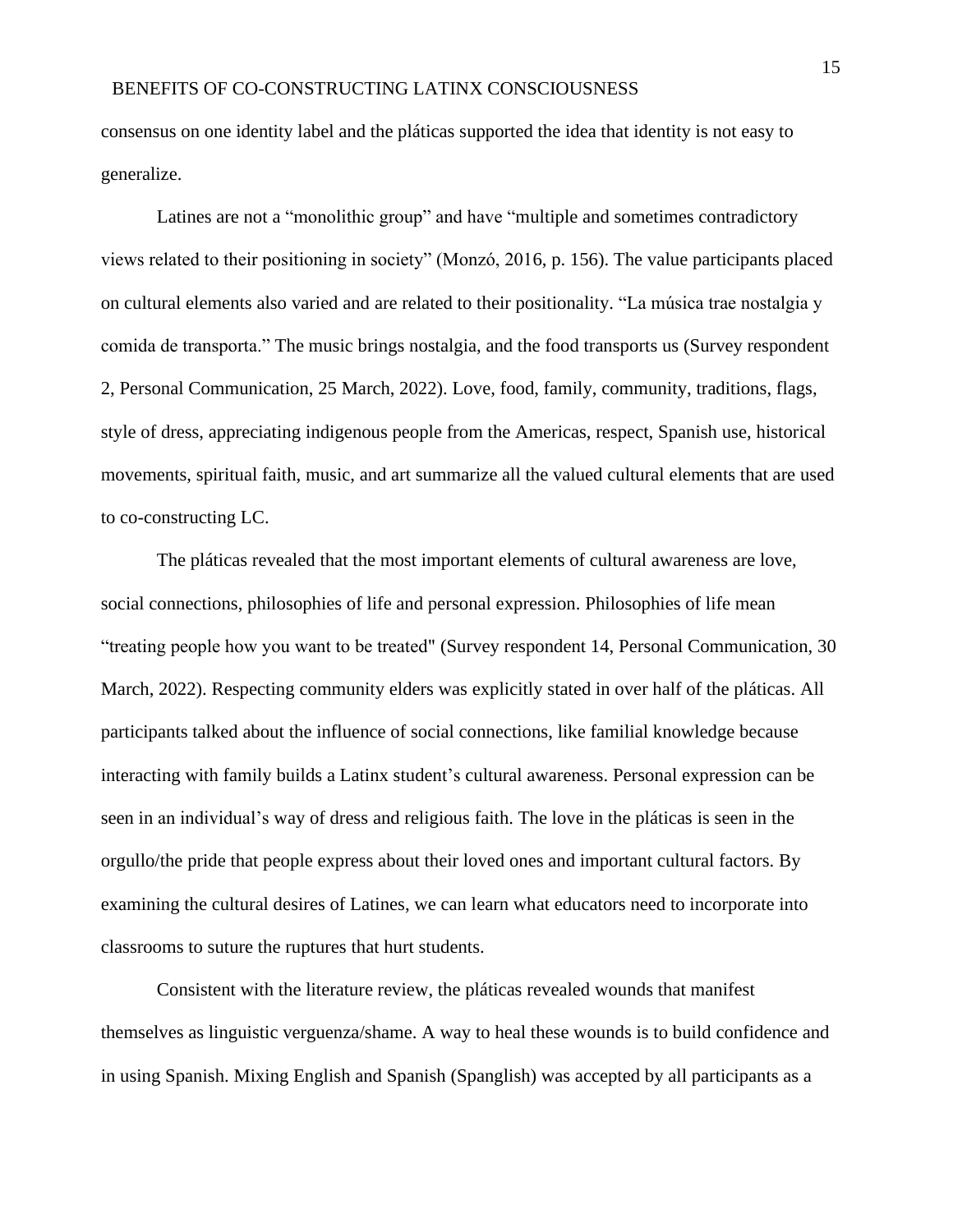consensus on one identity label and the pláticas supported the idea that identity is not easy to generalize.

Latines are not a "monolithic group" and have "multiple and sometimes contradictory views related to their positioning in society" (Monzó, 2016, p. 156). The value participants placed on cultural elements also varied and are related to their positionality. "La música trae nostalgia y comida de transporta." The music brings nostalgia, and the food transports us (Survey respondent 2, Personal Communication, 25 March, 2022). Love, food, family, community, traditions, flags, style of dress, appreciating indigenous people from the Americas, respect, Spanish use, historical movements, spiritual faith, music, and art summarize all the valued cultural elements that are used to co-constructing LC.

The pláticas revealed that the most important elements of cultural awareness are love, social connections, philosophies of life and personal expression. Philosophies of life mean "treating people how you want to be treated" (Survey respondent 14, Personal Communication, 30 March, 2022). Respecting community elders was explicitly stated in over half of the pláticas. All participants talked about the influence of social connections, like familial knowledge because interacting with family builds a Latinx student's cultural awareness. Personal expression can be seen in an individual's way of dress and religious faith. The love in the pláticas is seen in the orgullo/the pride that people express about their loved ones and important cultural factors. By examining the cultural desires of Latines, we can learn what educators need to incorporate into classrooms to suture the ruptures that hurt students.

Consistent with the literature review, the pláticas revealed wounds that manifest themselves as linguistic verguenza/shame. A way to heal these wounds is to build confidence and in using Spanish. Mixing English and Spanish (Spanglish) was accepted by all participants as a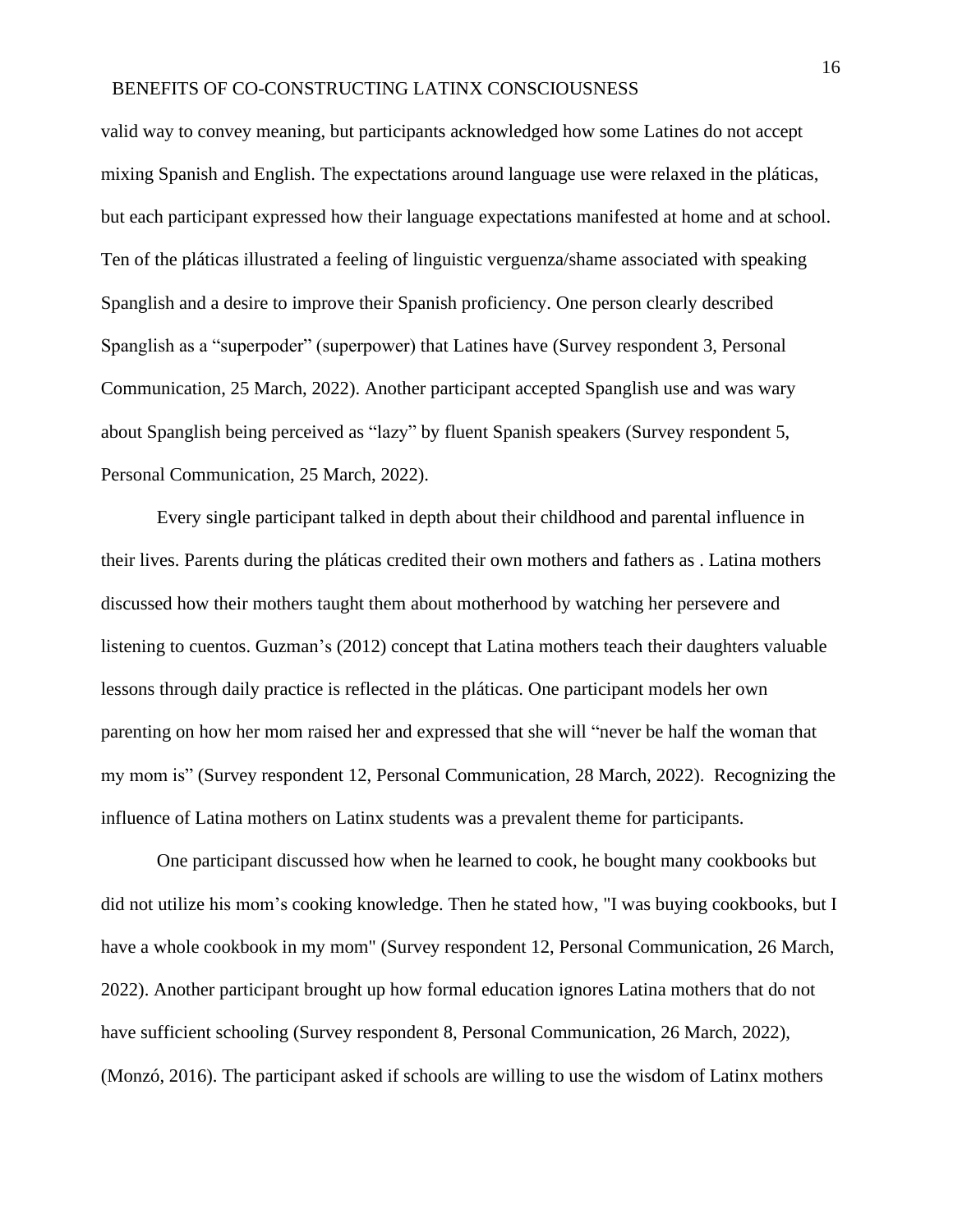valid way to convey meaning, but participants acknowledged how some Latines do not accept mixing Spanish and English. The expectations around language use were relaxed in the pláticas, but each participant expressed how their language expectations manifested at home and at school. Ten of the pláticas illustrated a feeling of linguistic verguenza/shame associated with speaking Spanglish and a desire to improve their Spanish proficiency. One person clearly described Spanglish as a "superpoder" (superpower) that Latines have (Survey respondent 3, Personal Communication, 25 March, 2022). Another participant accepted Spanglish use and was wary about Spanglish being perceived as "lazy" by fluent Spanish speakers (Survey respondent 5, Personal Communication, 25 March, 2022).

Every single participant talked in depth about their childhood and parental influence in their lives. Parents during the pláticas credited their own mothers and fathers as . Latina mothers discussed how their mothers taught them about motherhood by watching her persevere and listening to cuentos. Guzman's (2012) concept that Latina mothers teach their daughters valuable lessons through daily practice is reflected in the pláticas. One participant models her own parenting on how her mom raised her and expressed that she will "never be half the woman that my mom is" (Survey respondent 12, Personal Communication, 28 March, 2022). Recognizing the influence of Latina mothers on Latinx students was a prevalent theme for participants.

One participant discussed how when he learned to cook, he bought many cookbooks but did not utilize his mom's cooking knowledge. Then he stated how, "I was buying cookbooks, but I have a whole cookbook in my mom" (Survey respondent 12, Personal Communication, 26 March, 2022). Another participant brought up how formal education ignores Latina mothers that do not have sufficient schooling (Survey respondent 8, Personal Communication, 26 March, 2022), (Monzó, 2016). The participant asked if schools are willing to use the wisdom of Latinx mothers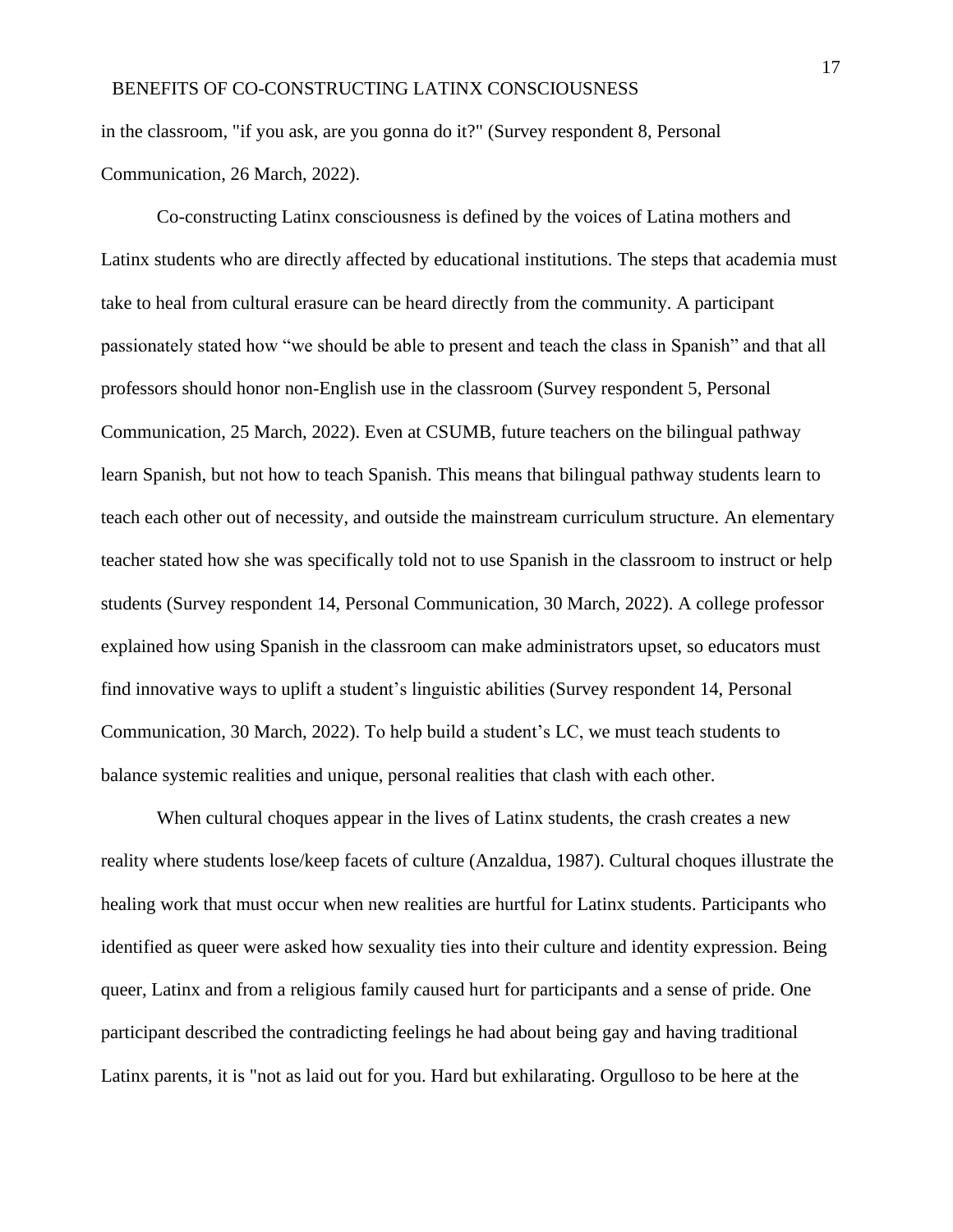in the classroom, "if you ask, are you gonna do it?" (Survey respondent 8, Personal Communication, 26 March, 2022).

Co-constructing Latinx consciousness is defined by the voices of Latina mothers and Latinx students who are directly affected by educational institutions. The steps that academia must take to heal from cultural erasure can be heard directly from the community. A participant passionately stated how "we should be able to present and teach the class in Spanish" and that all professors should honor non-English use in the classroom (Survey respondent 5, Personal Communication, 25 March, 2022). Even at CSUMB, future teachers on the bilingual pathway learn Spanish, but not how to teach Spanish. This means that bilingual pathway students learn to teach each other out of necessity, and outside the mainstream curriculum structure. An elementary teacher stated how she was specifically told not to use Spanish in the classroom to instruct or help students (Survey respondent 14, Personal Communication, 30 March, 2022). A college professor explained how using Spanish in the classroom can make administrators upset, so educators must find innovative ways to uplift a student's linguistic abilities (Survey respondent 14, Personal Communication, 30 March, 2022). To help build a student's LC, we must teach students to balance systemic realities and unique, personal realities that clash with each other.

When cultural choques appear in the lives of Latinx students, the crash creates a new reality where students lose/keep facets of culture (Anzaldua, 1987). Cultural choques illustrate the healing work that must occur when new realities are hurtful for Latinx students. Participants who identified as queer were asked how sexuality ties into their culture and identity expression. Being queer, Latinx and from a religious family caused hurt for participants and a sense of pride. One participant described the contradicting feelings he had about being gay and having traditional Latinx parents, it is "not as laid out for you. Hard but exhilarating. Orgulloso to be here at the

17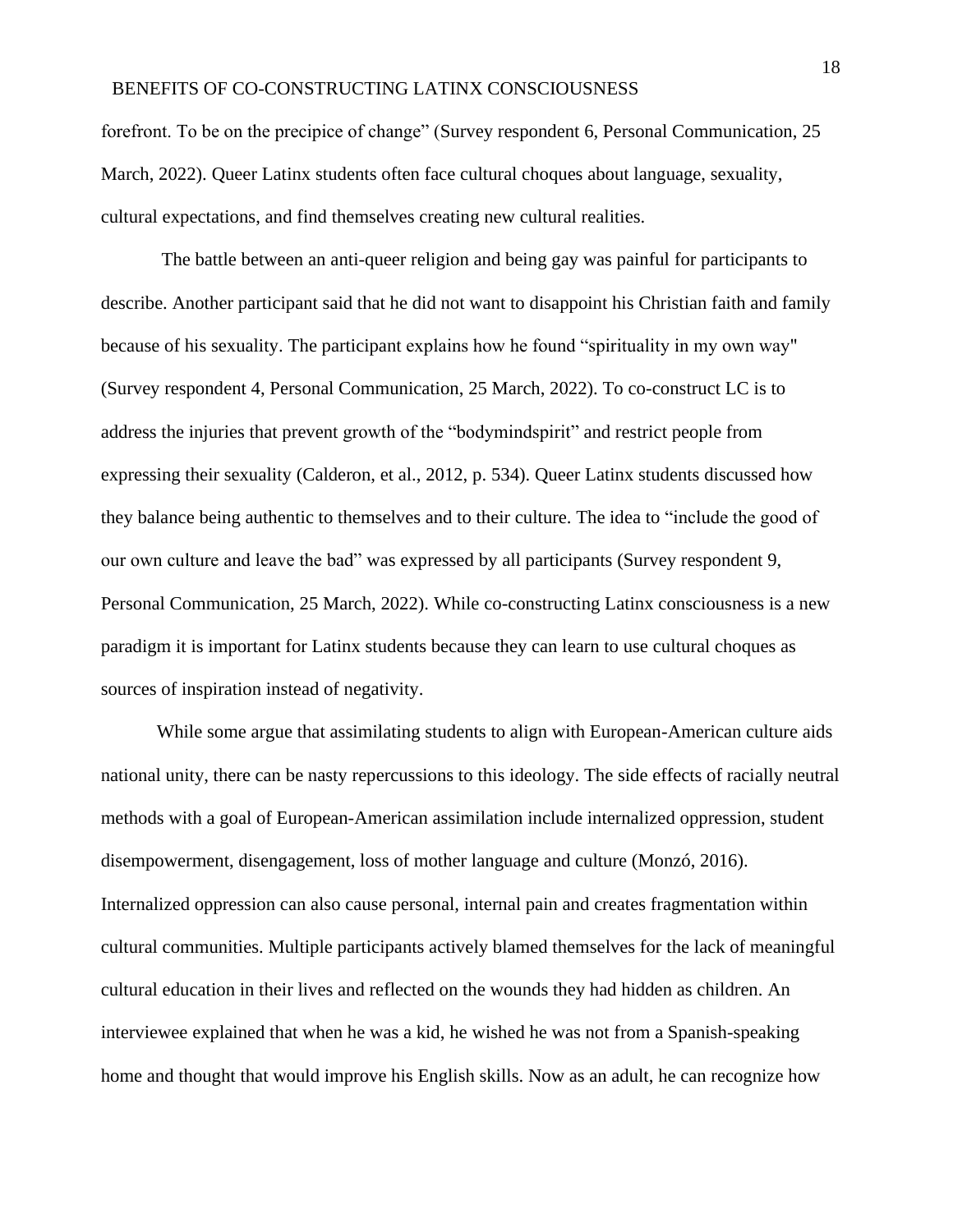forefront. To be on the precipice of change" (Survey respondent 6, Personal Communication, 25 March, 2022). Queer Latinx students often face cultural choques about language, sexuality, cultural expectations, and find themselves creating new cultural realities.

The battle between an anti-queer religion and being gay was painful for participants to describe. Another participant said that he did not want to disappoint his Christian faith and family because of his sexuality. The participant explains how he found "spirituality in my own way" (Survey respondent 4, Personal Communication, 25 March, 2022). To co-construct LC is to address the injuries that prevent growth of the "bodymindspirit" and restrict people from expressing their sexuality (Calderon, et al., 2012, p. 534). Queer Latinx students discussed how they balance being authentic to themselves and to their culture. The idea to "include the good of our own culture and leave the bad" was expressed by all participants (Survey respondent 9, Personal Communication, 25 March, 2022). While co-constructing Latinx consciousness is a new paradigm it is important for Latinx students because they can learn to use cultural choques as sources of inspiration instead of negativity.

While some argue that assimilating students to align with European-American culture aids national unity, there can be nasty repercussions to this ideology. The side effects of racially neutral methods with a goal of European-American assimilation include internalized oppression, student disempowerment, disengagement, loss of mother language and culture (Monzó, 2016). Internalized oppression can also cause personal, internal pain and creates fragmentation within cultural communities. Multiple participants actively blamed themselves for the lack of meaningful cultural education in their lives and reflected on the wounds they had hidden as children. An interviewee explained that when he was a kid, he wished he was not from a Spanish-speaking home and thought that would improve his English skills. Now as an adult, he can recognize how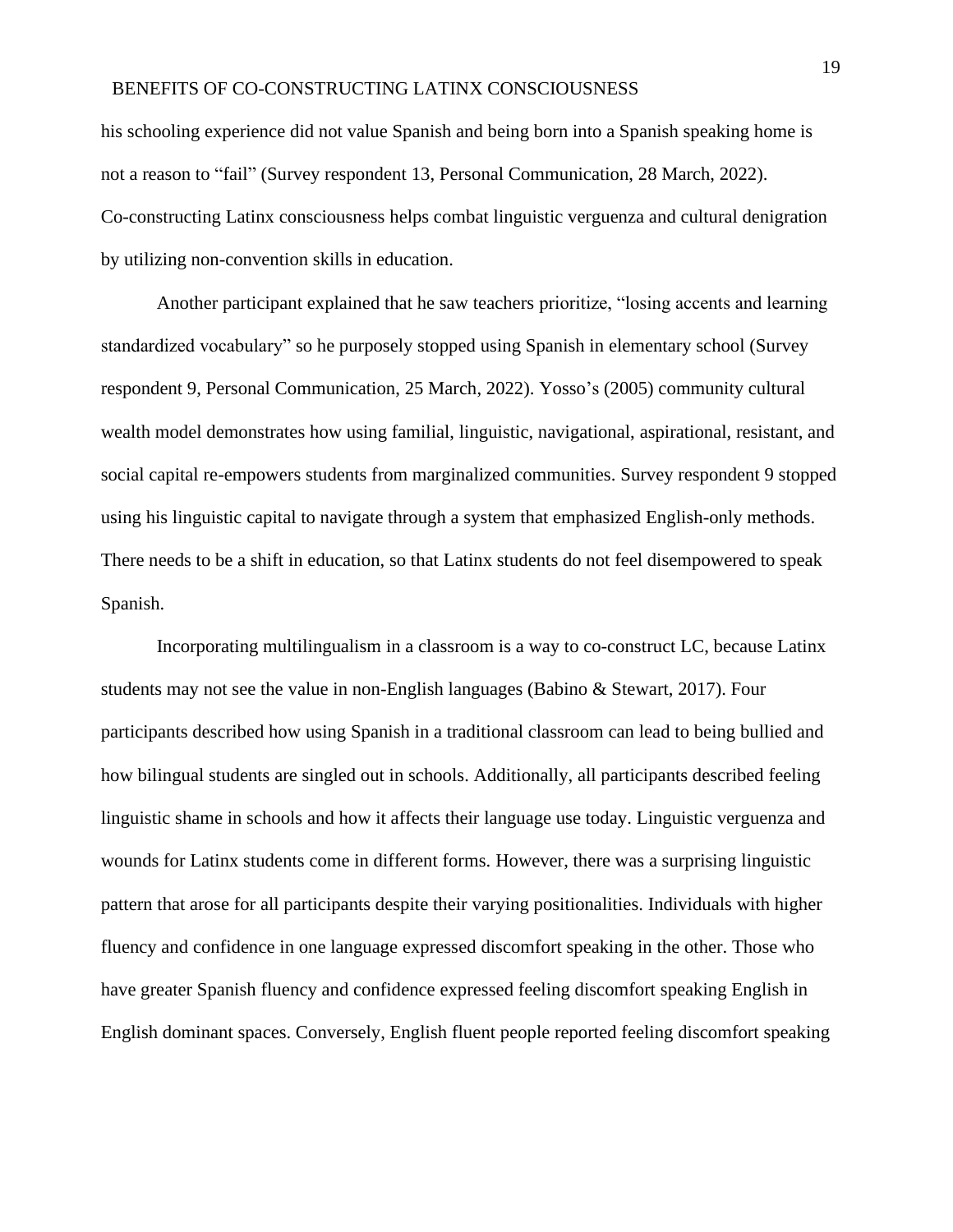his schooling experience did not value Spanish and being born into a Spanish speaking home is not a reason to "fail" (Survey respondent 13, Personal Communication, 28 March, 2022). Co-constructing Latinx consciousness helps combat linguistic verguenza and cultural denigration by utilizing non-convention skills in education.

Another participant explained that he saw teachers prioritize, "losing accents and learning standardized vocabulary" so he purposely stopped using Spanish in elementary school (Survey respondent 9, Personal Communication, 25 March, 2022). Yosso's (2005) community cultural wealth model demonstrates how using familial, linguistic, navigational, aspirational, resistant, and social capital re-empowers students from marginalized communities. Survey respondent 9 stopped using his linguistic capital to navigate through a system that emphasized English-only methods. There needs to be a shift in education, so that Latinx students do not feel disempowered to speak Spanish.

Incorporating multilingualism in a classroom is a way to co-construct LC, because Latinx students may not see the value in non-English languages (Babino & Stewart, 2017). Four participants described how using Spanish in a traditional classroom can lead to being bullied and how bilingual students are singled out in schools. Additionally, all participants described feeling linguistic shame in schools and how it affects their language use today. Linguistic verguenza and wounds for Latinx students come in different forms. However, there was a surprising linguistic pattern that arose for all participants despite their varying positionalities. Individuals with higher fluency and confidence in one language expressed discomfort speaking in the other. Those who have greater Spanish fluency and confidence expressed feeling discomfort speaking English in English dominant spaces. Conversely, English fluent people reported feeling discomfort speaking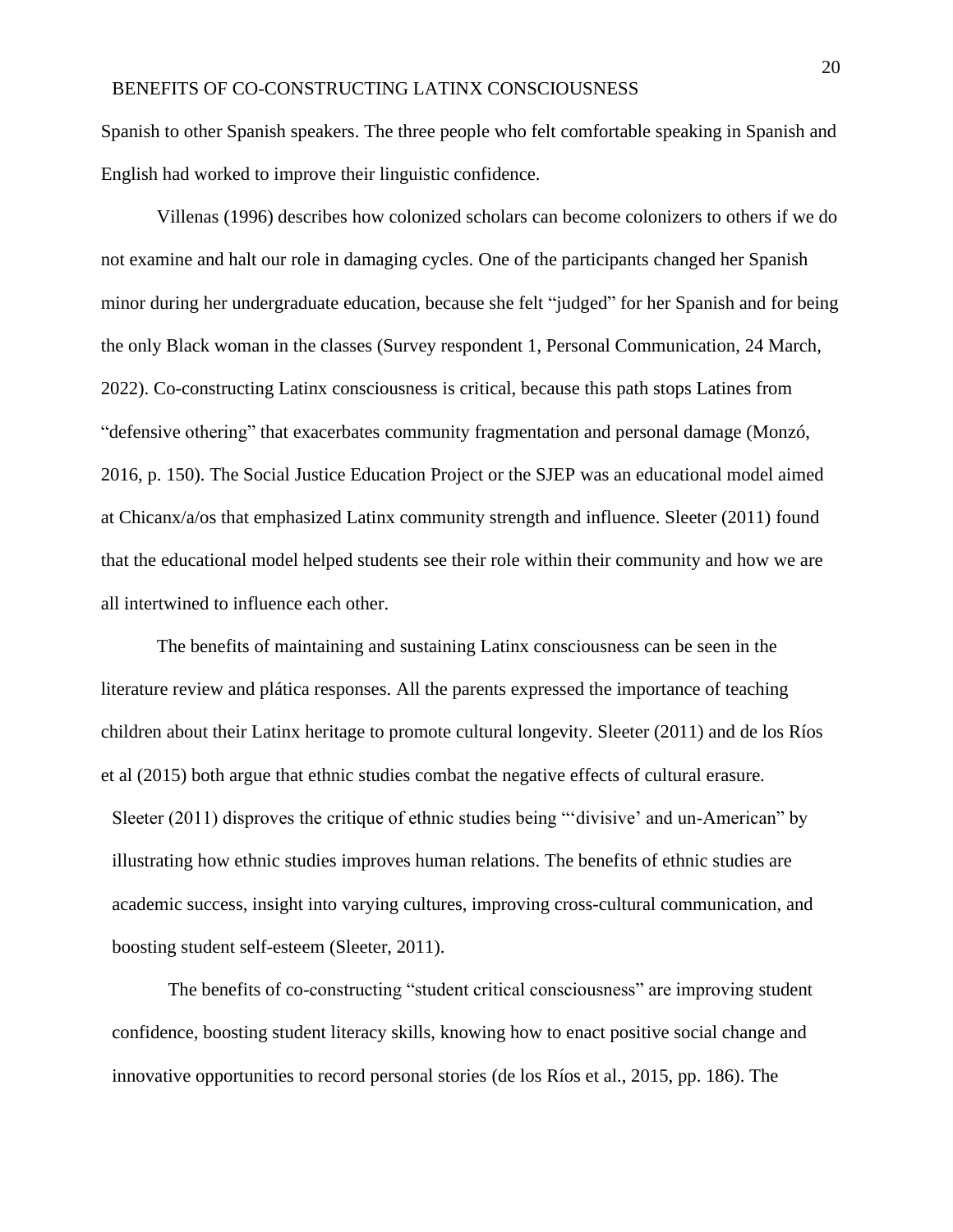Spanish to other Spanish speakers. The three people who felt comfortable speaking in Spanish and English had worked to improve their linguistic confidence.

Villenas (1996) describes how colonized scholars can become colonizers to others if we do not examine and halt our role in damaging cycles. One of the participants changed her Spanish minor during her undergraduate education, because she felt "judged" for her Spanish and for being the only Black woman in the classes (Survey respondent 1, Personal Communication, 24 March, 2022). Co-constructing Latinx consciousness is critical, because this path stops Latines from "defensive othering" that exacerbates community fragmentation and personal damage (Monzó, 2016, p. 150). The Social Justice Education Project or the SJEP was an educational model aimed at Chicanx/a/os that emphasized Latinx community strength and influence. Sleeter (2011) found that the educational model helped students see their role within their community and how we are all intertwined to influence each other.

The benefits of maintaining and sustaining Latinx consciousness can be seen in the literature review and plática responses. All the parents expressed the importance of teaching children about their Latinx heritage to promote cultural longevity. Sleeter (2011) and de los Ríos et al (2015) both argue that ethnic studies combat the negative effects of cultural erasure. Sleeter (2011) disproves the critique of ethnic studies being "'divisive' and un-American" by illustrating how ethnic studies improves human relations. The benefits of ethnic studies are academic success, insight into varying cultures, improving cross-cultural communication, and boosting student self-esteem (Sleeter, 2011).

The benefits of co-constructing "student critical consciousness" are improving student confidence, boosting student literacy skills, knowing how to enact positive social change and innovative opportunities to record personal stories (de los Ríos et al., 2015, pp. 186). The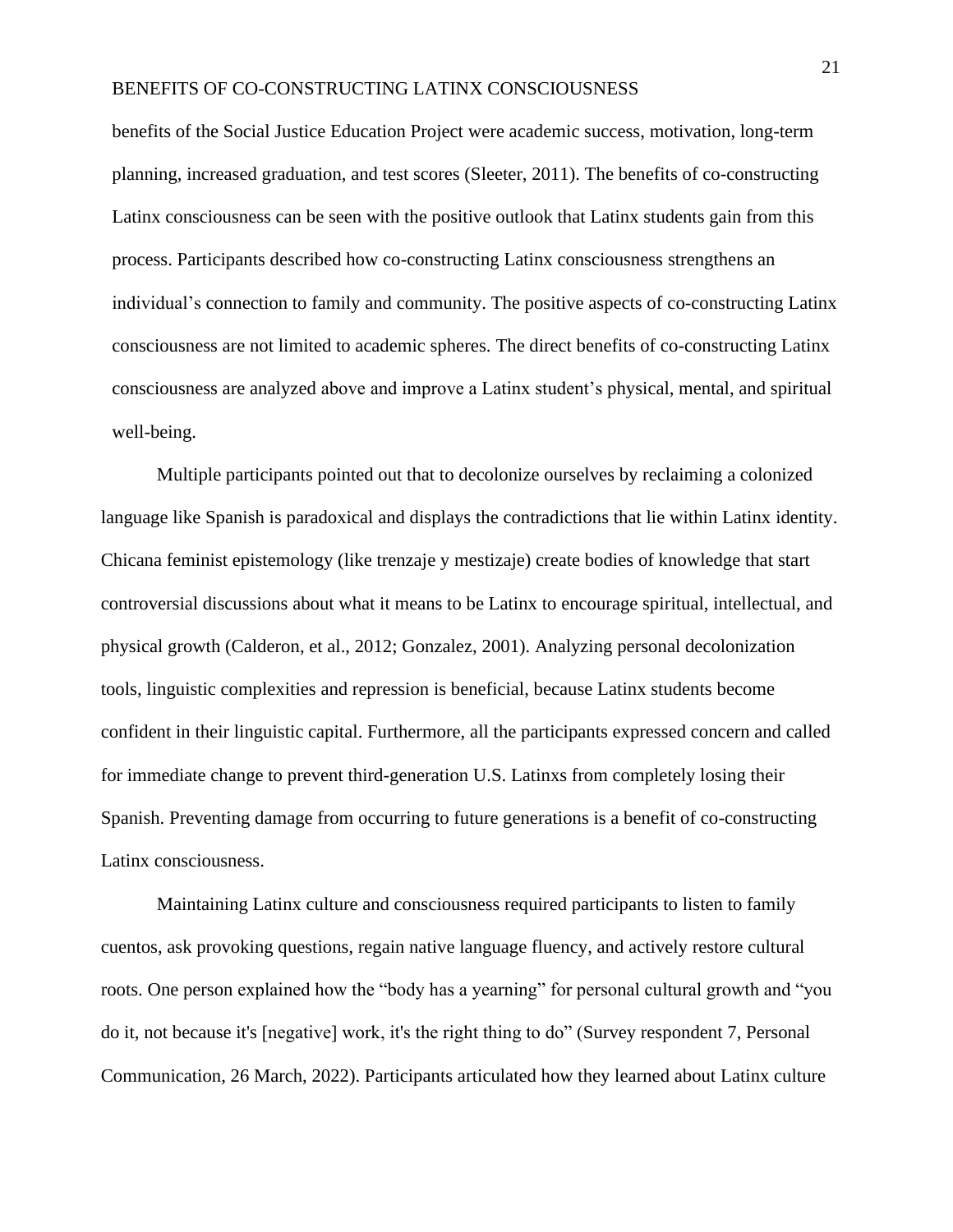benefits of the Social Justice Education Project were academic success, motivation, long-term planning, increased graduation, and test scores (Sleeter, 2011). The benefits of co-constructing Latinx consciousness can be seen with the positive outlook that Latinx students gain from this process. Participants described how co-constructing Latinx consciousness strengthens an individual's connection to family and community. The positive aspects of co-constructing Latinx consciousness are not limited to academic spheres. The direct benefits of co-constructing Latinx consciousness are analyzed above and improve a Latinx student's physical, mental, and spiritual well-being.

Multiple participants pointed out that to decolonize ourselves by reclaiming a colonized language like Spanish is paradoxical and displays the contradictions that lie within Latinx identity. Chicana feminist epistemology (like trenzaje y mestizaje) create bodies of knowledge that start controversial discussions about what it means to be Latinx to encourage spiritual, intellectual, and physical growth (Calderon, et al., 2012; Gonzalez, 2001). Analyzing personal decolonization tools, linguistic complexities and repression is beneficial, because Latinx students become confident in their linguistic capital. Furthermore, all the participants expressed concern and called for immediate change to prevent third-generation U.S. Latinxs from completely losing their Spanish. Preventing damage from occurring to future generations is a benefit of co-constructing Latinx consciousness.

Maintaining Latinx culture and consciousness required participants to listen to family cuentos, ask provoking questions, regain native language fluency, and actively restore cultural roots. One person explained how the "body has a yearning" for personal cultural growth and "you do it, not because it's [negative] work, it's the right thing to do" (Survey respondent 7, Personal Communication, 26 March, 2022). Participants articulated how they learned about Latinx culture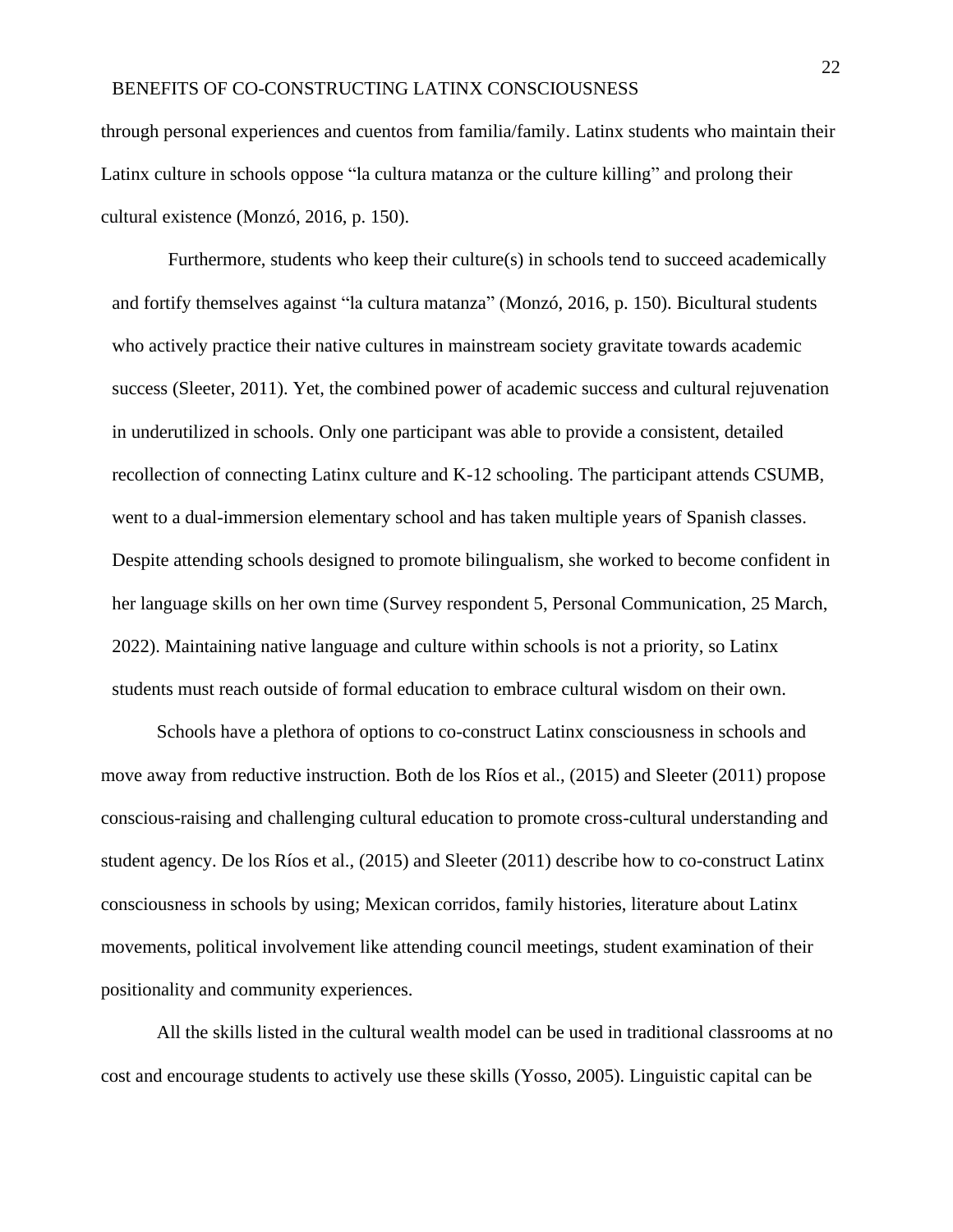through personal experiences and cuentos from familia/family. Latinx students who maintain their Latinx culture in schools oppose "la cultura matanza or the culture killing" and prolong their cultural existence (Monzó, 2016, p. 150).

Furthermore, students who keep their culture(s) in schools tend to succeed academically and fortify themselves against "la cultura matanza" (Monzó, 2016, p. 150). Bicultural students who actively practice their native cultures in mainstream society gravitate towards academic success (Sleeter, 2011). Yet, the combined power of academic success and cultural rejuvenation in underutilized in schools. Only one participant was able to provide a consistent, detailed recollection of connecting Latinx culture and K-12 schooling. The participant attends CSUMB, went to a dual-immersion elementary school and has taken multiple years of Spanish classes. Despite attending schools designed to promote bilingualism, she worked to become confident in her language skills on her own time (Survey respondent 5, Personal Communication, 25 March, 2022). Maintaining native language and culture within schools is not a priority, so Latinx students must reach outside of formal education to embrace cultural wisdom on their own.

Schools have a plethora of options to co-construct Latinx consciousness in schools and move away from reductive instruction. Both de los Ríos et al., (2015) and Sleeter (2011) propose conscious-raising and challenging cultural education to promote cross-cultural understanding and student agency. De los Ríos et al., (2015) and Sleeter (2011) describe how to co-construct Latinx consciousness in schools by using; Mexican corridos, family histories, literature about Latinx movements, political involvement like attending council meetings, student examination of their positionality and community experiences.

All the skills listed in the cultural wealth model can be used in traditional classrooms at no cost and encourage students to actively use these skills (Yosso, 2005). Linguistic capital can be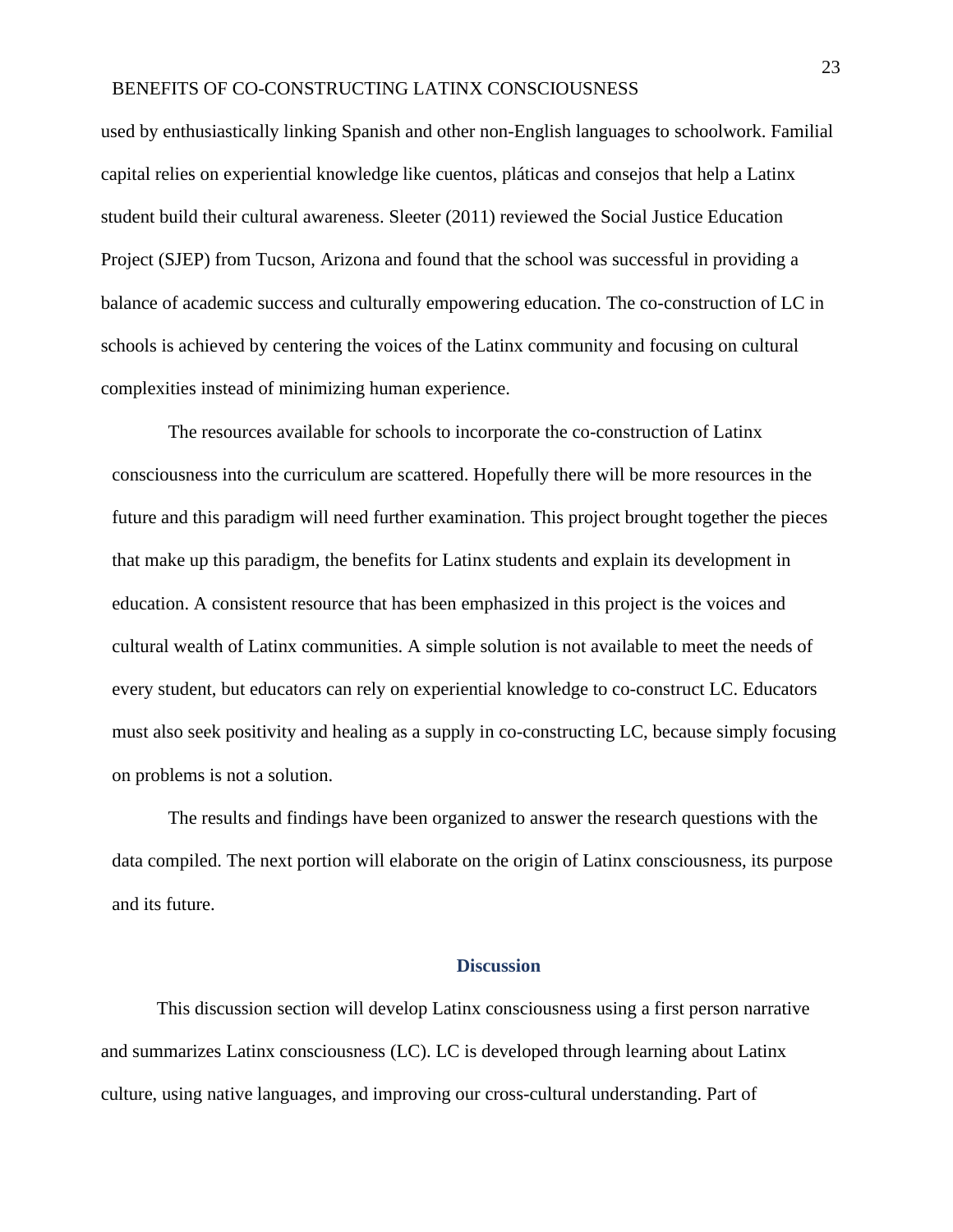used by enthusiastically linking Spanish and other non-English languages to schoolwork. Familial capital relies on experiential knowledge like cuentos, pláticas and consejos that help a Latinx student build their cultural awareness. Sleeter (2011) reviewed the Social Justice Education Project (SJEP) from Tucson, Arizona and found that the school was successful in providing a balance of academic success and culturally empowering education. The co-construction of LC in schools is achieved by centering the voices of the Latinx community and focusing on cultural complexities instead of minimizing human experience.

The resources available for schools to incorporate the co-construction of Latinx consciousness into the curriculum are scattered. Hopefully there will be more resources in the future and this paradigm will need further examination. This project brought together the pieces that make up this paradigm, the benefits for Latinx students and explain its development in education. A consistent resource that has been emphasized in this project is the voices and cultural wealth of Latinx communities. A simple solution is not available to meet the needs of every student, but educators can rely on experiential knowledge to co-construct LC. Educators must also seek positivity and healing as a supply in co-constructing LC, because simply focusing on problems is not a solution.

The results and findings have been organized to answer the research questions with the data compiled. The next portion will elaborate on the origin of Latinx consciousness, its purpose and its future.

#### **Discussion**

<span id="page-23-0"></span>This discussion section will develop Latinx consciousness using a first person narrative and summarizes Latinx consciousness (LC). LC is developed through learning about Latinx culture, using native languages, and improving our cross-cultural understanding. Part of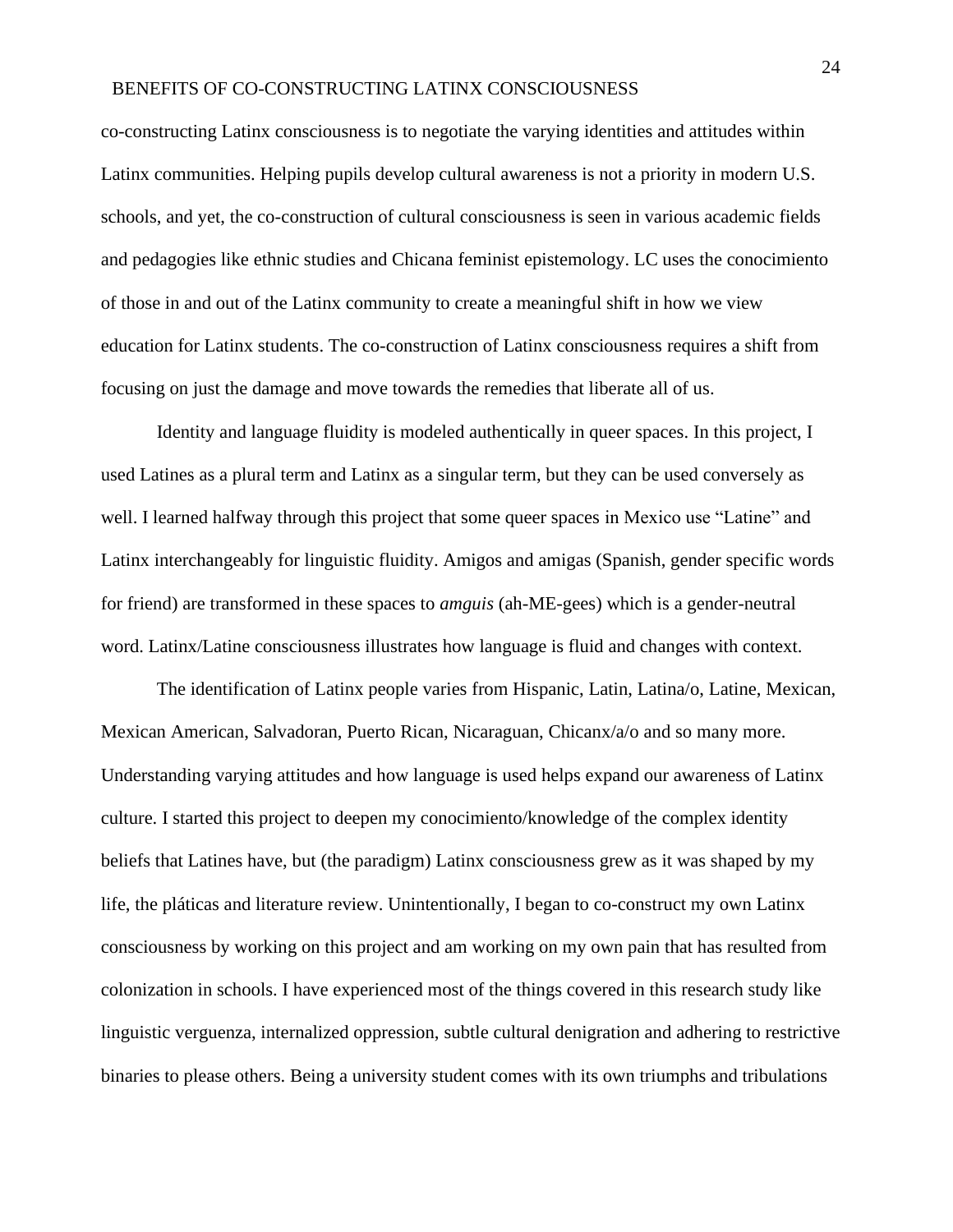co-constructing Latinx consciousness is to negotiate the varying identities and attitudes within Latinx communities. Helping pupils develop cultural awareness is not a priority in modern U.S. schools, and yet, the co-construction of cultural consciousness is seen in various academic fields and pedagogies like ethnic studies and Chicana feminist epistemology. LC uses the conocimiento of those in and out of the Latinx community to create a meaningful shift in how we view education for Latinx students. The co-construction of Latinx consciousness requires a shift from focusing on just the damage and move towards the remedies that liberate all of us.

Identity and language fluidity is modeled authentically in queer spaces. In this project, I used Latines as a plural term and Latinx as a singular term, but they can be used conversely as well. I learned halfway through this project that some queer spaces in Mexico use "Latine" and Latinx interchangeably for linguistic fluidity. Amigos and amigas (Spanish, gender specific words for friend) are transformed in these spaces to *amguis* (ah-ME-gees) which is a gender-neutral word. Latinx/Latine consciousness illustrates how language is fluid and changes with context.

The identification of Latinx people varies from Hispanic, Latin, Latina/o, Latine, Mexican, Mexican American, Salvadoran, Puerto Rican, Nicaraguan, Chicanx/a/o and so many more. Understanding varying attitudes and how language is used helps expand our awareness of Latinx culture. I started this project to deepen my conocimiento/knowledge of the complex identity beliefs that Latines have, but (the paradigm) Latinx consciousness grew as it was shaped by my life, the pláticas and literature review. Unintentionally, I began to co-construct my own Latinx consciousness by working on this project and am working on my own pain that has resulted from colonization in schools. I have experienced most of the things covered in this research study like linguistic verguenza, internalized oppression, subtle cultural denigration and adhering to restrictive binaries to please others. Being a university student comes with its own triumphs and tribulations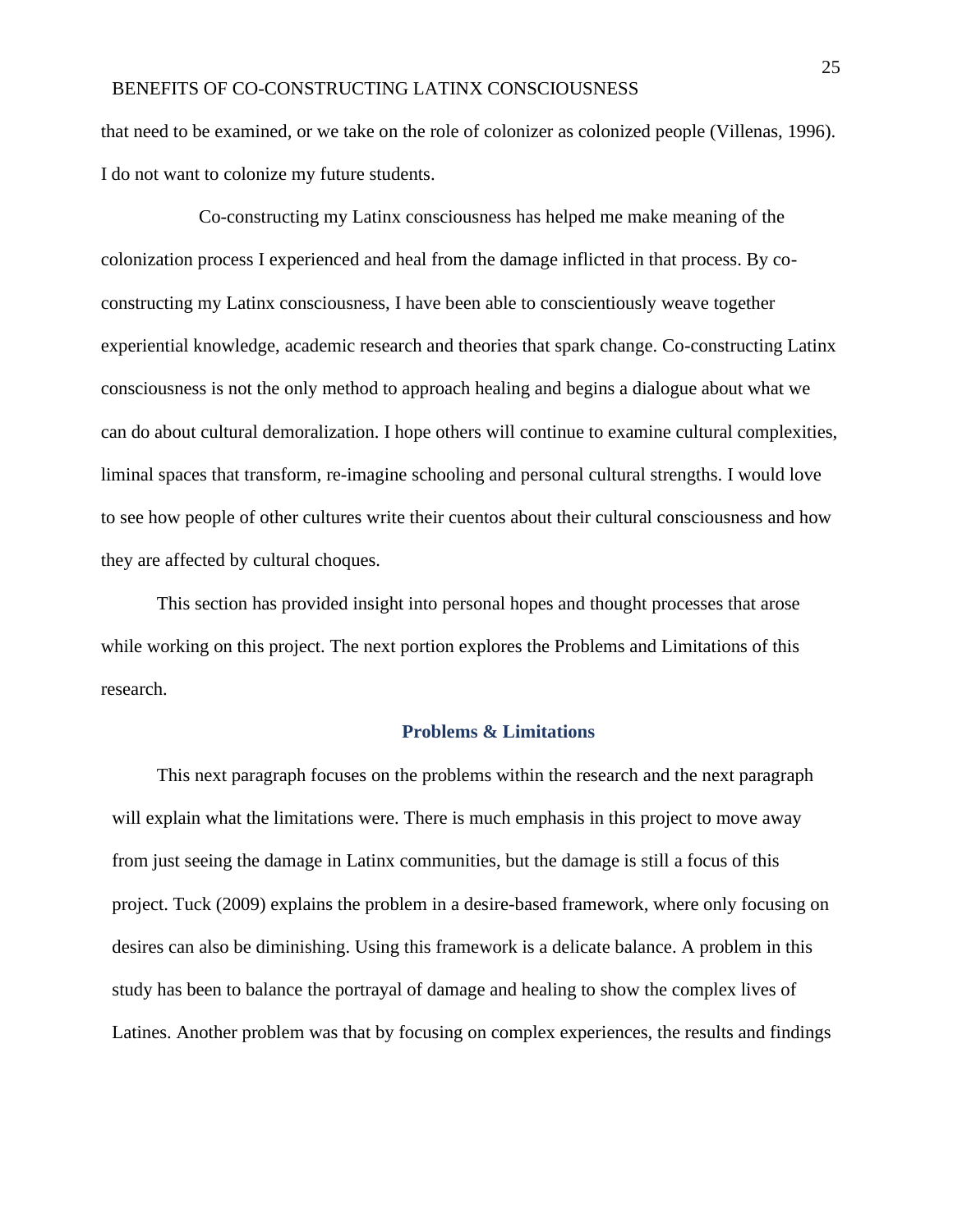that need to be examined, or we take on the role of colonizer as colonized people (Villenas, 1996). I do not want to colonize my future students.

 Co-constructing my Latinx consciousness has helped me make meaning of the colonization process I experienced and heal from the damage inflicted in that process. By coconstructing my Latinx consciousness, I have been able to conscientiously weave together experiential knowledge, academic research and theories that spark change. Co-constructing Latinx consciousness is not the only method to approach healing and begins a dialogue about what we can do about cultural demoralization. I hope others will continue to examine cultural complexities, liminal spaces that transform, re-imagine schooling and personal cultural strengths. I would love to see how people of other cultures write their cuentos about their cultural consciousness and how they are affected by cultural choques.

This section has provided insight into personal hopes and thought processes that arose while working on this project. The next portion explores the Problems and Limitations of this research.

#### **Problems & Limitations**

This next paragraph focuses on the problems within the research and the next paragraph will explain what the limitations were. There is much emphasis in this project to move away from just seeing the damage in Latinx communities, but the damage is still a focus of this project. Tuck (2009) explains the problem in a desire-based framework, where only focusing on desires can also be diminishing. Using this framework is a delicate balance. A problem in this study has been to balance the portrayal of damage and healing to show the complex lives of Latines. Another problem was that by focusing on complex experiences, the results and findings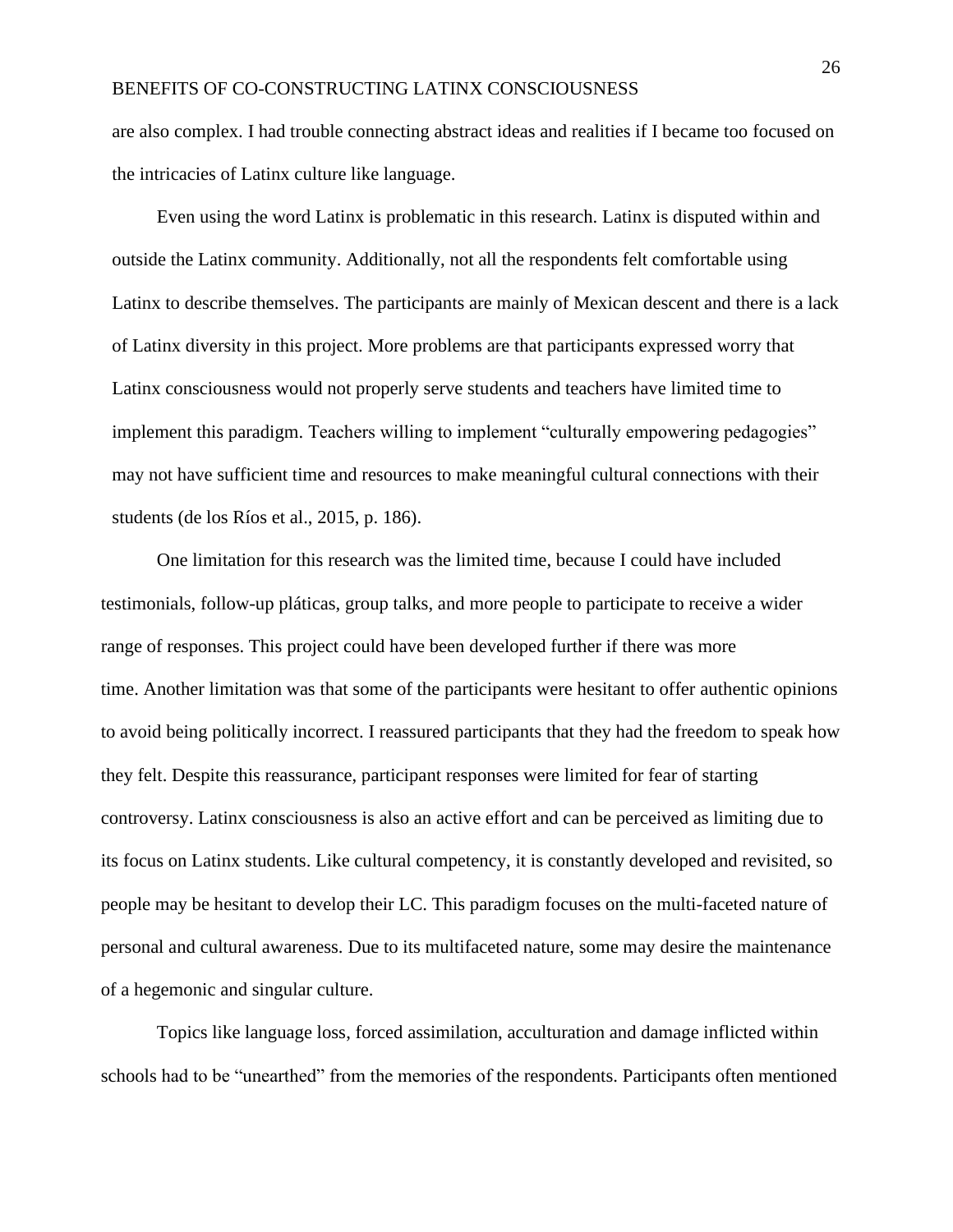are also complex. I had trouble connecting abstract ideas and realities if I became too focused on the intricacies of Latinx culture like language.

Even using the word Latinx is problematic in this research. Latinx is disputed within and outside the Latinx community. Additionally, not all the respondents felt comfortable using Latinx to describe themselves. The participants are mainly of Mexican descent and there is a lack of Latinx diversity in this project. More problems are that participants expressed worry that Latinx consciousness would not properly serve students and teachers have limited time to implement this paradigm. Teachers willing to implement "culturally empowering pedagogies" may not have sufficient time and resources to make meaningful cultural connections with their students (de los Ríos et al., 2015, p. 186).

One limitation for this research was the limited time, because I could have included testimonials, follow-up pláticas, group talks, and more people to participate to receive a wider range of responses. This project could have been developed further if there was more time. Another limitation was that some of the participants were hesitant to offer authentic opinions to avoid being politically incorrect. I reassured participants that they had the freedom to speak how they felt. Despite this reassurance, participant responses were limited for fear of starting controversy. Latinx consciousness is also an active effort and can be perceived as limiting due to its focus on Latinx students. Like cultural competency, it is constantly developed and revisited, so people may be hesitant to develop their LC. This paradigm focuses on the multi-faceted nature of personal and cultural awareness. Due to its multifaceted nature, some may desire the maintenance of a hegemonic and singular culture.

Topics like language loss, forced assimilation, acculturation and damage inflicted within schools had to be "unearthed" from the memories of the respondents. Participants often mentioned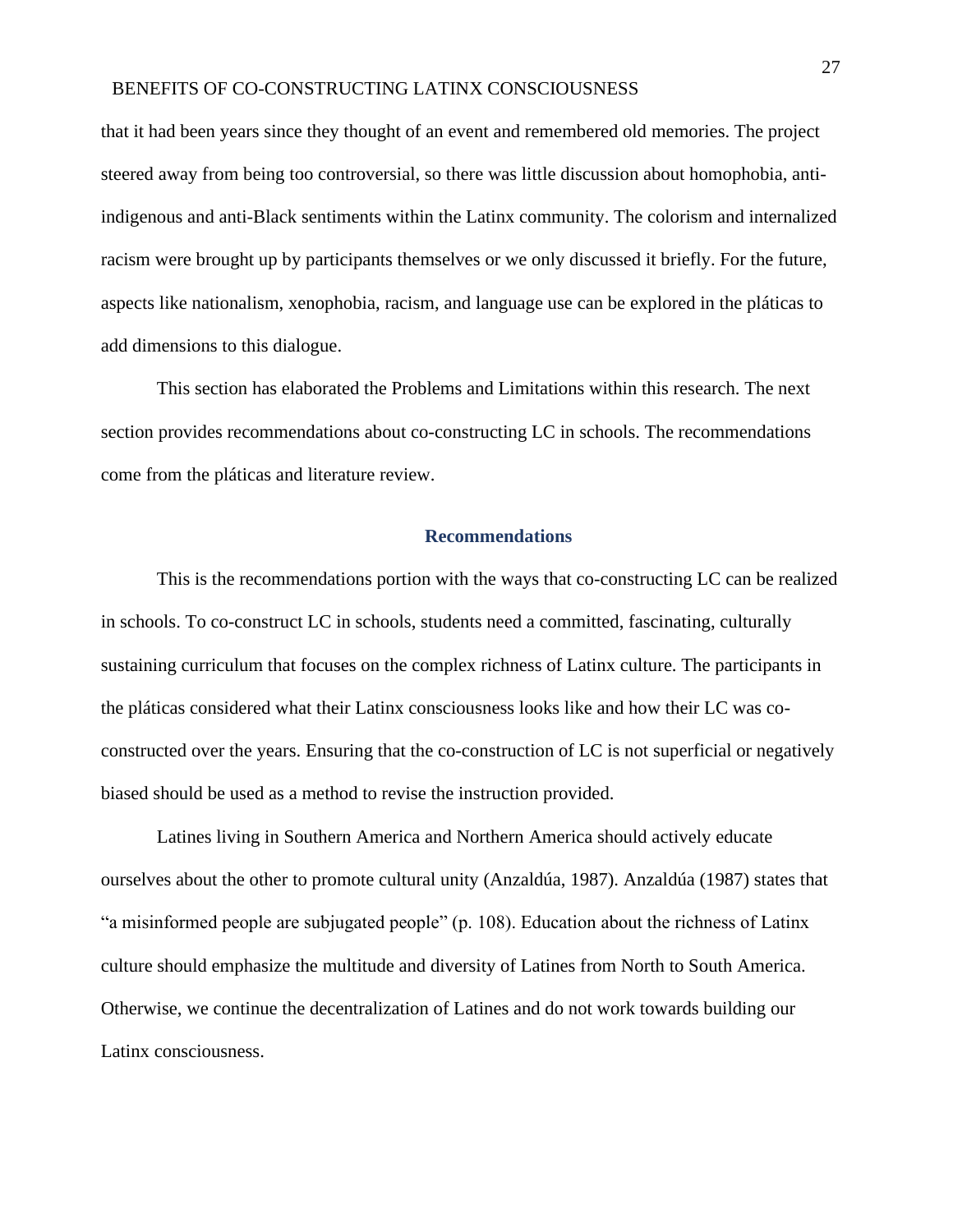that it had been years since they thought of an event and remembered old memories. The project steered away from being too controversial, so there was little discussion about homophobia, antiindigenous and anti-Black sentiments within the Latinx community. The colorism and internalized racism were brought up by participants themselves or we only discussed it briefly. For the future, aspects like nationalism, xenophobia, racism, and language use can be explored in the pláticas to add dimensions to this dialogue.

This section has elaborated the Problems and Limitations within this research. The next section provides recommendations about co-constructing LC in schools. The recommendations come from the pláticas and literature review.

#### **Recommendations**

<span id="page-27-0"></span>This is the recommendations portion with the ways that co-constructing LC can be realized in schools. To co-construct LC in schools, students need a committed, fascinating, culturally sustaining curriculum that focuses on the complex richness of Latinx culture. The participants in the pláticas considered what their Latinx consciousness looks like and how their LC was coconstructed over the years. Ensuring that the co-construction of LC is not superficial or negatively biased should be used as a method to revise the instruction provided.

Latines living in Southern America and Northern America should actively educate ourselves about the other to promote cultural unity (Anzaldúa, 1987). Anzaldúa (1987) states that "a misinformed people are subjugated people" (p. 108). Education about the richness of Latinx culture should emphasize the multitude and diversity of Latines from North to South America. Otherwise, we continue the decentralization of Latines and do not work towards building our Latinx consciousness.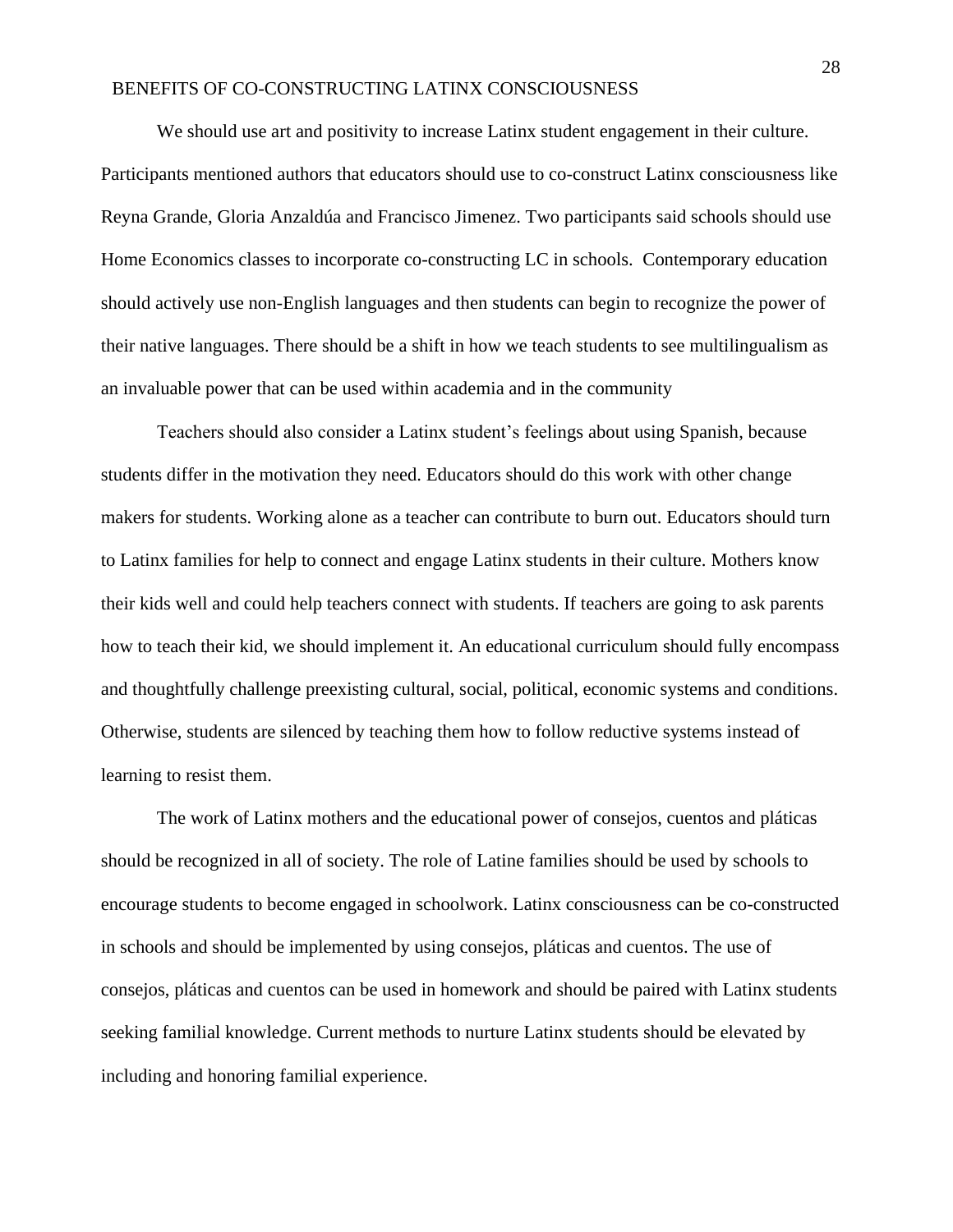We should use art and positivity to increase Latinx student engagement in their culture. Participants mentioned authors that educators should use to co-construct Latinx consciousness like Reyna Grande, Gloria Anzaldúa and Francisco Jimenez. Two participants said schools should use Home Economics classes to incorporate co-constructing LC in schools. Contemporary education should actively use non-English languages and then students can begin to recognize the power of their native languages. There should be a shift in how we teach students to see multilingualism as an invaluable power that can be used within academia and in the community

Teachers should also consider a Latinx student's feelings about using Spanish, because students differ in the motivation they need. Educators should do this work with other change makers for students. Working alone as a teacher can contribute to burn out. Educators should turn to Latinx families for help to connect and engage Latinx students in their culture. Mothers know their kids well and could help teachers connect with students. If teachers are going to ask parents how to teach their kid, we should implement it. An educational curriculum should fully encompass and thoughtfully challenge preexisting cultural, social, political, economic systems and conditions. Otherwise, students are silenced by teaching them how to follow reductive systems instead of learning to resist them.

The work of Latinx mothers and the educational power of consejos, cuentos and pláticas should be recognized in all of society. The role of Latine families should be used by schools to encourage students to become engaged in schoolwork. Latinx consciousness can be co-constructed in schools and should be implemented by using consejos, pláticas and cuentos. The use of consejos, pláticas and cuentos can be used in homework and should be paired with Latinx students seeking familial knowledge. Current methods to nurture Latinx students should be elevated by including and honoring familial experience.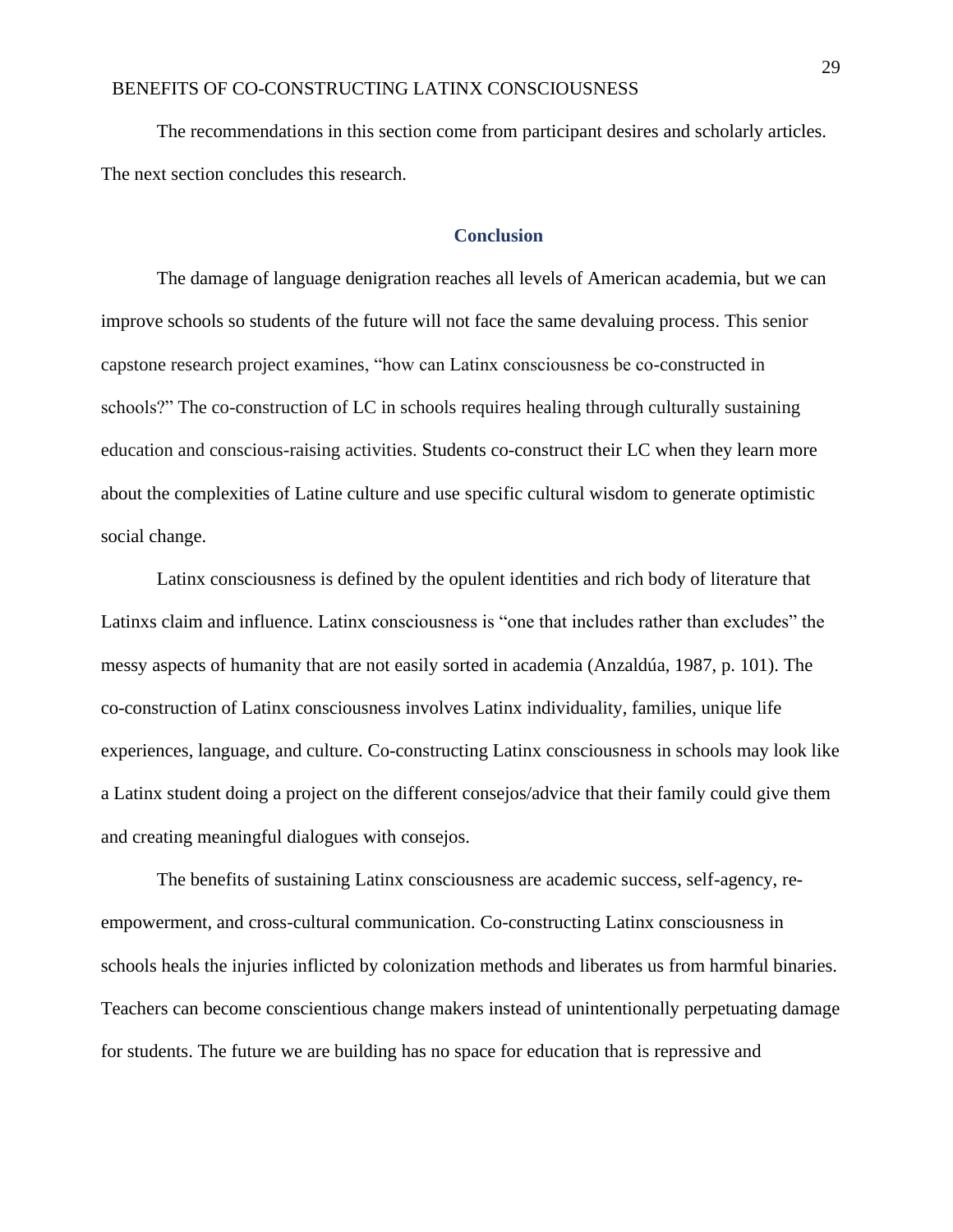The recommendations in this section come from participant desires and scholarly articles. The next section concludes this research.

## **Conclusion**

<span id="page-29-0"></span>The damage of language denigration reaches all levels of American academia, but we can improve schools so students of the future will not face the same devaluing process. This senior capstone research project examines, "how can Latinx consciousness be co-constructed in schools?" The co-construction of LC in schools requires healing through culturally sustaining education and conscious-raising activities. Students co-construct their LC when they learn more about the complexities of Latine culture and use specific cultural wisdom to generate optimistic social change.

Latinx consciousness is defined by the opulent identities and rich body of literature that Latinxs claim and influence. Latinx consciousness is "one that includes rather than excludes" the messy aspects of humanity that are not easily sorted in academia (Anzaldúa, 1987, p. 101). The co-construction of Latinx consciousness involves Latinx individuality, families, unique life experiences, language, and culture. Co-constructing Latinx consciousness in schools may look like a Latinx student doing a project on the different consejos/advice that their family could give them and creating meaningful dialogues with consejos.

The benefits of sustaining Latinx consciousness are academic success, self-agency, reempowerment, and cross-cultural communication. Co-constructing Latinx consciousness in schools heals the injuries inflicted by colonization methods and liberates us from harmful binaries. Teachers can become conscientious change makers instead of unintentionally perpetuating damage for students. The future we are building has no space for education that is repressive and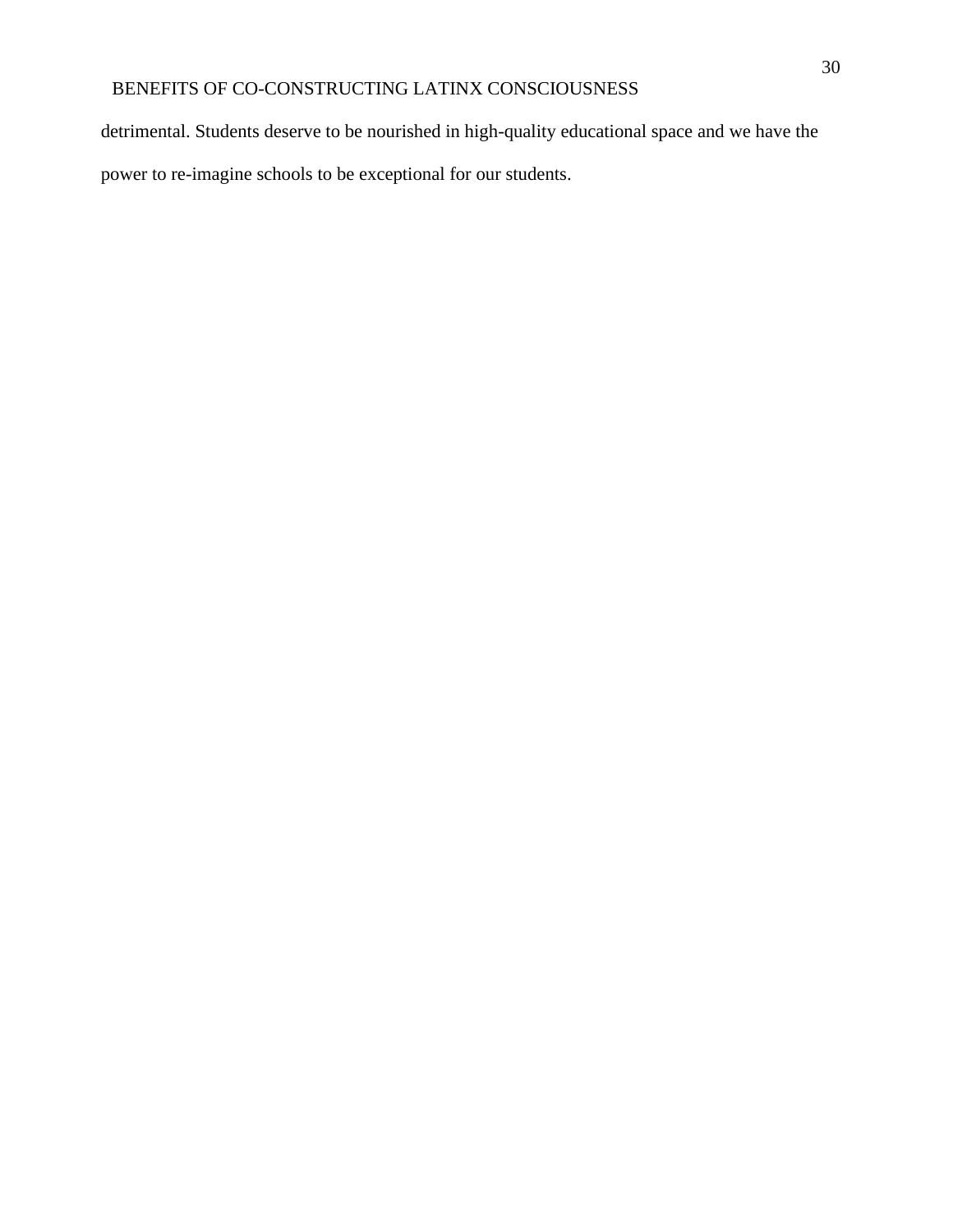detrimental. Students deserve to be nourished in high-quality educational space and we have the power to re-imagine schools to be exceptional for our students.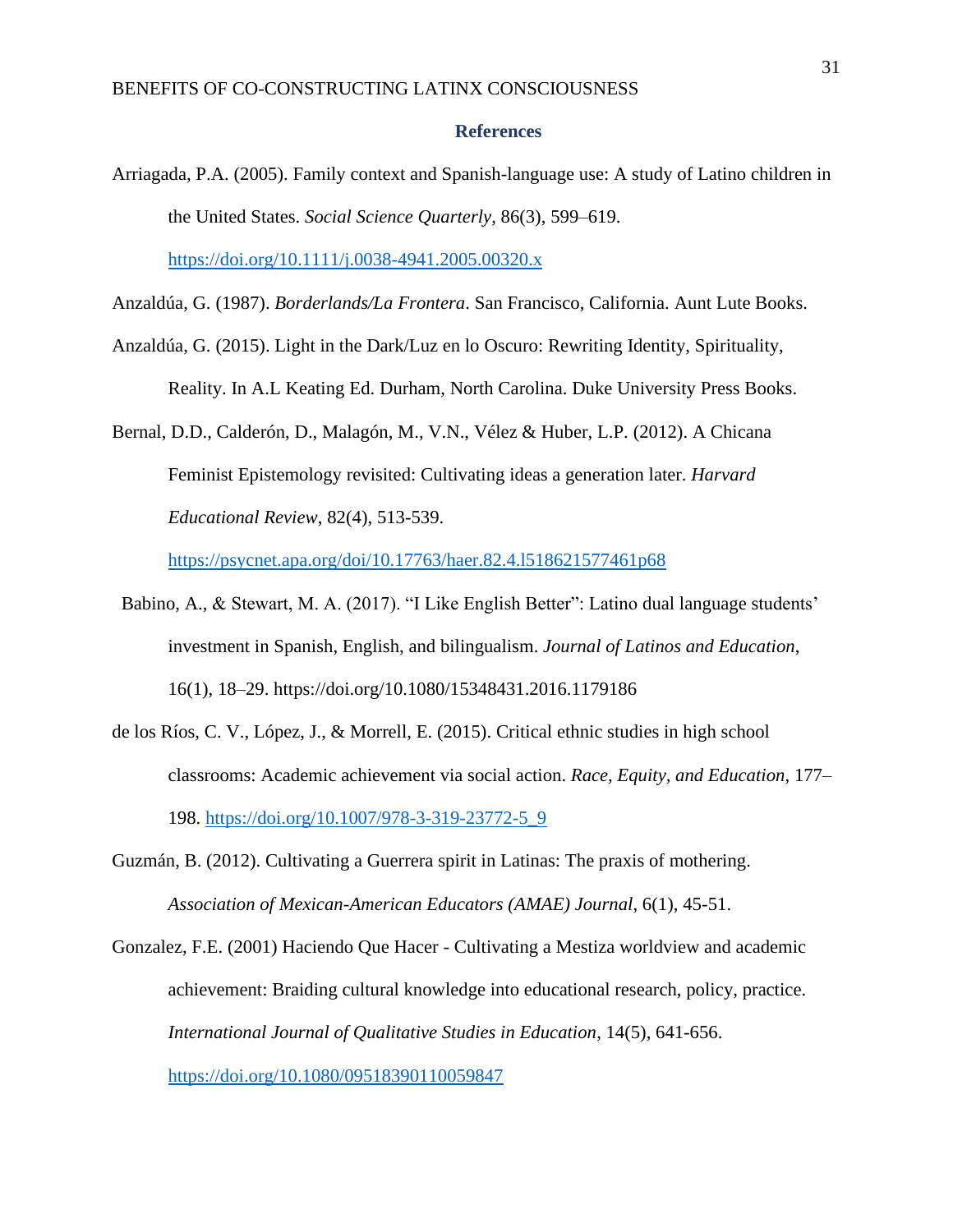#### **References**

<span id="page-31-0"></span>Arriagada, P.A. (2005). Family context and Spanish-language use: A study of Latino children in the United States. *Social Science Quarterly*, 86(3), 599–619. <https://doi.org/10.1111/j.0038-4941.2005.00320.x>

Anzaldúa, G. (1987). *Borderlands/La Frontera*. San Francisco, California. Aunt Lute Books.

- Anzaldúa, G. (2015). Light in the Dark/Luz en lo Oscuro: Rewriting Identity, Spirituality, Reality. In A.L Keating Ed. Durham, North Carolina. Duke University Press Books.
- Bernal, D.D., Calderón, D., Malagón, M., V.N., Vélez & Huber, L.P. (2012). A Chicana Feminist Epistemology revisited: Cultivating ideas a generation later. *Harvard Educational Review*, 82(4), 513-539.

<https://psycnet.apa.org/doi/10.17763/haer.82.4.l518621577461p68>

- Babino, A., & Stewart, M. A. (2017). "I Like English Better": Latino dual language students' investment in Spanish, English, and bilingualism. *Journal of Latinos and Education*, 16(1), 18–29. https://doi.org/10.1080/15348431.2016.1179186
- de los Ríos, C. V., López, J., & Morrell, E. (2015). Critical ethnic studies in high school classrooms: Academic achievement via social action. *Race, Equity, and Education*, 177– 198. [https://doi.org/10.1007/978-3-319-23772-5\\_9](https://doi.org/10.1007/978-3-319-23772-5_9)
- Guzmán, B. (2012). Cultivating a Guerrera spirit in Latinas: The praxis of mothering. *Association of Mexican-American Educators (AMAE) Journal*, 6(1), 45-51.
- Gonzalez, F.E. (2001) Haciendo Que Hacer Cultivating a Mestiza worldview and academic achievement: Braiding cultural knowledge into educational research, policy, practice. *International Journal of Qualitative Studies in Education*, 14(5), 641-656. <https://doi.org/10.1080/09518390110059847>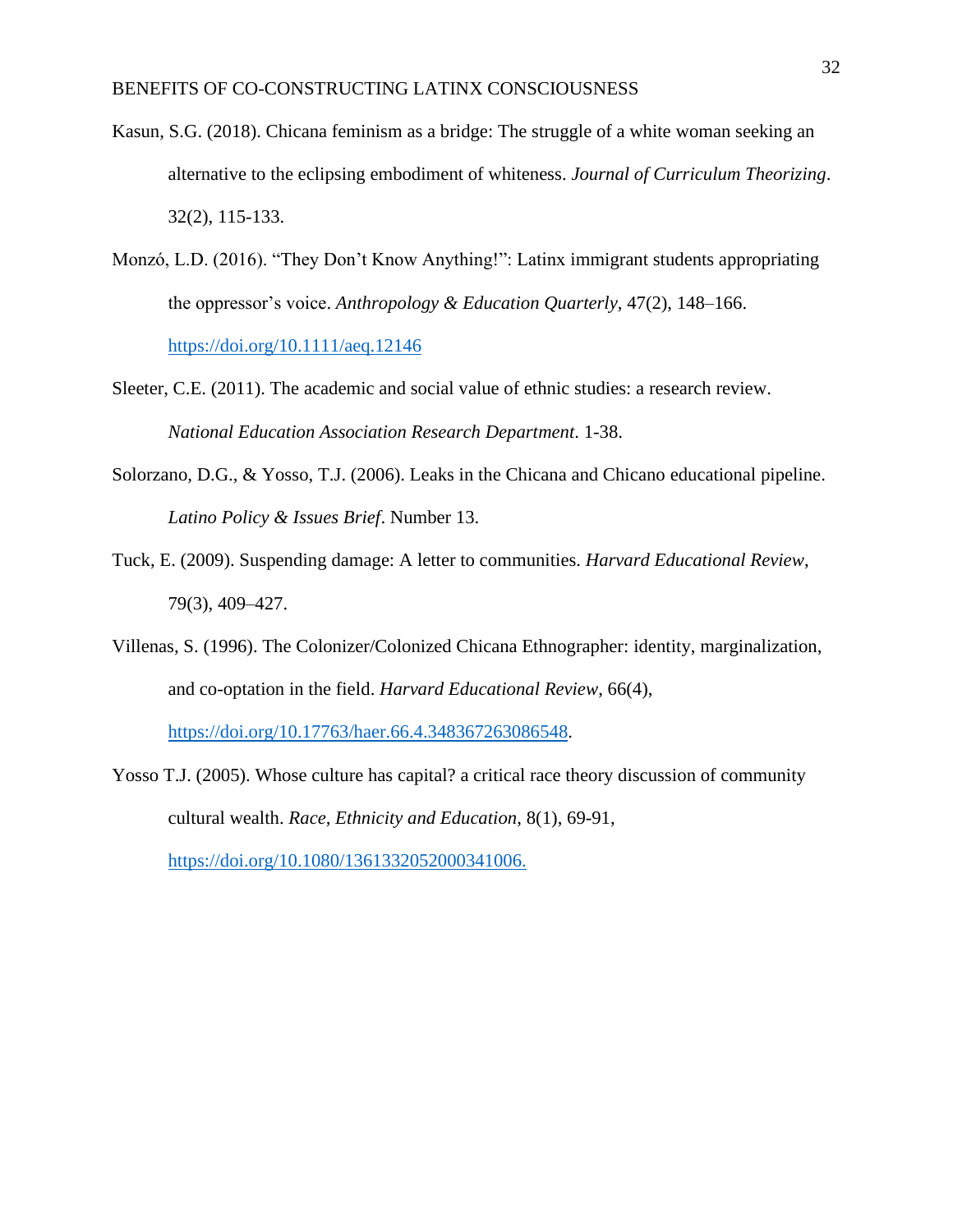- Kasun, S.G. (2018). Chicana feminism as a bridge: The struggle of a white woman seeking an alternative to the eclipsing embodiment of whiteness. *Journal of Curriculum Theorizing*. 32(2), 115-133.
- Monzó, L.D. (2016). "They Don't Know Anything!": Latinx immigrant students appropriating the oppressor's voice. *Anthropology & Education Quarterly*, 47(2), 148–166. <https://doi.org/10.1111/aeq.12146>
- Sleeter, C.E. (2011). The academic and social value of ethnic studies: a research review. *National Education Association Research Department*. 1-38.
- Solorzano, D.G., & Yosso, T.J. (2006). Leaks in the Chicana and Chicano educational pipeline. *Latino Policy & Issues Brief*. Number 13.
- Tuck, E. (2009). Suspending damage: A letter to communities. *Harvard Educational Review*, 79(3), 409–427.
- Villenas, S. (1996). The Colonizer/Colonized Chicana Ethnographer: identity, marginalization, and co-optation in the field. *Harvard Educational Review*, 66(4), [https://doi.org/10.17763/haer.66.4.348367263086548.](https://doi.org/10.17763/haer.66.4.348367263086548)
- Yosso T.J. (2005). Whose culture has capital? a critical race theory discussion of community cultural wealth. *Race, Ethnicity and Education*, 8(1), 69-91[,](https://doi.org/10.1080/1361332052000341006) [https://doi.org/10.1080/1361332052000341006.](https://doi.org/10.1080/1361332052000341006)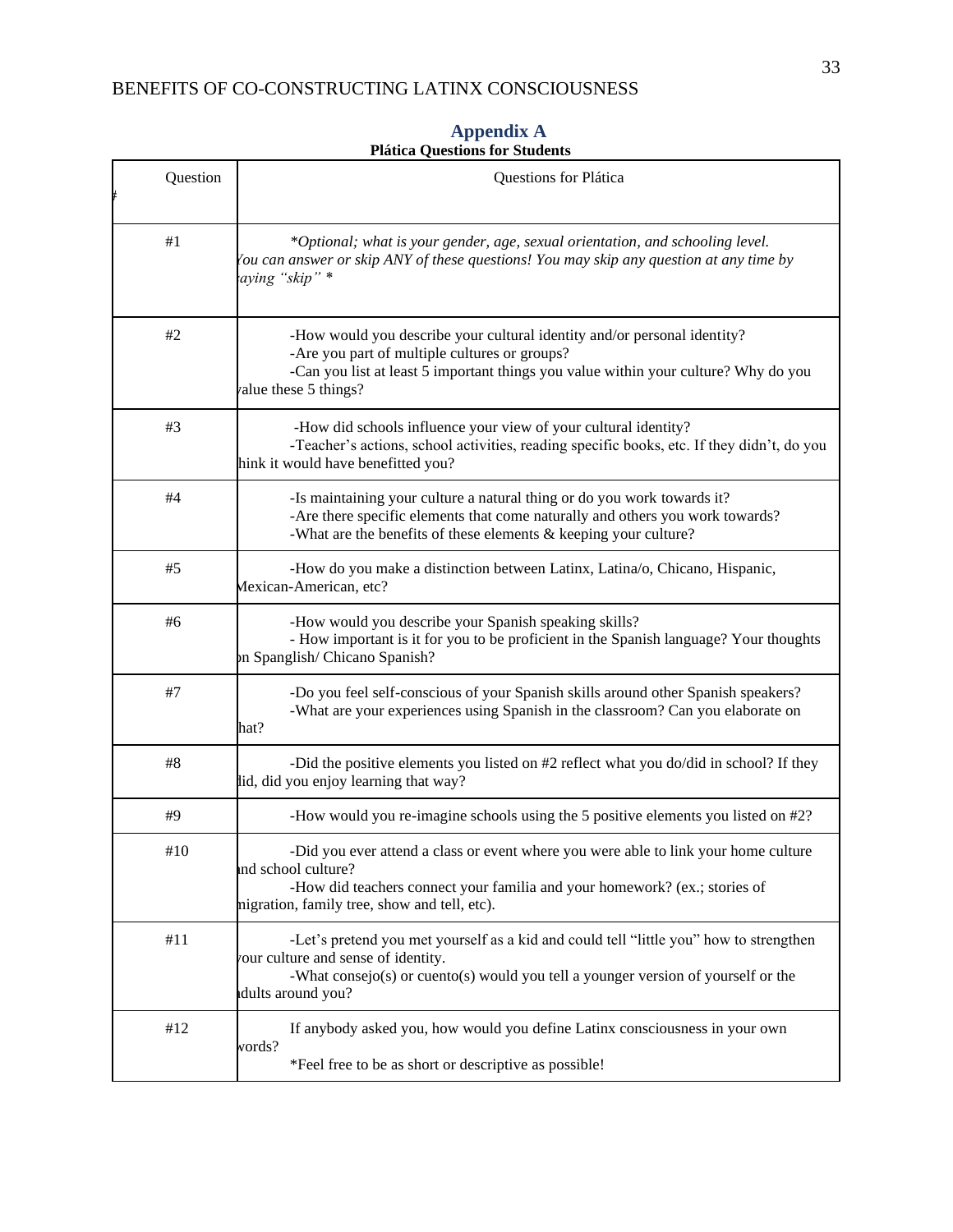<span id="page-33-0"></span>

| Question | Questions for Plática                                                                                                                                                                                                                     |  |
|----------|-------------------------------------------------------------------------------------------------------------------------------------------------------------------------------------------------------------------------------------------|--|
| #1       | *Optional; what is your gender, age, sexual orientation, and schooling level.<br>You can answer or skip ANY of these questions! You may skip any question at any time by<br>aying "skip" *                                                |  |
| #2       | -How would you describe your cultural identity and/or personal identity?<br>-Are you part of multiple cultures or groups?<br>-Can you list at least 5 important things you value within your culture? Why do you<br>value these 5 things? |  |
| #3       | -How did schools influence your view of your cultural identity?<br>-Teacher's actions, school activities, reading specific books, etc. If they didn't, do you<br>hink it would have benefitted you?                                       |  |
| #4       | -Is maintaining your culture a natural thing or do you work towards it?<br>-Are there specific elements that come naturally and others you work towards?<br>-What are the benefits of these elements & keeping your culture?              |  |
| #5       | -How do you make a distinction between Latinx, Latina/o, Chicano, Hispanic,<br>Mexican-American, etc?                                                                                                                                     |  |
| #6       | -How would you describe your Spanish speaking skills?<br>- How important is it for you to be proficient in the Spanish language? Your thoughts<br>on Spanglish/Chicano Spanish?                                                           |  |
| #7       | -Do you feel self-conscious of your Spanish skills around other Spanish speakers?<br>-What are your experiences using Spanish in the classroom? Can you elaborate on<br>hat?                                                              |  |
| #8       | -Did the positive elements you listed on #2 reflect what you do/did in school? If they<br>lid, did you enjoy learning that way?                                                                                                           |  |
| #9       | -How would you re-imagine schools using the 5 positive elements you listed on #2?                                                                                                                                                         |  |
| #10      | -Did you ever attend a class or event where you were able to link your home culture<br>and school culture?<br>-How did teachers connect your familia and your homework? (ex.; stories of<br>nigration, family tree, show and tell, etc).  |  |
| #11      | -Let's pretend you met yourself as a kid and could tell "little you" how to strengthen<br>your culture and sense of identity.<br>-What consejo(s) or cuento(s) would you tell a younger version of yourself or the<br>dults around you?   |  |
| #12      | If anybody asked you, how would you define Latinx consciousness in your own<br>vords?<br>*Feel free to be as short or descriptive as possible!                                                                                            |  |

## **Appendix A Plática Questions for Students**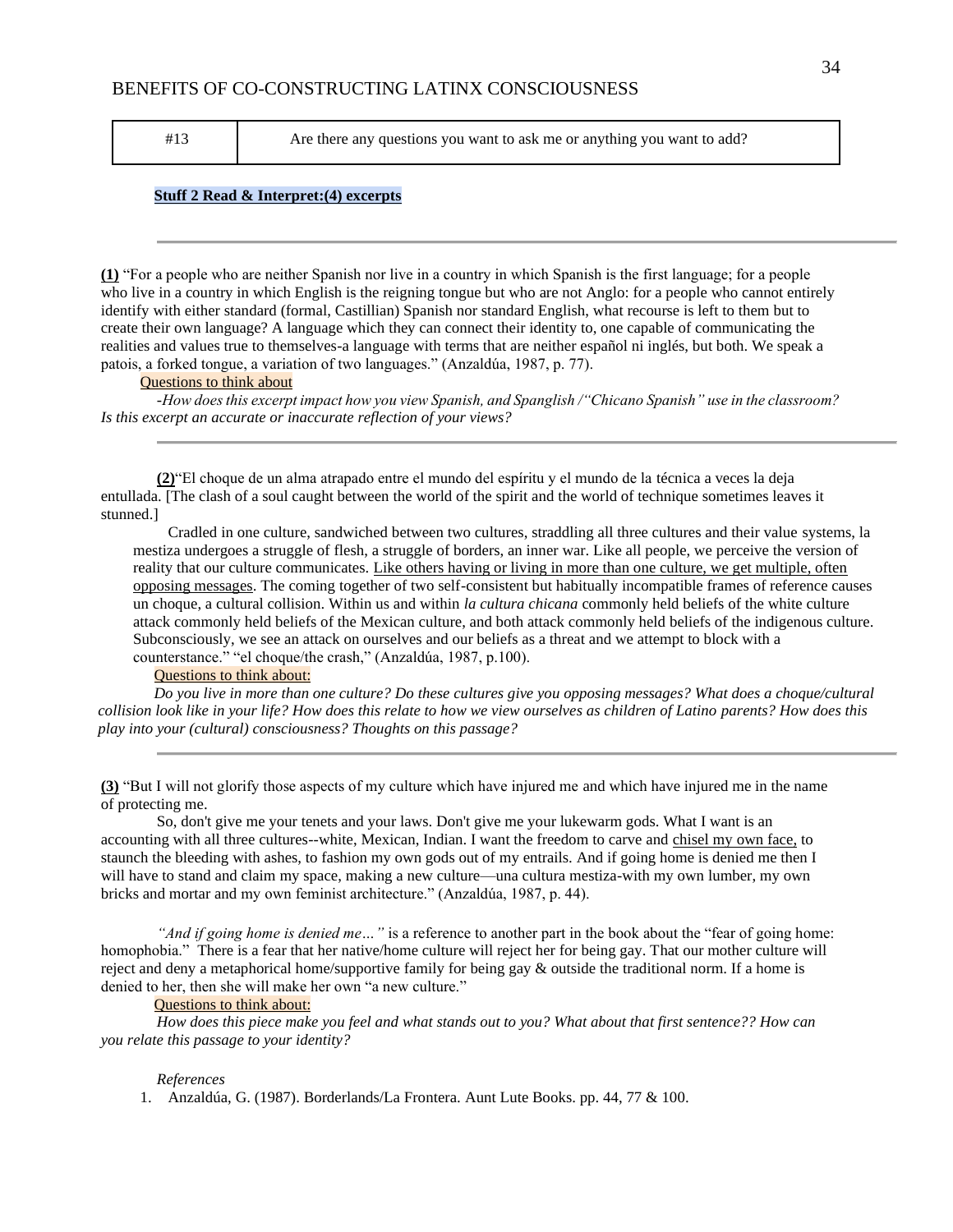#13 Are there any questions you want to ask me or anything you want to add?

#### **Stuff 2 Read & Interpret:(4) excerpts**

**(1)** "For a people who are neither Spanish nor live in a country in which Spanish is the first language; for a people who live in a country in which English is the reigning tongue but who are not Anglo: for a people who cannot entirely identify with either standard (formal, Castillian) Spanish nor standard English, what recourse is left to them but to create their own language? A language which they can connect their identity to, one capable of communicating the realities and values true to themselves-a language with terms that are neither español ni inglés, but both. We speak a patois, a forked tongue, a variation of two languages." (Anzaldúa, 1987, p. 77).

#### Questions to think about

*-How does this excerpt impact how you view Spanish, and Spanglish /"Chicano Spanish" use in the classroom? Is this excerpt an accurate or inaccurate reflection of your views?*

**(2)**"El choque de un alma atrapado entre el mundo del espíritu y el mundo de la técnica a veces la deja entullada. [The clash of a soul caught between the world of the spirit and the world of technique sometimes leaves it stunned.]

Cradled in one culture, sandwiched between two cultures, straddling all three cultures and their value systems, la mestiza undergoes a struggle of flesh, a struggle of borders, an inner war. Like all people, we perceive the version of reality that our culture communicates. Like others having or living in more than one culture, we get multiple, often opposing messages. The coming together of two self-consistent but habitually incompatible frames of reference causes un choque, a cultural collision. Within us and within *la cultura chicana* commonly held beliefs of the white culture attack commonly held beliefs of the Mexican culture, and both attack commonly held beliefs of the indigenous culture. Subconsciously, we see an attack on ourselves and our beliefs as a threat and we attempt to block with a counterstance." "el choque/the crash," (Anzaldúa, 1987, p.100).

#### Questions to think about:

*Do you live in more than one culture? Do these cultures give you opposing messages? What does a choque/cultural collision look like in your life? How does this relate to how we view ourselves as children of Latino parents? How does this play into your (cultural) consciousness? Thoughts on this passage?*

**(3)** "But I will not glorify those aspects of my culture which have injured me and which have injured me in the name of protecting me.

So, don't give me your tenets and your laws. Don't give me your lukewarm gods. What I want is an accounting with all three cultures--white, Mexican, Indian. I want the freedom to carve and chisel my own face, to staunch the bleeding with ashes, to fashion my own gods out of my entrails. And if going home is denied me then I will have to stand and claim my space, making a new culture—una cultura mestiza-with my own lumber, my own bricks and mortar and my own feminist architecture." (Anzaldúa, 1987, p. 44).

*"And if going home is denied me…"* is a reference to another part in the book about the "fear of going home: homophobia." There is a fear that her native/home culture will reject her for being gay. That our mother culture will reject and deny a metaphorical home/supportive family for being gay  $\&$  outside the traditional norm. If a home is denied to her, then she will make her own "a new culture."

#### Questions to think about:

*How does this piece make you feel and what stands out to you? What about that first sentence?? How can you relate this passage to your identity?* 

#### *References*

1. Anzaldúa, G. (1987). Borderlands/La Frontera. Aunt Lute Books. pp. 44, 77 & 100.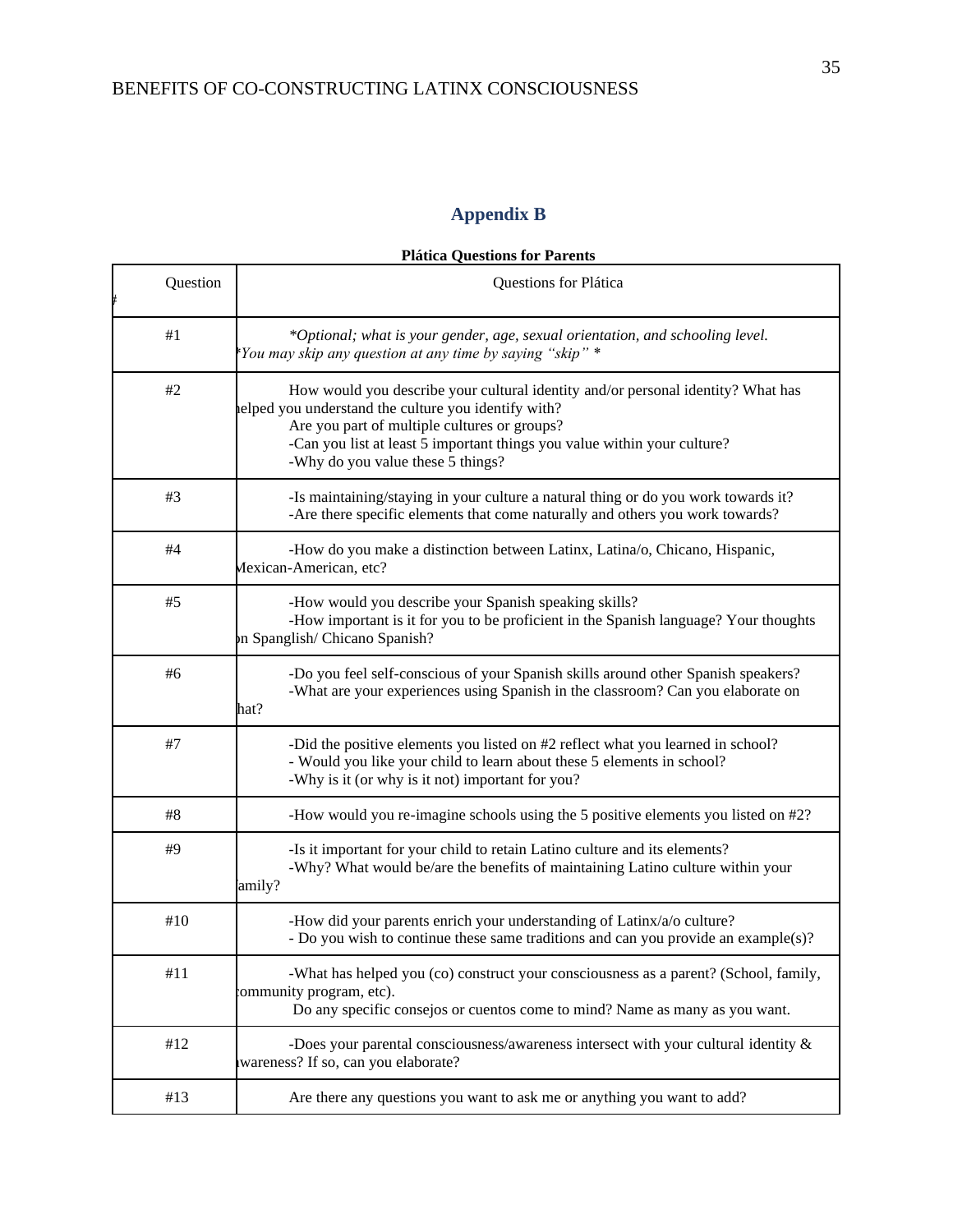# **Appendix B**

| <b>Plática Questions for Parents</b> |  |  |
|--------------------------------------|--|--|
|--------------------------------------|--|--|

<span id="page-35-0"></span>

| Question | Questions for Plática                                                                                                                                                                                                                                                                                    |  |
|----------|----------------------------------------------------------------------------------------------------------------------------------------------------------------------------------------------------------------------------------------------------------------------------------------------------------|--|
| #1       | *Optional; what is your gender, age, sexual orientation, and schooling level.<br>*You may skip any question at any time by saying "skip" *                                                                                                                                                               |  |
| #2       | How would you describe your cultural identity and/or personal identity? What has<br>elped you understand the culture you identify with?<br>Are you part of multiple cultures or groups?<br>-Can you list at least 5 important things you value within your culture?<br>-Why do you value these 5 things? |  |
| #3       | -Is maintaining/staying in your culture a natural thing or do you work towards it?<br>-Are there specific elements that come naturally and others you work towards?                                                                                                                                      |  |
| #4       | -How do you make a distinction between Latinx, Latina/o, Chicano, Hispanic,<br>Mexican-American, etc?                                                                                                                                                                                                    |  |
| #5       | -How would you describe your Spanish speaking skills?<br>-How important is it for you to be proficient in the Spanish language? Your thoughts<br>on Spanglish/Chicano Spanish?                                                                                                                           |  |
| #6       | -Do you feel self-conscious of your Spanish skills around other Spanish speakers?<br>-What are your experiences using Spanish in the classroom? Can you elaborate on<br>hat?                                                                                                                             |  |
| #7       | -Did the positive elements you listed on #2 reflect what you learned in school?<br>- Would you like your child to learn about these 5 elements in school?<br>-Why is it (or why is it not) important for you?                                                                                            |  |
| #8       | -How would you re-imagine schools using the 5 positive elements you listed on #2?                                                                                                                                                                                                                        |  |
| #9       | -Is it important for your child to retain Latino culture and its elements?<br>-Why? What would be/are the benefits of maintaining Latino culture within your<br>amily?                                                                                                                                   |  |
| #10      | -How did your parents enrich your understanding of Latinx/a/o culture?<br>- Do you wish to continue these same traditions and can you provide an example(s)?                                                                                                                                             |  |
| #11      | -What has helped you (co) construct your consciousness as a parent? (School, family,<br>community program, etc).<br>Do any specific consejos or cuentos come to mind? Name as many as you want.                                                                                                          |  |
| #12      | -Does your parental consciousness/awareness intersect with your cultural identity $\&$<br>wareness? If so, can you elaborate?                                                                                                                                                                            |  |
| #13      | Are there any questions you want to ask me or anything you want to add?                                                                                                                                                                                                                                  |  |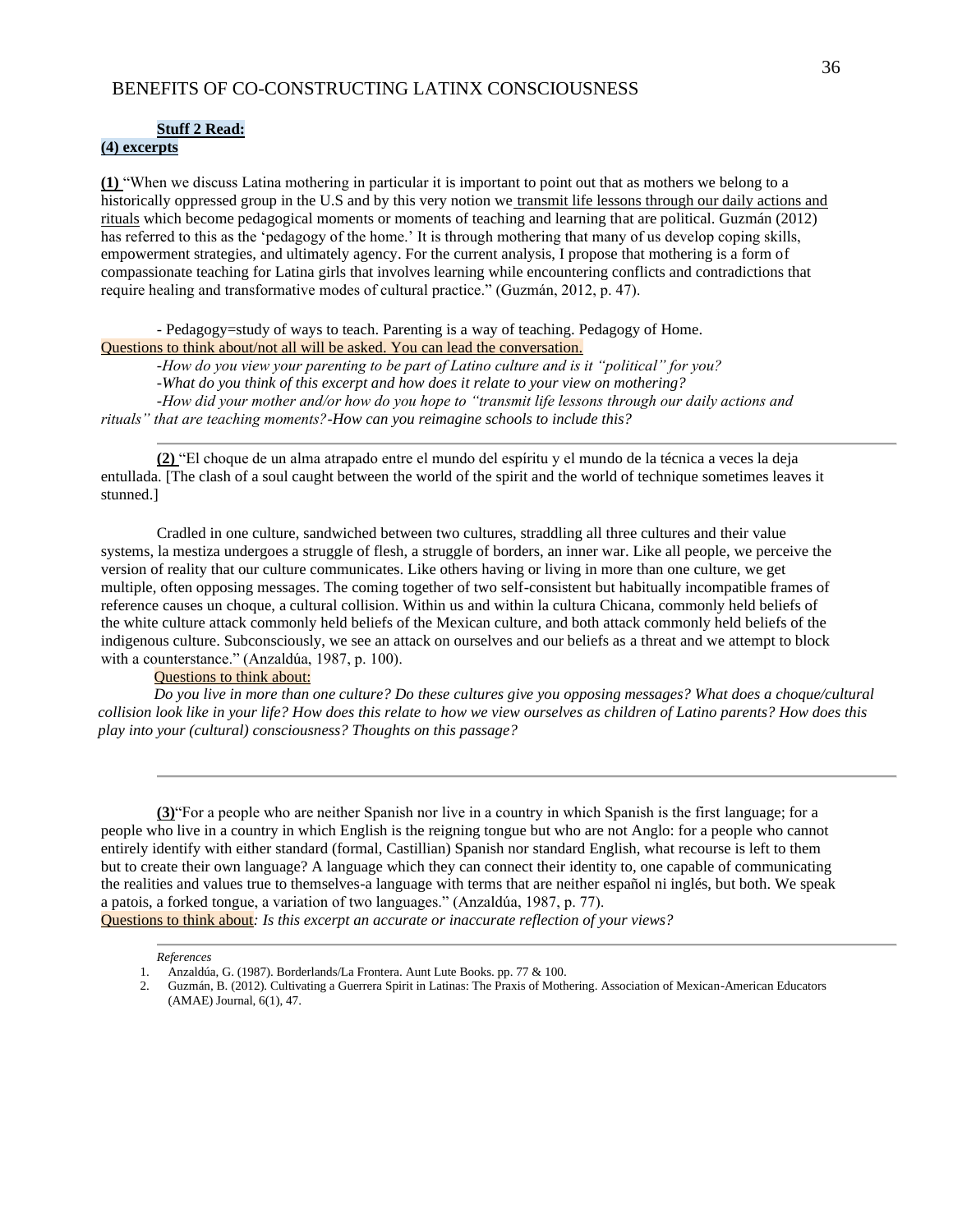#### **Stuff 2 Read:**

#### **(4) excerpts**

**(1)** "When we discuss Latina mothering in particular it is important to point out that as mothers we belong to a historically oppressed group in the U.S and by this very notion we transmit life lessons through our daily actions and rituals which become pedagogical moments or moments of teaching and learning that are political. Guzmán (2012) has referred to this as the 'pedagogy of the home.' It is through mothering that many of us develop coping skills, empowerment strategies, and ultimately agency. For the current analysis, I propose that mothering is a form of compassionate teaching for Latina girls that involves learning while encountering conflicts and contradictions that require healing and transformative modes of cultural practice." (Guzmán, 2012, p. 47).

- Pedagogy=study of ways to teach. Parenting is a way of teaching. Pedagogy of Home.

Questions to think about/not all will be asked. You can lead the conversation.

*-How do you view your parenting to be part of Latino culture and is it "political" for you? -What do you think of this excerpt and how does it relate to your view on mothering?*

*-How did your mother and/or how do you hope to "transmit life lessons through our daily actions and rituals" that are teaching moments?-How can you reimagine schools to include this?*

**(2)** "El choque de un alma atrapado entre el mundo del espíritu y el mundo de la técnica a veces la deja entullada. [The clash of a soul caught between the world of the spirit and the world of technique sometimes leaves it stunned.]

Cradled in one culture, sandwiched between two cultures, straddling all three cultures and their value systems, la mestiza undergoes a struggle of flesh, a struggle of borders, an inner war. Like all people, we perceive the version of reality that our culture communicates. Like others having or living in more than one culture, we get multiple, often opposing messages. The coming together of two self-consistent but habitually incompatible frames of reference causes un choque, a cultural collision. Within us and within la cultura Chicana, commonly held beliefs of the white culture attack commonly held beliefs of the Mexican culture, and both attack commonly held beliefs of the indigenous culture. Subconsciously, we see an attack on ourselves and our beliefs as a threat and we attempt to block with a counterstance." (Anzaldúa, 1987, p. 100).

#### Questions to think about:

*Do you live in more than one culture? Do these cultures give you opposing messages? What does a choque/cultural collision look like in your life? How does this relate to how we view ourselves as children of Latino parents? How does this play into your (cultural) consciousness? Thoughts on this passage?*

**(3)**"For a people who are neither Spanish nor live in a country in which Spanish is the first language; for a people who live in a country in which English is the reigning tongue but who are not Anglo: for a people who cannot entirely identify with either standard (formal, Castillian) Spanish nor standard English, what recourse is left to them but to create their own language? A language which they can connect their identity to, one capable of communicating the realities and values true to themselves-a language with terms that are neither español ni inglés, but both. We speak a patois, a forked tongue, a variation of two languages." (Anzaldúa, 1987, p. 77). Questions to think about*: Is this excerpt an accurate or inaccurate reflection of your views?*

*References*

<sup>1.</sup> Anzaldúa, G. (1987). Borderlands/La Frontera. Aunt Lute Books. pp. 77 & 100.

<sup>2.</sup> Guzmán, B. (2012). Cultivating a Guerrera Spirit in Latinas: The Praxis of Mothering. Association of Mexican-American Educators (AMAE) Journal, 6(1), 47.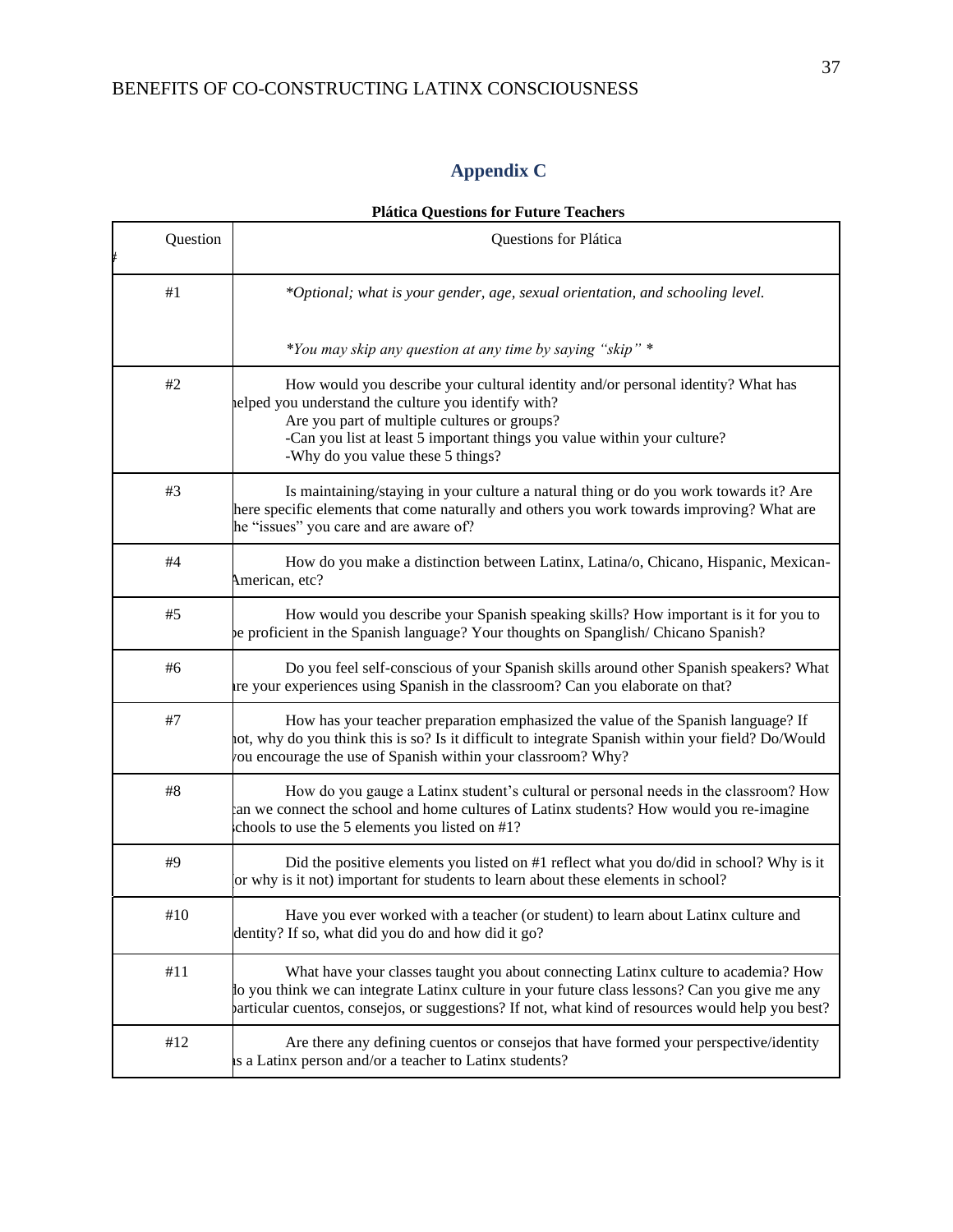# **Appendix C**

## **Plática Questions for Future Teachers**

<span id="page-37-0"></span>

| Question | Questions for Plática                                                                                                                                                                                                                                                                                    |  |
|----------|----------------------------------------------------------------------------------------------------------------------------------------------------------------------------------------------------------------------------------------------------------------------------------------------------------|--|
| #1       | *Optional; what is your gender, age, sexual orientation, and schooling level.                                                                                                                                                                                                                            |  |
|          | *You may skip any question at any time by saying "skip" *                                                                                                                                                                                                                                                |  |
| #2       | How would you describe your cultural identity and/or personal identity? What has<br>elped you understand the culture you identify with?<br>Are you part of multiple cultures or groups?<br>-Can you list at least 5 important things you value within your culture?<br>-Why do you value these 5 things? |  |
| #3       | Is maintaining/staying in your culture a natural thing or do you work towards it? Are<br>here specific elements that come naturally and others you work towards improving? What are<br>he "issues" you care and are aware of?                                                                            |  |
| $\#4$    | How do you make a distinction between Latinx, Latina/o, Chicano, Hispanic, Mexican-<br>American, etc?                                                                                                                                                                                                    |  |
| #5       | How would you describe your Spanish speaking skills? How important is it for you to<br>be proficient in the Spanish language? Your thoughts on Spanglish/Chicano Spanish?                                                                                                                                |  |
| #6       | Do you feel self-conscious of your Spanish skills around other Spanish speakers? What<br>re your experiences using Spanish in the classroom? Can you elaborate on that?                                                                                                                                  |  |
| #7       | How has your teacher preparation emphasized the value of the Spanish language? If<br>ot, why do you think this is so? Is it difficult to integrate Spanish within your field? Do/Would<br>ou encourage the use of Spanish within your classroom? Why?                                                    |  |
| $\#8$    | How do you gauge a Latinx student's cultural or personal needs in the classroom? How<br>an we connect the school and home cultures of Latinx students? How would you re-imagine<br>chools to use the 5 elements you listed on #1?                                                                        |  |
| #9       | Did the positive elements you listed on #1 reflect what you do/did in school? Why is it<br>or why is it not) important for students to learn about these elements in school?                                                                                                                             |  |
| #10      | Have you ever worked with a teacher (or student) to learn about Latinx culture and<br>dentity? If so, what did you do and how did it go?                                                                                                                                                                 |  |
| #11      | What have your classes taught you about connecting Latinx culture to academia? How<br>to you think we can integrate Latinx culture in your future class lessons? Can you give me any<br>particular cuentos, consejos, or suggestions? If not, what kind of resources would help you best?                |  |
| #12      | Are there any defining cuentos or consejos that have formed your perspective/identity<br>is a Latinx person and/or a teacher to Latinx students?                                                                                                                                                         |  |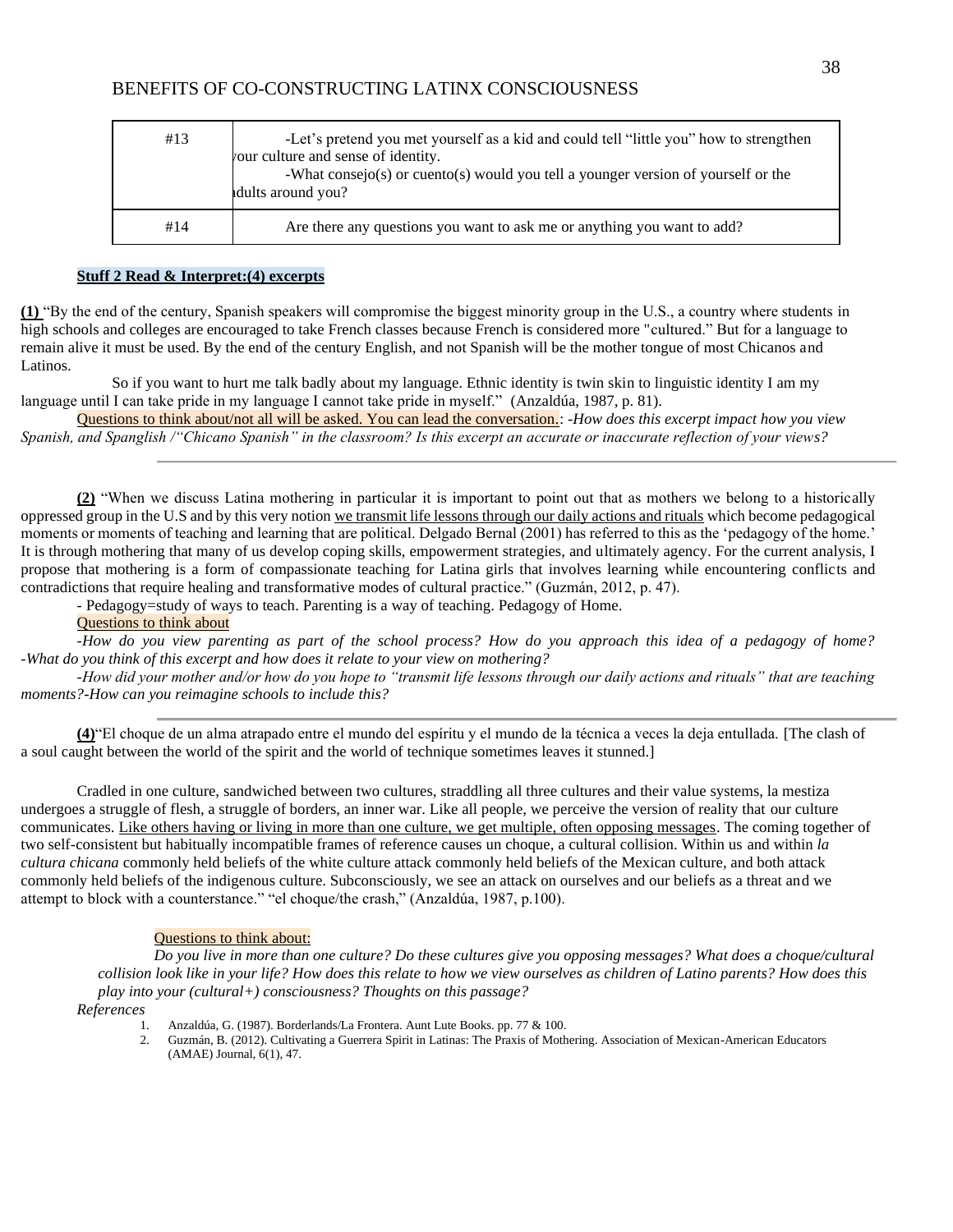| #13 | -Let's pretend you met yourself as a kid and could tell "little you" how to strengthen<br>your culture and sense of identity.<br>-What consejo(s) or cuento(s) would you tell a younger version of yourself or the<br>dults around you? |
|-----|-----------------------------------------------------------------------------------------------------------------------------------------------------------------------------------------------------------------------------------------|
| #14 | Are there any questions you want to ask me or anything you want to add?                                                                                                                                                                 |

#### **Stuff 2 Read & Interpret:(4) excerpts**

**(1)** "By the end of the century, Spanish speakers will compromise the biggest minority group in the U.S., a country where students in high schools and colleges are encouraged to take French classes because French is considered more "cultured." But for a language to remain alive it must be used. By the end of the century English, and not Spanish will be the mother tongue of most Chicanos and Latinos.

 So if you want to hurt me talk badly about my language. Ethnic identity is twin skin to linguistic identity I am my language until I can take pride in my language I cannot take pride in myself." (Anzaldúa, 1987, p. 81).

Questions to think about/not all will be asked. You can lead the conversation.: *-How does this excerpt impact how you view Spanish, and Spanglish /"Chicano Spanish" in the classroom? Is this excerpt an accurate or inaccurate reflection of your views?*

**(2)** "When we discuss Latina mothering in particular it is important to point out that as mothers we belong to a historically oppressed group in the U.S and by this very notion we transmit life lessons through our daily actions and rituals which become pedagogical moments or moments of teaching and learning that are political. Delgado Bernal (2001) has referred to this as the 'pedagogy of the home.' It is through mothering that many of us develop coping skills, empowerment strategies, and ultimately agency. For the current analysis, I propose that mothering is a form of compassionate teaching for Latina girls that involves learning while encountering conflicts and contradictions that require healing and transformative modes of cultural practice." (Guzmán, 2012, p. 47).

- Pedagogy=study of ways to teach. Parenting is a way of teaching. Pedagogy of Home.

## Questions to think about

*-How do you view parenting as part of the school process? How do you approach this idea of a pedagogy of home? -What do you think of this excerpt and how does it relate to your view on mothering?*

*-How did your mother and/or how do you hope to "transmit life lessons through our daily actions and rituals" that are teaching moments?-How can you reimagine schools to include this?*

**(4)**"El choque de un alma atrapado entre el mundo del espíritu y el mundo de la técnica a veces la deja entullada. [The clash of a soul caught between the world of the spirit and the world of technique sometimes leaves it stunned.]

Cradled in one culture, sandwiched between two cultures, straddling all three cultures and their value systems, la mestiza undergoes a struggle of flesh, a struggle of borders, an inner war. Like all people, we perceive the version of reality that our culture communicates. Like others having or living in more than one culture, we get multiple, often opposing messages. The coming together of two self-consistent but habitually incompatible frames of reference causes un choque, a cultural collision. Within us and within *la cultura chicana* commonly held beliefs of the white culture attack commonly held beliefs of the Mexican culture, and both attack commonly held beliefs of the indigenous culture. Subconsciously, we see an attack on ourselves and our beliefs as a threat and we attempt to block with a counterstance." "el choque/the crash," (Anzaldúa, 1987, p.100).

#### Questions to think about:

*Do you live in more than one culture? Do these cultures give you opposing messages? What does a choque/cultural collision look like in your life? How does this relate to how we view ourselves as children of Latino parents? How does this play into your (cultural+) consciousness? Thoughts on this passage?*

*References*

- 1. Anzaldúa, G. (1987). Borderlands/La Frontera. Aunt Lute Books. pp. 77 & 100.
- 2. Guzmán, B. (2012). Cultivating a Guerrera Spirit in Latinas: The Praxis of Mothering. Association of Mexican-American Educators (AMAE) Journal, 6(1), 47.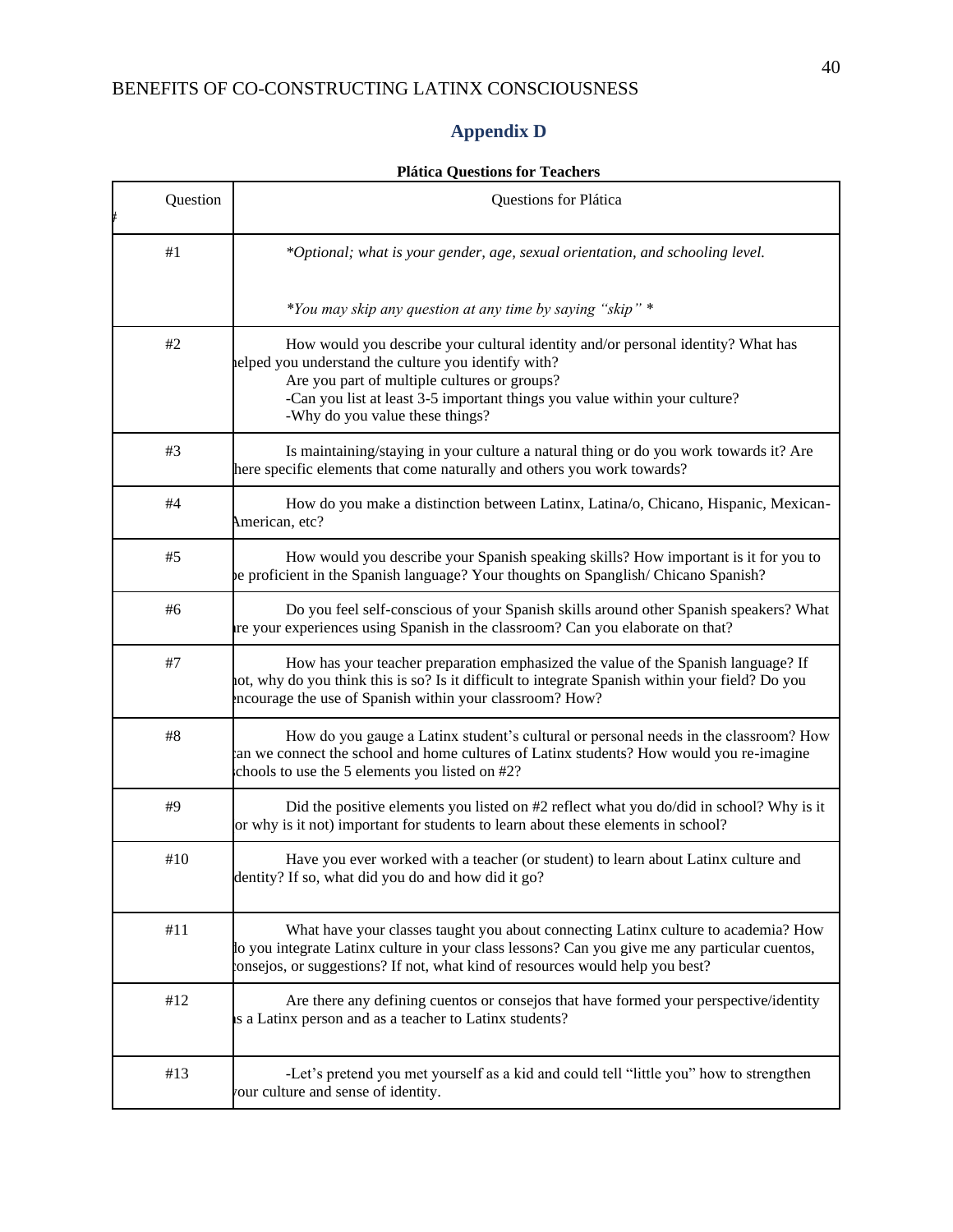#

# **Appendix D**

<span id="page-40-0"></span>

| Question | Questions for Plática                                                                                                                                                                                                                                                                                    |  |
|----------|----------------------------------------------------------------------------------------------------------------------------------------------------------------------------------------------------------------------------------------------------------------------------------------------------------|--|
| #1       | *Optional; what is your gender, age, sexual orientation, and schooling level.                                                                                                                                                                                                                            |  |
|          | *You may skip any question at any time by saying "skip" *                                                                                                                                                                                                                                                |  |
| #2       | How would you describe your cultural identity and/or personal identity? What has<br>elped you understand the culture you identify with?<br>Are you part of multiple cultures or groups?<br>-Can you list at least 3-5 important things you value within your culture?<br>-Why do you value these things? |  |
| #3       | Is maintaining/staying in your culture a natural thing or do you work towards it? Are<br>here specific elements that come naturally and others you work towards?                                                                                                                                         |  |
| #4       | How do you make a distinction between Latinx, Latina/o, Chicano, Hispanic, Mexican-<br>American, etc?                                                                                                                                                                                                    |  |
| #5       | How would you describe your Spanish speaking skills? How important is it for you to<br>be proficient in the Spanish language? Your thoughts on Spanglish/ Chicano Spanish?                                                                                                                               |  |
| #6       | Do you feel self-conscious of your Spanish skills around other Spanish speakers? What<br>re your experiences using Spanish in the classroom? Can you elaborate on that?                                                                                                                                  |  |
| $\#7$    | How has your teacher preparation emphasized the value of the Spanish language? If<br>not, why do you think this is so? Is it difficult to integrate Spanish within your field? Do you<br>incourage the use of Spanish within your classroom? How?                                                        |  |
| $\#8$    | How do you gauge a Latinx student's cultural or personal needs in the classroom? How<br>an we connect the school and home cultures of Latinx students? How would you re-imagine<br>chools to use the 5 elements you listed on #2?                                                                        |  |
| #9       | Did the positive elements you listed on #2 reflect what you do/did in school? Why is it<br>or why is it not) important for students to learn about these elements in school?                                                                                                                             |  |
| #10      | Have you ever worked with a teacher (or student) to learn about Latinx culture and<br>dentity? If so, what did you do and how did it go?                                                                                                                                                                 |  |
| #11      | What have your classes taught you about connecting Latinx culture to academia? How<br>to you integrate Latinx culture in your class lessons? Can you give me any particular cuentos,<br>onsejos, or suggestions? If not, what kind of resources would help you best?                                     |  |
| #12      | Are there any defining cuentos or consejos that have formed your perspective/identity<br>is a Latinx person and as a teacher to Latinx students?                                                                                                                                                         |  |
| #13      | -Let's pretend you met yourself as a kid and could tell "little you" how to strengthen<br>our culture and sense of identity.                                                                                                                                                                             |  |

## **Plática Questions for Teachers**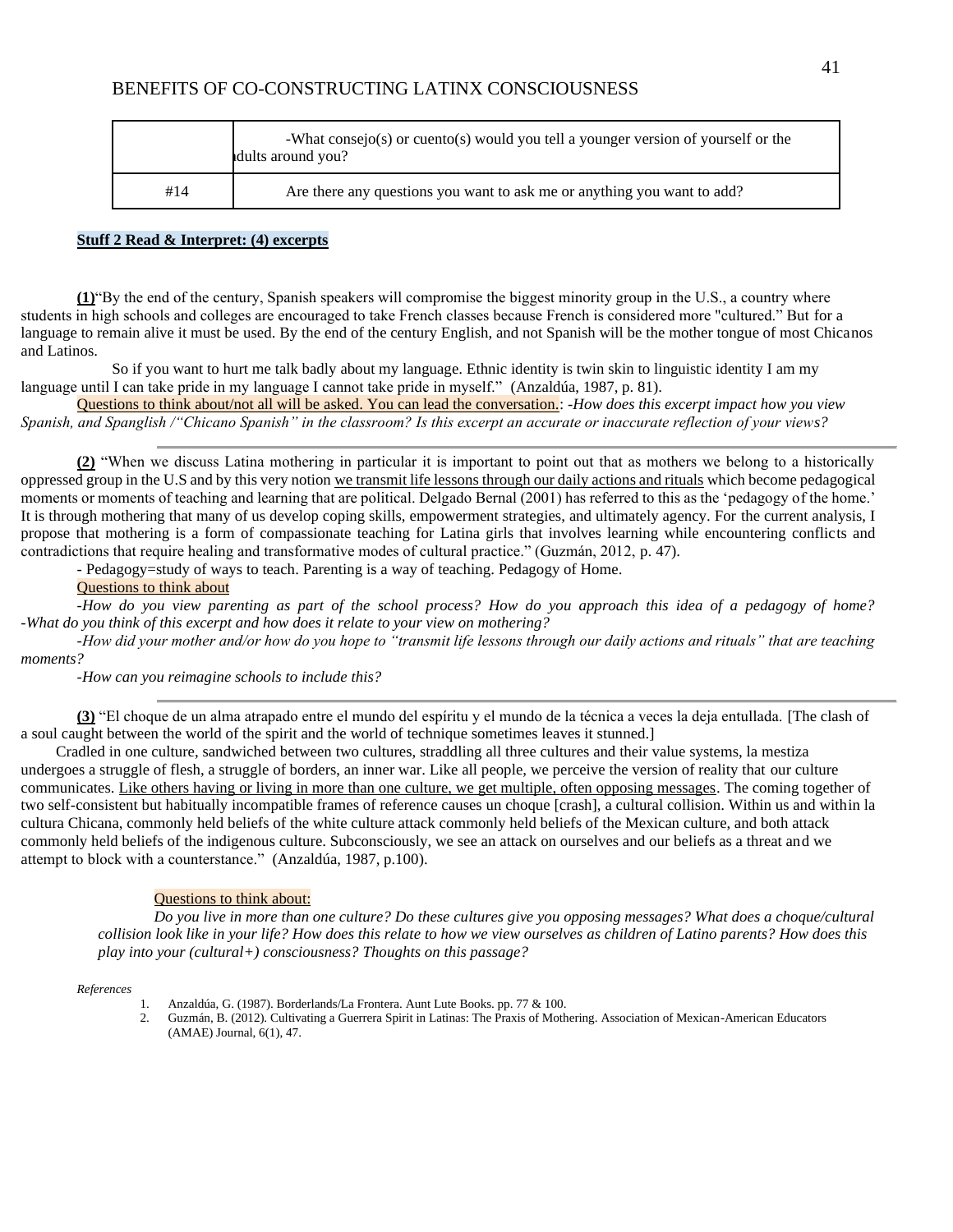|     | -What consejo(s) or cuento(s) would you tell a younger version of yourself or the<br>dults around you? |  |
|-----|--------------------------------------------------------------------------------------------------------|--|
| #14 | Are there any questions you want to ask me or anything you want to add?                                |  |

#### **Stuff 2 Read & Interpret: (4) excerpts**

**(1)**"By the end of the century, Spanish speakers will compromise the biggest minority group in the U.S., a country where students in high schools and colleges are encouraged to take French classes because French is considered more "cultured." But for a language to remain alive it must be used. By the end of the century English, and not Spanish will be the mother tongue of most Chicanos and Latinos.

 So if you want to hurt me talk badly about my language. Ethnic identity is twin skin to linguistic identity I am my language until I can take pride in my language I cannot take pride in myself." (Anzaldúa, 1987, p. 81).

Questions to think about/not all will be asked. You can lead the conversation.: *-How does this excerpt impact how you view Spanish, and Spanglish /"Chicano Spanish" in the classroom? Is this excerpt an accurate or inaccurate reflection of your views?*

**(2)** "When we discuss Latina mothering in particular it is important to point out that as mothers we belong to a historically oppressed group in the U.S and by this very notion we transmit life lessons through our daily actions and rituals which become pedagogical moments or moments of teaching and learning that are political. Delgado Bernal (2001) has referred to this as the 'pedagogy of the home.' It is through mothering that many of us develop coping skills, empowerment strategies, and ultimately agency. For the current analysis, I propose that mothering is a form of compassionate teaching for Latina girls that involves learning while encountering conflicts and contradictions that require healing and transformative modes of cultural practice." (Guzmán, 2012, p. 47).

- Pedagogy=study of ways to teach. Parenting is a way of teaching. Pedagogy of Home.

#### Questions to think about

*-How do you view parenting as part of the school process? How do you approach this idea of a pedagogy of home? -What do you think of this excerpt and how does it relate to your view on mothering?*

*-How did your mother and/or how do you hope to "transmit life lessons through our daily actions and rituals" that are teaching moments?*

*-How can you reimagine schools to include this?*

**(3)** "El choque de un alma atrapado entre el mundo del espíritu y el mundo de la técnica a veces la deja entullada. [The clash of a soul caught between the world of the spirit and the world of technique sometimes leaves it stunned.]

Cradled in one culture, sandwiched between two cultures, straddling all three cultures and their value systems, la mestiza undergoes a struggle of flesh, a struggle of borders, an inner war. Like all people, we perceive the version of reality that our culture communicates. Like others having or living in more than one culture, we get multiple, often opposing messages. The coming together of two self-consistent but habitually incompatible frames of reference causes un choque [crash], a cultural collision. Within us and within la cultura Chicana, commonly held beliefs of the white culture attack commonly held beliefs of the Mexican culture, and both attack commonly held beliefs of the indigenous culture. Subconsciously, we see an attack on ourselves and our beliefs as a threat and we attempt to block with a counterstance." (Anzaldúa, 1987, p.100).

#### Questions to think about:

*Do you live in more than one culture? Do these cultures give you opposing messages? What does a choque/cultural collision look like in your life? How does this relate to how we view ourselves as children of Latino parents? How does this play into your (cultural+) consciousness? Thoughts on this passage?*

*References*

- 1. Anzaldúa, G. (1987). Borderlands/La Frontera. Aunt Lute Books. pp. 77 & 100.
- 2. Guzmán, B. (2012). Cultivating a Guerrera Spirit in Latinas: The Praxis of Mothering. Association of Mexican-American Educators (AMAE) Journal, 6(1), 47.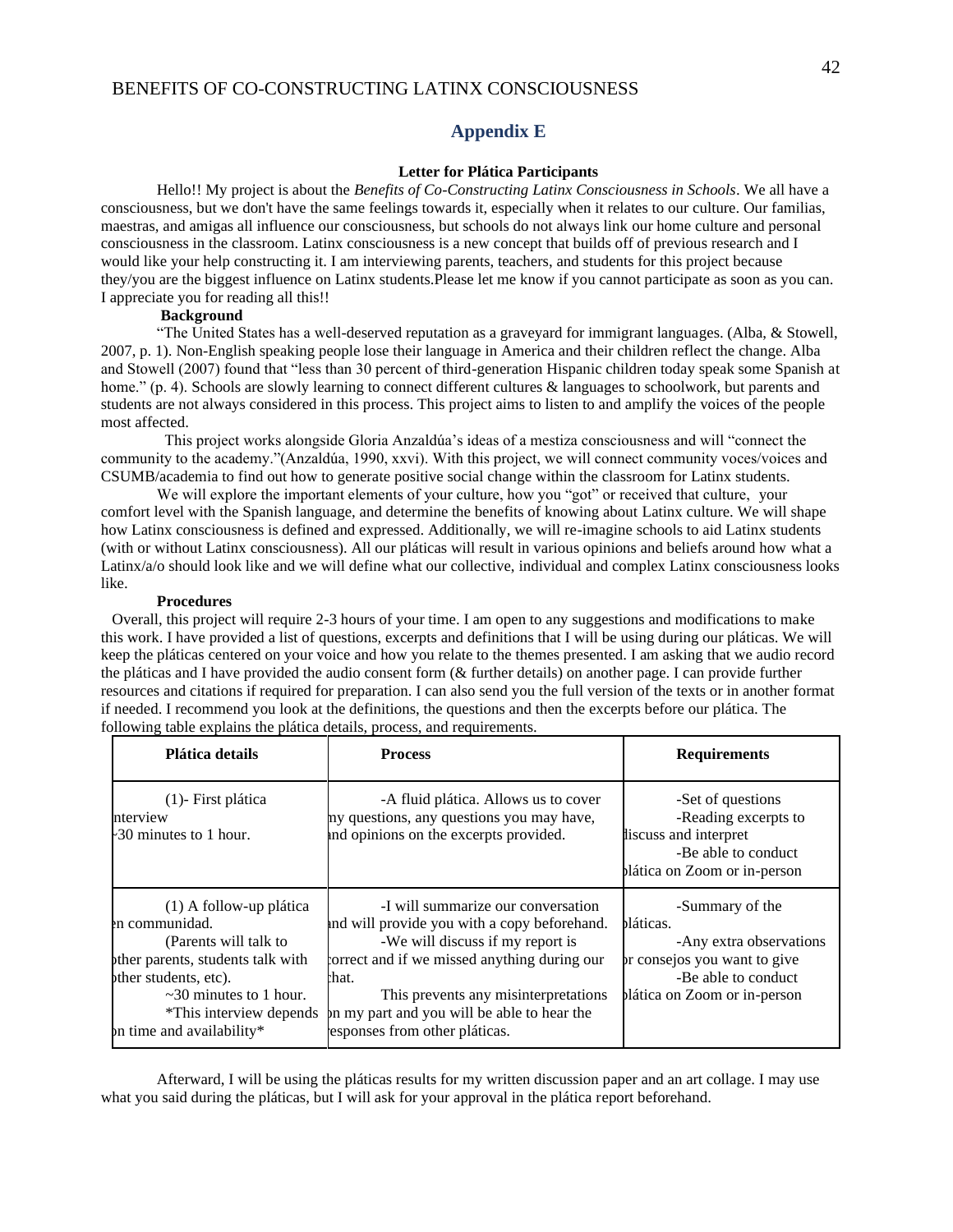#### **Appendix E**

#### **Letter for Plática Participants**

<span id="page-42-0"></span>Hello!! My project is about the *Benefits of Co-Constructing Latinx Consciousness in Schools*. We all have a consciousness, but we don't have the same feelings towards it, especially when it relates to our culture. Our familias, maestras, and amigas all influence our consciousness, but schools do not always link our home culture and personal consciousness in the classroom. Latinx consciousness is a new concept that builds off of previous research and I would like your help constructing it. I am interviewing parents, teachers, and students for this project because they/you are the biggest influence on Latinx students.Please let me know if you cannot participate as soon as you can. I appreciate you for reading all this!!

#### **Background**

"The United States has a well-deserved reputation as a graveyard for immigrant languages. (Alba, & Stowell, 2007, p. 1). Non-English speaking people lose their language in America and their children reflect the change. Alba and Stowell (2007) found that "less than 30 percent of third-generation Hispanic children today speak some Spanish at home." (p. 4). Schools are slowly learning to connect different cultures & languages to schoolwork, but parents and students are not always considered in this process. This project aims to listen to and amplify the voices of the people most affected.

 This project works alongside Gloria Anzaldúa's ideas of a mestiza consciousness and will "connect the community to the academy."(Anzaldúa, 1990, xxvi). With this project, we will connect community voces/voices and CSUMB/academia to find out how to generate positive social change within the classroom for Latinx students.

We will explore the important elements of your culture, how you "got" or received that culture, your comfort level with the Spanish language, and determine the benefits of knowing about Latinx culture. We will shape how Latinx consciousness is defined and expressed. Additionally, we will re-imagine schools to aid Latinx students (with or without Latinx consciousness). All our pláticas will result in various opinions and beliefs around how what a Latinx/a/o should look like and we will define what our collective, individual and complex Latinx consciousness looks like.

#### **Procedures**

Overall, this project will require 2-3 hours of your time. I am open to any suggestions and modifications to make this work. I have provided a list of questions, excerpts and definitions that I will be using during our pláticas. We will keep the pláticas centered on your voice and how you relate to the themes presented. I am asking that we audio record the pláticas and I have provided the audio consent form (& further details) on another page. I can provide further resources and citations if required for preparation. I can also send you the full version of the texts or in another format if needed. I recommend you look at the definitions, the questions and then the excerpts before our plática. The following table explains the plática details, process, and requirements.

| Plática details                                                                                                                                                                                                          | <b>Process</b>                                                                                                                                                                                                                                                                                          | <b>Requirements</b>                                                                                                                            |
|--------------------------------------------------------------------------------------------------------------------------------------------------------------------------------------------------------------------------|---------------------------------------------------------------------------------------------------------------------------------------------------------------------------------------------------------------------------------------------------------------------------------------------------------|------------------------------------------------------------------------------------------------------------------------------------------------|
| $(1)$ - First plática<br>nterview<br>-30 minutes to 1 hour.                                                                                                                                                              | -A fluid plática. Allows us to cover<br>ny questions, any questions you may have,<br>and opinions on the excerpts provided.                                                                                                                                                                             | -Set of questions<br>-Reading excerpts to<br>liscuss and interpret<br>-Be able to conduct<br>plática on Zoom or in-person                      |
| (1) A follow-up plática<br>en communidad.<br>(Parents will talk to<br>other parents, students talk with<br>other students, etc).<br>$\sim$ 30 minutes to 1 hour.<br>*This interview depends<br>on time and availability* | -I will summarize our conversation<br>and will provide you with a copy beforehand.<br>-We will discuss if my report is<br>forrect and if we missed anything during our<br>that.<br>This prevents any misinterpretations<br>on my part and you will be able to hear the<br>esponses from other pláticas. | -Summary of the<br>bláticas.<br>-Any extra observations<br>or consejos you want to give<br>-Be able to conduct<br>plática on Zoom or in-person |

Afterward, I will be using the pláticas results for my written discussion paper and an art collage. I may use what you said during the pláticas, but I will ask for your approval in the plática report beforehand.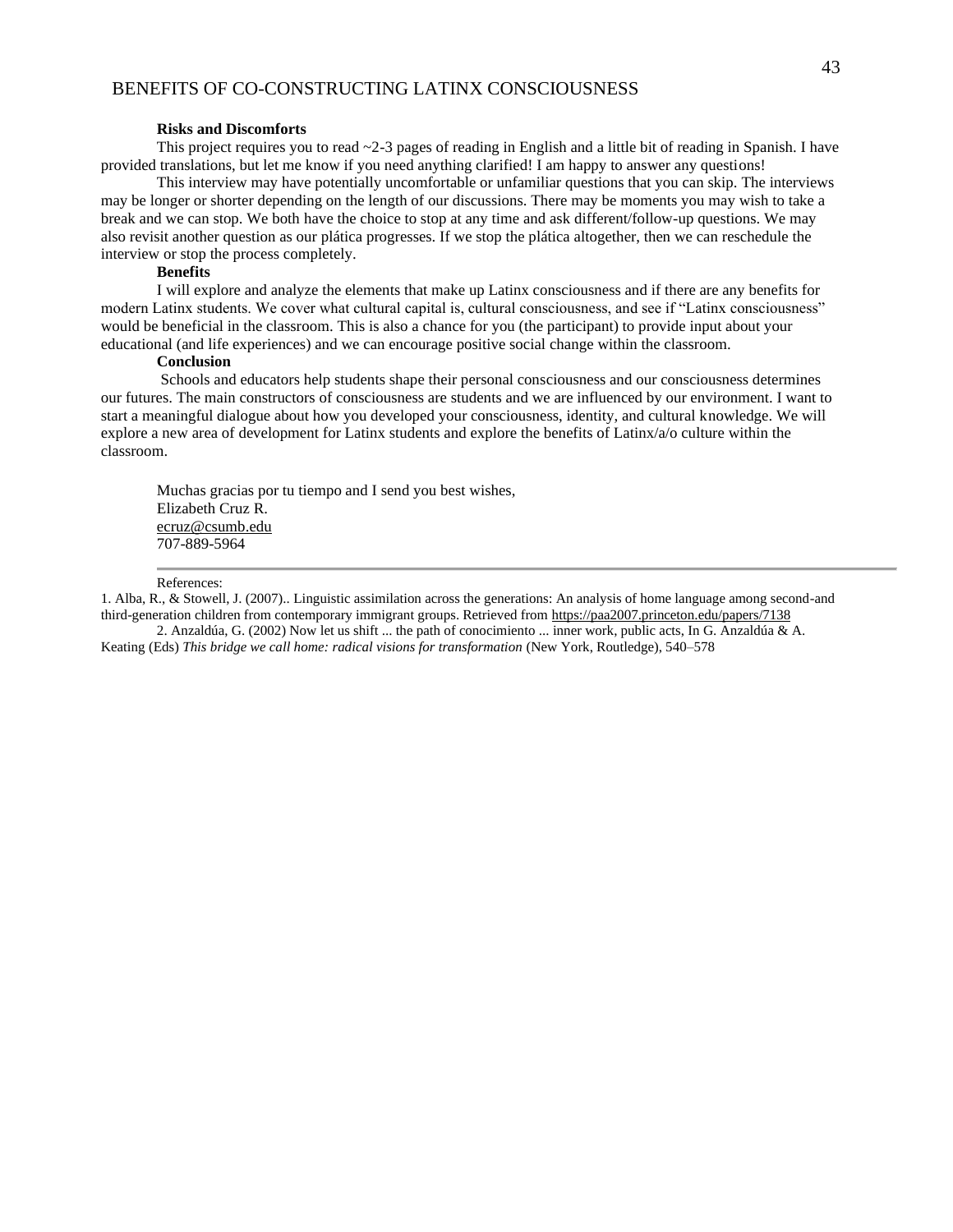#### **Risks and Discomforts**

This project requires you to read ~2-3 pages of reading in English and a little bit of reading in Spanish. I have provided translations, but let me know if you need anything clarified! I am happy to answer any questions!

This interview may have potentially uncomfortable or unfamiliar questions that you can skip. The interviews may be longer or shorter depending on the length of our discussions. There may be moments you may wish to take a break and we can stop. We both have the choice to stop at any time and ask different/follow-up questions. We may also revisit another question as our plática progresses. If we stop the plática altogether, then we can reschedule the interview or stop the process completely.

#### **Benefits**

I will explore and analyze the elements that make up Latinx consciousness and if there are any benefits for modern Latinx students. We cover what cultural capital is, cultural consciousness, and see if "Latinx consciousness" would be beneficial in the classroom. This is also a chance for you (the participant) to provide input about your educational (and life experiences) and we can encourage positive social change within the classroom.

#### **Conclusion**

Schools and educators help students shape their personal consciousness and our consciousness determines our futures. The main constructors of consciousness are students and we are influenced by our environment. I want to start a meaningful dialogue about how you developed your consciousness, identity, and cultural knowledge. We will explore a new area of development for Latinx students and explore the benefits of Latinx/a/o culture within the classroom.

Muchas gracias por tu tiempo and I send you best wishes, Elizabeth Cruz R. ecruz@csumb.edu 707-889-5964

#### References:

1. Alba, R., & Stowell, J. (2007).. Linguistic assimilation across the generations: An analysis of home language among second-and third-generation children from contemporary immigrant groups. Retrieved from https://paa2007.princeton.edu/papers/7138

2. Anzaldúa, G. (2002) Now let us shift ... the path of conocimiento ... inner work, public acts, In G. Anzaldúa & A. Keating (Eds) *This bridge we call home: radical visions for transformation* (New York, Routledge), 540–578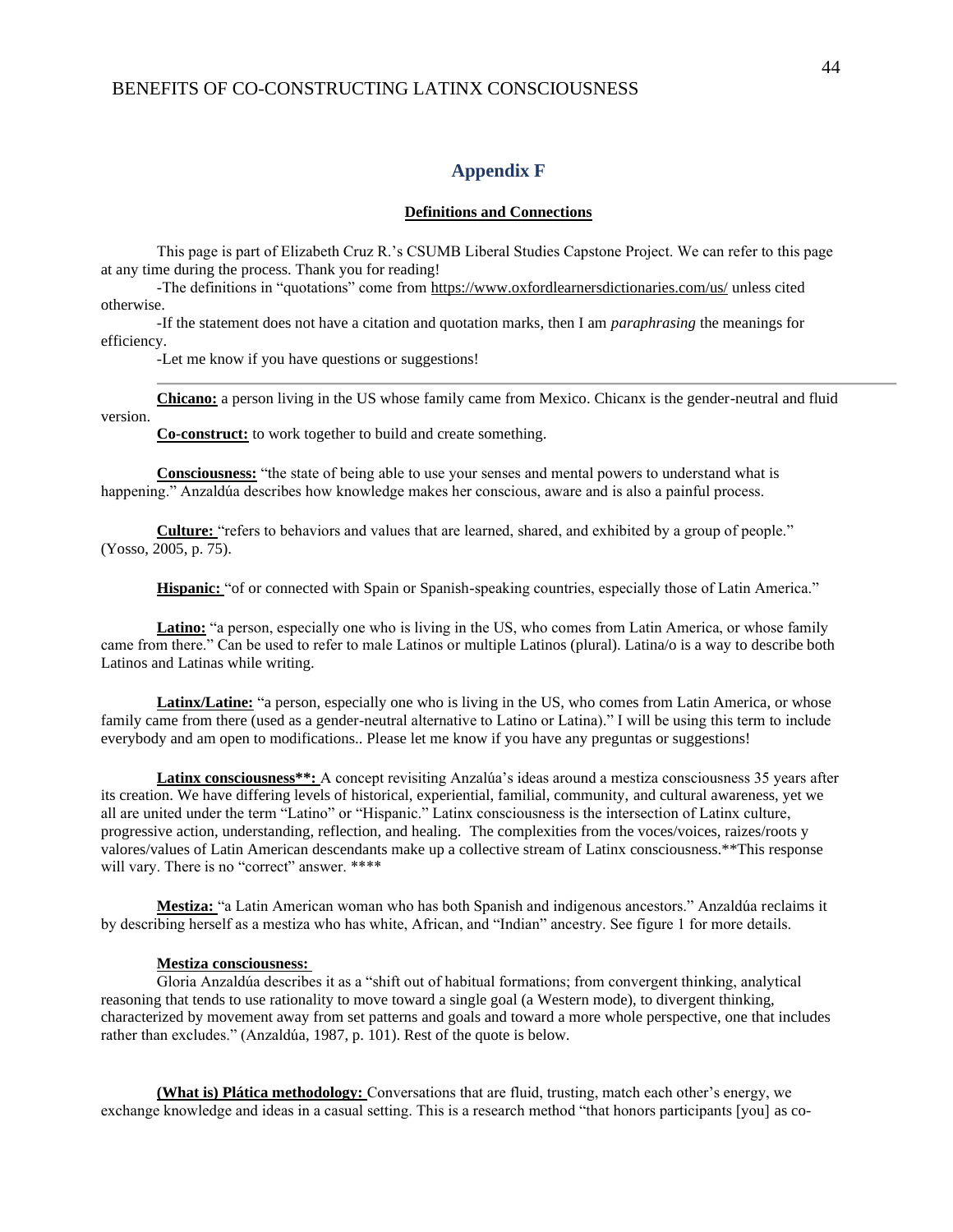#### **Appendix F**

#### **Definitions and Connections**

<span id="page-44-0"></span>This page is part of Elizabeth Cruz R.'s CSUMB Liberal Studies Capstone Project. We can refer to this page at any time during the process. Thank you for reading!

-The definitions in "quotations" come from https://www.oxfordlearnersdictionaries.com/us/ unless cited otherwise.

-If the statement does not have a citation and quotation marks, then I am *paraphrasing* the meanings for efficiency.

-Let me know if you have questions or suggestions!

**Chicano:** a person living in the US whose family came from Mexico. Chicanx is the gender-neutral and fluid

version.

**Co-construct:** to work together to build and create something.

**Consciousness:** "the state of being able to use your senses and mental powers to understand what is happening." Anzaldúa describes how knowledge makes her conscious, aware and is also a painful process.

**Culture:** "refers to behaviors and values that are learned, shared, and exhibited by a group of people." (Yosso, 2005, p. 75).

**Hispanic:** "of or connected with Spain or Spanish-speaking countries, especially those of Latin America."

**Latino:** "a person, especially one who is living in the US, who comes from Latin America, or whose family came from there." Can be used to refer to male Latinos or multiple Latinos (plural). Latina/o is a way to describe both Latinos and Latinas while writing.

**Latinx/Latine:** "a person, especially one who is living in the US, who comes from Latin America, or whose family came from there (used as a gender-neutral alternative to Latino or Latina)." I will be using this term to include everybody and am open to modifications.. Please let me know if you have any preguntas or suggestions!

**Latinx consciousness\*\*:** A concept revisiting Anzalúa's ideas around a mestiza consciousness 35 years after its creation. We have differing levels of historical, experiential, familial, community, and cultural awareness, yet we all are united under the term "Latino" or "Hispanic." Latinx consciousness is the intersection of Latinx culture, progressive action, understanding, reflection, and healing. The complexities from the voces/voices, raizes/roots y valores/values of Latin American descendants make up a collective stream of Latinx consciousness.\*\*This response will vary. There is no "correct" answer. \*\*\*\*

**Mestiza:** "a Latin American woman who has both Spanish and indigenous ancestors." Anzaldúa reclaims it by describing herself as a mestiza who has white, African, and "Indian" ancestry. See figure 1 for more details.

#### **Mestiza consciousness:**

Gloria Anzaldúa describes it as a "shift out of habitual formations; from convergent thinking, analytical reasoning that tends to use rationality to move toward a single goal (a Western mode), to divergent thinking, characterized by movement away from set patterns and goals and toward a more whole perspective, one that includes rather than excludes." (Anzaldúa, 1987, p. 101). Rest of the quote is below.

**(What is) Plática methodology:** Conversations that are fluid, trusting, match each other's energy, we exchange knowledge and ideas in a casual setting. This is a research method "that honors participants [you] as co-